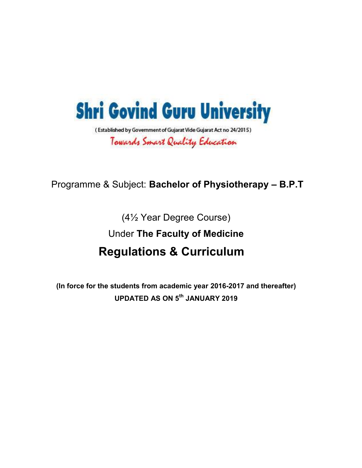

## Programme & Subject: **Bachelor of Physiotherapy – B.P.T**

(4½ Year Degree Course)

Under **The Faculty of Medicine**

## **Regulations & Curriculum**

**(In force for the students from academic year 2016-2017 and thereafter) UPDATED AS ON 5th JANUARY 2019**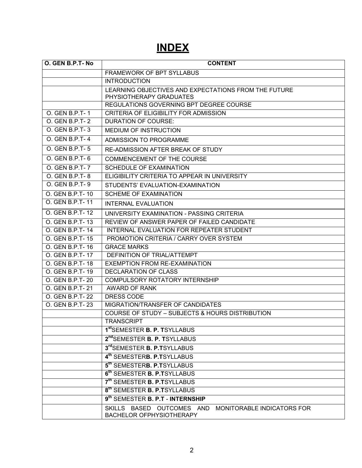## **INDEX**

| O. GEN B.P.T-No | <b>CONTENT</b>                                                                      |
|-----------------|-------------------------------------------------------------------------------------|
|                 | FRAMEWORK OF BPT SYLLABUS                                                           |
|                 | <b>INTRODUCTION</b>                                                                 |
|                 | LEARNING OBJECTIVES AND EXPECTATIONS FROM THE FUTURE<br>PHYSIOTHERAPY GRADUATES     |
|                 | REGULATIONS GOVERNING BPT DEGREE COURSE                                             |
| O. GEN B.P.T-1  | CRITERIA OF ELIGIBILITY FOR ADMISSION                                               |
| O. GEN B.P.T-2  | <b>DURATION OF COURSE:</b>                                                          |
| O. GEN B.P.T-3  | MEDIUM OF INSTRUCTION                                                               |
| O. GEN B.P.T-4  | ADMISSION TO PROGRAMME                                                              |
| O. GEN B.P.T-5  | RE-ADMISSION AFTER BREAK OF STUDY                                                   |
| O. GEN B.P.T-6  | COMMENCEMENT OF THE COURSE                                                          |
| O. GEN B.P.T-7  | <b>SCHEDULE OF EXAMINATION</b>                                                      |
| O. GEN B.P.T-8  | ELIGIBILITY CRITERIA TO APPEAR IN UNIVERSITY                                        |
| O. GEN B.P.T-9  | STUDENTS' EVALUATION-EXAMINATION                                                    |
| O. GEN B.P.T-10 | <b>SCHEME OF EXAMINATION</b>                                                        |
| O. GEN B.P.T-11 | <b>INTERNAL EVALUATION</b>                                                          |
| O. GEN B.P.T-12 | UNIVERSITY EXAMINATION - PASSING CRITERIA                                           |
| O. GEN B.P.T-13 | REVIEW OF ANSWER PAPER OF FAILED CANDIDATE                                          |
| O. GEN B.P.T-14 | INTERNAL EVALUATION FOR REPEATER STUDENT                                            |
| O. GEN B.P.T-15 | PROMOTION CRITERIA / CARRY OVER SYSTEM                                              |
| O. GEN B.P.T-16 | <b>GRACE MARKS</b>                                                                  |
| O. GEN B.P.T-17 | DEFINITION OF TRIAL/ATTEMPT                                                         |
| O. GEN B.P.T-18 | EXEMPTION FROM RE-EXAMINATION                                                       |
| O. GEN B.P.T-19 | DECLARATION OF CLASS                                                                |
| O. GEN B.P.T-20 | COMPULSORY ROTATORY INTERNSHIP                                                      |
| O. GEN B.P.T-21 | AWARD OF RANK                                                                       |
| O. GEN B.P.T-22 | DRESS CODE                                                                          |
| O. GEN B.P.T-23 | MIGRATION/TRANSFER OF CANDIDATES                                                    |
|                 | <b>COURSE OF STUDY - SUBJECTS &amp; HOURS DISTRIBUTION</b>                          |
|                 | <b>TRANSCRIPT</b>                                                                   |
|                 | 1 <sup>st</sup> SEMESTER <b>B. P. T</b> SYLLABUS                                    |
|                 | 2 <sup>nd</sup> SEMESTER <b>B. P. T</b> SYLLABUS                                    |
|                 | 3rd SEMESTER B. P.TSYLLABUS                                                         |
|                 | 4 <sup>th</sup> SEMESTERB. P.TSYLLABUS                                              |
|                 | 5 <sup>th</sup> SEMESTER <b>B. P.T</b> SYLLABUS                                     |
|                 | 6 <sup>th</sup> SEMESTER <b>B. P.T</b> SYLLABUS                                     |
|                 | 7 <sup>th</sup> SEMESTER <b>B. P.T</b> SYLLABUS                                     |
|                 | 8 <sup>th</sup> SEMESTER <b>B. P.T</b> SYLLABUS                                     |
|                 | 9 <sup>th</sup> SEMESTER <b>B. P.T - INTERNSHIP</b>                                 |
|                 | SKILLS BASED OUTCOMES AND<br>MONITORABLE INDICATORS FOR<br>BACHELOR OFPHYSIOTHERAPY |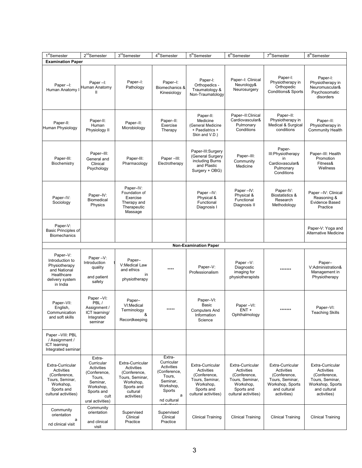| 1 <sup>st</sup> Semester                                                                                                    | $2nd$ Semester                                                                                                                  | 3rdSemester                                                                                                             | 4 <sup>th</sup> Semester                                                                                            | 5 <sup>th</sup> Semester                                                                                                    | 6 <sup>th</sup> Semester                                                                                                    | 7 <sup>th</sup> Semester                                                                                             | 8 <sup>th</sup> Semester                                                                                                    |
|-----------------------------------------------------------------------------------------------------------------------------|---------------------------------------------------------------------------------------------------------------------------------|-------------------------------------------------------------------------------------------------------------------------|---------------------------------------------------------------------------------------------------------------------|-----------------------------------------------------------------------------------------------------------------------------|-----------------------------------------------------------------------------------------------------------------------------|----------------------------------------------------------------------------------------------------------------------|-----------------------------------------------------------------------------------------------------------------------------|
| <b>Examination Paper</b>                                                                                                    |                                                                                                                                 |                                                                                                                         |                                                                                                                     |                                                                                                                             |                                                                                                                             |                                                                                                                      |                                                                                                                             |
| Paper-I:<br>Human Anatomy                                                                                                   | Paper-I:<br>Human Anatomy                                                                                                       | Paper-I:<br>Pathology                                                                                                   | Paper-I:<br>Biomechanics &<br>Kinesiology                                                                           | Paper-I:<br>Orthopedics -<br>Traumatology &<br>Non-Traumatology                                                             | Paper-I: Clinical<br>Neurology&<br>Neurosurgery                                                                             | Paper-I:<br>Physiotherapy in<br>Orthopedic<br><b>Conditions&amp; Sports</b>                                          | Paper-I:<br>Physiotherapy in<br>Neuromuscular&<br>Psychosomatic<br>disorders                                                |
| Paper-II:<br>Human Physiology                                                                                               | Paper-II:<br>Human<br>Physiology II                                                                                             | Paper-II:<br>Microbiology                                                                                               | Paper-II:<br>Exercise<br>Therapy                                                                                    | Paper-II:<br>Medicine<br>(General Medicine<br>+ Paediatrics +<br>Skin and V.D.)                                             | Paper-II:Clinical<br>Cardiovascular&<br>Pulmonary<br>Conditions                                                             | Paper-II:<br>Physiotherapy in<br>Medical & Surgical<br>conditions                                                    | Paper-II:<br>Physiotherapy in<br><b>Community Health</b>                                                                    |
| Paper-III:<br>Biochemistry                                                                                                  | Paper-III:<br>General and<br>Clinical<br>Psychology                                                                             | Paper-III:<br>Pharmacology                                                                                              | Paper-III:<br>Electrotherapy                                                                                        | Paper-III:Surgery<br>(General Surgery<br>including Burns<br>and Plastic<br>Surgery + OBG)                                   | Paper-III:<br>Community<br>Medicine                                                                                         | Paper-<br>III: Physiotherapy<br>in<br>Cardiovascular&<br>Pulmonary<br>Conditions                                     | Paper-III: Health<br>Promotion<br>Fitness&<br>Wellness                                                                      |
| Paper-IV:<br>Sociology                                                                                                      | Paper-IV:<br>Biomedical<br>Physics                                                                                              | Paper-IV:<br>Foundation of<br>Exercise<br>Therapy and<br>Therapeutic<br>Massage                                         |                                                                                                                     | Paper-IV:<br>Physical &<br>Functional<br>Diagnosis I                                                                        | Paper-IV:<br>Physical &<br>Functional<br>Diagnosis II                                                                       | Paper-IV:<br><b>Biostatistics &amp;</b><br>Research<br>Methodology                                                   | Paper - IV: Clinical<br>Reasoning &<br>Evidence Based<br>Practice                                                           |
| Paper-V:<br>Basic Principles of<br><b>Biomechanics</b>                                                                      |                                                                                                                                 |                                                                                                                         |                                                                                                                     |                                                                                                                             |                                                                                                                             |                                                                                                                      | Paper-V: Yoga and<br><b>Alternative Medicine</b>                                                                            |
|                                                                                                                             |                                                                                                                                 |                                                                                                                         |                                                                                                                     | <b>Non-Examination Paper</b>                                                                                                |                                                                                                                             |                                                                                                                      |                                                                                                                             |
| Paper-V:<br>Introduction to<br>Physiotherapy<br>and National<br>Healthcare<br>delivery system<br>in India                   | Paper-V:<br>Introduction<br>quality<br>and patient<br>safety                                                                    | Paper-<br>V:Medical Law<br>and ethics<br>in<br>physiotherapy                                                            | $****$                                                                                                              | Paper-V:<br>Professionalism                                                                                                 | Paper-V:<br>Diagnostic<br>imaging for<br>physiotherapists                                                                   | *******                                                                                                              | Paper-<br>V:Administration&<br>Management in<br>Physiotherapy                                                               |
| Paper-VII:<br>English,<br>Communication<br>and soft skills                                                                  | Paper-VI:<br>PBL/<br>Assignment /<br>ICT learning/<br>Integrated<br>seminar                                                     | Paper-<br>VI:Medical<br>Terminology<br>&<br>Recordkeeping                                                               | *****                                                                                                               | Paper-VI:<br>Basic<br><b>Computers And</b><br>Information<br>Science                                                        | Paper-VI:<br>ENT +<br>Ophthalmology                                                                                         | *******                                                                                                              | Paper-VI:<br><b>Teaching Skills</b>                                                                                         |
| Paper - VIII: PBL<br>/ Assignment /<br>ICT learning<br>Integrated seminar                                                   |                                                                                                                                 |                                                                                                                         |                                                                                                                     |                                                                                                                             |                                                                                                                             |                                                                                                                      |                                                                                                                             |
| Extra-Curricular<br><b>Activities</b><br>(Conference,<br>Tours, Seminar,<br>Workshop,<br>Sports and<br>cultural activities) | Extra-<br>Curricular<br>Activities<br>(Conference,<br>Tours,<br>Seminar,<br>Workshop,<br>Sports and<br>cult<br>ural activities) | Extra-Curricular<br>Activities<br>(Conference,<br>Tours, Seminar,<br>Workshop,<br>Sports and<br>cultural<br>activities) | Extra-<br>Curricular<br>Activities<br>(Conference,<br>Tours.<br>Seminar,<br>Workshop,<br>Sports<br>a<br>nd cultural | Extra-Curricular<br><b>Activities</b><br>(Conference,<br>Tours, Seminar,<br>Workshop,<br>Sports and<br>cultural activities) | Extra-Curricular<br><b>Activities</b><br>(Conference,<br>Tours, Seminar,<br>Workshop,<br>Sports and<br>cultural activities) | Extra-Curricular<br>Activities<br>(Conference,<br>Tours, Seminar,<br>Workshop, Sports<br>and cultural<br>activities) | Extra-Curricular<br><b>Activities</b><br>(Conference,<br>Tours, Seminar,<br>Workshop, Sports<br>and cultural<br>activities) |
| Community<br>orientation<br>a<br>nd clinical visit                                                                          | Community<br>orientation<br>and clinical<br>visit                                                                               | Supervised<br>Clinical<br>Practice                                                                                      | Supervised<br>Clinical<br>Practice                                                                                  | <b>Clinical Training</b>                                                                                                    | <b>Clinical Training</b>                                                                                                    | <b>Clinical Training</b>                                                                                             | <b>Clinical Training</b>                                                                                                    |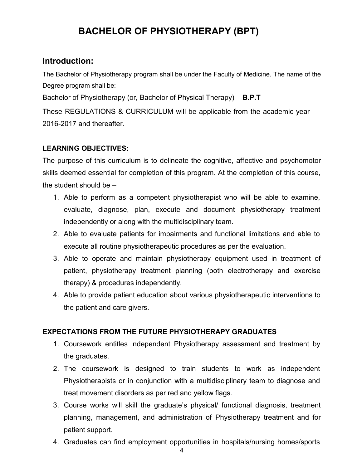## **BACHELOR OF PHYSIOTHERAPY (BPT)**

#### **Introduction:**

The Bachelor of Physiotherapy program shall be under the Faculty of Medicine. The name of the Degree program shall be:

Bachelor of Physiotherapy (or, Bachelor of Physical Therapy) – **B.P.T**

These REGULATIONS & CURRICULUM will be applicable from the academic year 2016-2017 and thereafter.

#### **LEARNING OBJECTIVES:**

The purpose of this curriculum is to delineate the cognitive, affective and psychomotor skills deemed essential for completion of this program. At the completion of this course, the student should be –

- 1. Able to perform as a competent physiotherapist who will be able to examine, evaluate, diagnose, plan, execute and document physiotherapy treatment independently or along with the multidisciplinary team.
- 2. Able to evaluate patients for impairments and functional limitations and able to execute all routine physiotherapeutic procedures as per the evaluation.
- 3. Able to operate and maintain physiotherapy equipment used in treatment of patient, physiotherapy treatment planning (both electrotherapy and exercise therapy) & procedures independently.
- 4. Able to provide patient education about various physiotherapeutic interventions to the patient and care givers.

#### **EXPECTATIONS FROM THE FUTURE PHYSIOTHERAPY GRADUATES**

- 1. Coursework entitles independent Physiotherapy assessment and treatment by the graduates.
- 2. The coursework is designed to train students to work as independent Physiotherapists or in conjunction with a multidisciplinary team to diagnose and treat movement disorders as per red and yellow flags.
- 3. Course works will skill the graduate's physical/ functional diagnosis, treatment planning, management, and administration of Physiotherapy treatment and for patient support.
- 4. Graduates can find employment opportunities in hospitals/nursing homes/sports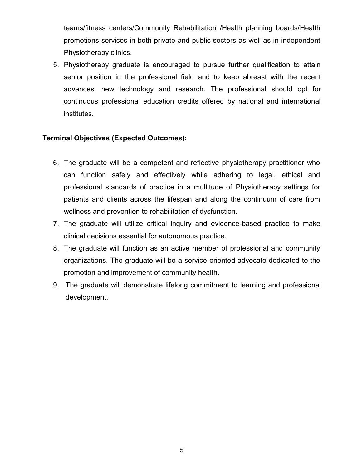teams/fitness centers/Community Rehabilitation /Health planning boards/Health promotions services in both private and public sectors as well as in independent Physiotherapy clinics.

5. Physiotherapy graduate is encouraged to pursue further qualification to attain senior position in the professional field and to keep abreast with the recent advances, new technology and research. The professional should opt for continuous professional education credits offered by national and international institutes.

#### **Terminal Objectives (Expected Outcomes):**

- 6. The graduate will be a competent and reflective physiotherapy practitioner who can function safely and effectively while adhering to legal, ethical and professional standards of practice in a multitude of Physiotherapy settings for patients and clients across the lifespan and along the continuum of care from wellness and prevention to rehabilitation of dysfunction.
- 7. The graduate will utilize critical inquiry and evidence-based practice to make clinical decisions essential for autonomous practice.
- 8. The graduate will function as an active member of professional and community organizations. The graduate will be a service-oriented advocate dedicated to the promotion and improvement of community health.
- 9. The graduate will demonstrate lifelong commitment to learning and professional development.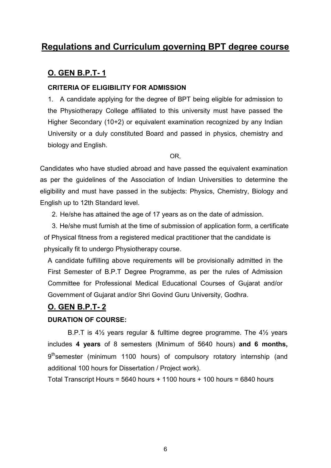## **Regulations and Curriculum governing BPT degree course**

#### **O. GEN B.P.T- 1**

#### **CRITERIA OF ELIGIBILITY FOR ADMISSION**

1. A candidate applying for the degree of BPT being eligible for admission to the Physiotherapy College affiliated to this university must have passed the Higher Secondary (10+2) or equivalent examination recognized by any Indian University or a duly constituted Board and passed in physics, chemistry and biology and English.

OR,

Candidates who have studied abroad and have passed the equivalent examination as per the guidelines of the Association of Indian Universities to determine the eligibility and must have passed in the subjects: Physics, Chemistry, Biology and English up to 12th Standard level.

2. He/she has attained the age of 17 years as on the date of admission.

3. He/she must furnish at the time of submission of application form, a certificate of Physical fitness from a registered medical practitioner that the candidate is physically fit to undergo Physiotherapy course.

A candidate fulfilling above requirements will be provisionally admitted in the First Semester of B.P.T Degree Programme, as per the rules of Admission Committee for Professional Medical Educational Courses of Gujarat and/or Government of Gujarat and/or Shri Govind Guru University, Godhra.

#### **O. GEN B.P.T- 2**

#### **DURATION OF COURSE:**

B.P.T is 4½ years regular & fulltime degree programme. The 4½ years includes **4 years** of 8 semesters (Minimum of 5640 hours) **and 6 months,** 9<sup>th</sup>semester (minimum 1100 hours) of compulsory rotatory internship (and additional 100 hours for Dissertation / Project work).

Total Transcript Hours =  $5640$  hours + 1100 hours + 100 hours =  $6840$  hours

6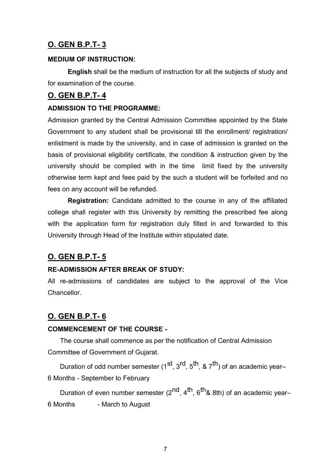#### **MEDIUM OF INSTRUCTION:**

**English** shall be the medium of instruction for all the subjects of study and for examination of the course.

#### **O. GEN B.P.T- 4**

#### **ADMISSION TO THE PROGRAMME:**

Admission granted by the Central Admission Committee appointed by the State Government to any student shall be provisional till the enrollment/ registration/ enlistment is made by the university, and in case of admission is granted on the basis of provisional eligibility certificate, the condition & instruction given by the university should be complied with in the time limit fixed by the university otherwise term kept and fees paid by the such a student will be forfeited and no fees on any account will be refunded.

**Registration:** Candidate admitted to the course in any of the affiliated college shall register with this University by remitting the prescribed fee along with the application form for registration duly filled in and forwarded to this University through Head of the Institute within stipulated date.

### **O. GEN B.P.T- 5**

#### **RE-ADMISSION AFTER BREAK OF STUDY:**

All re-admissions of candidates are subject to the approval of the Vice Chancellor.

### **O. GEN B.P.T- 6**

#### **COMMENCEMENT OF THE COURSE -**

The course shall commence as per the notification of Central Admission Committee of Government of Gujarat.

Duration of odd number semester (1<sup>st</sup>, 3<sup>rd</sup>, 5<sup>th</sup>, & 7<sup>th</sup>) of an academic year– 6 Months - September to February

Duration of even number semester  $(2^{nd}, 4^{th}, 6^{th}$ & 8th) of an academic year– 6 Months - March to August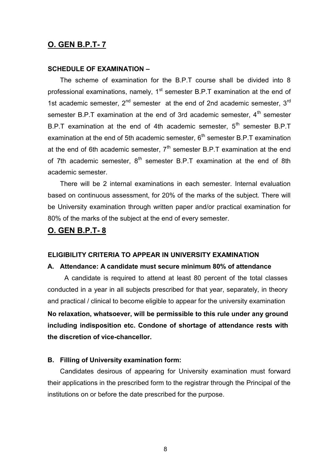#### **SCHEDULE OF EXAMINATION –**

The scheme of examination for the B.P.T course shall be divided into 8 professional examinations, namely,  $1<sup>st</sup>$  semester B.P.T examination at the end of 1st academic semester,  $2^{nd}$  semester at the end of 2nd academic semester,  $3^{rd}$ semester B.P.T examination at the end of 3rd academic semester, 4<sup>th</sup> semester B.P.T examination at the end of 4th academic semester,  $5<sup>th</sup>$  semester B.P.T examination at the end of 5th academic semester,  $6<sup>th</sup>$  semester B.P.T examination at the end of 6th academic semester,  $7<sup>th</sup>$  semester B.P.T examination at the end of 7th academic semester,  $8<sup>th</sup>$  semester B.P.T examination at the end of 8th academic semester.

There will be 2 internal examinations in each semester. Internal evaluation based on continuous assessment, for 20% of the marks of the subject. There will be University examination through written paper and/or practical examination for 80% of the marks of the subject at the end of every semester.

#### **O. GEN B.P.T- 8**

#### **ELIGIBILITY CRITERIA TO APPEAR IN UNIVERSITY EXAMINATION**

#### **A. Attendance: A candidate must secure minimum 80% of attendance**

A candidate is required to attend at least 80 percent of the total classes conducted in a year in all subjects prescribed for that year, separately, in theory and practical / clinical to become eligible to appear for the university examination **No relaxation, whatsoever, will be permissible to this rule under any ground including indisposition etc. Condone of shortage of attendance rests with the discretion of vice-chancellor.**

#### **B. Filling of University examination form:**

Candidates desirous of appearing for University examination must forward their applications in the prescribed form to the registrar through the Principal of the institutions on or before the date prescribed for the purpose.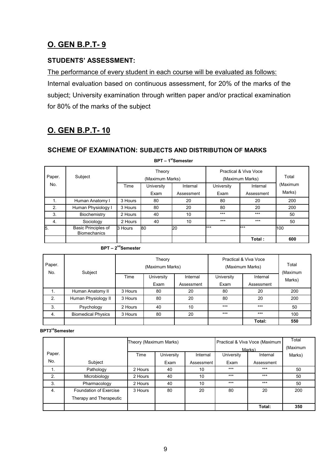#### **STUDENTS' ASSESSMENT:**

The performance of every student in each course will be evaluated as follows: Internal evaluation based on continuous assessment, for 20% of the marks of the subject; University examination through written paper and/or practical examination for 80% of the marks of the subject

## **O. GEN B.P.T- 10**

#### **SCHEME OF EXAMINATION: SUBJECTS AND DISTRIBUTION OF MARKS**

| Paper.<br>No. | Subject                                           | Time    | Theory<br>(Maximum Marks) | Internal   | Practical & Viva Voce<br>(Maximum Marks) | Total<br>(Maximum      |        |
|---------------|---------------------------------------------------|---------|---------------------------|------------|------------------------------------------|------------------------|--------|
|               |                                                   |         | University<br>Exam        | Assessment | University<br>Exam                       | Internal<br>Assessment | Marks) |
|               |                                                   |         |                           |            |                                          |                        |        |
| 1.            | Human Anatomy I                                   | 3 Hours | 80                        | 20         | 80                                       | 20                     | 200    |
| 2.            | Human Physiology I                                | 3 Hours | 80                        | 20         | 80                                       | 20                     | 200    |
| 3.            | Biochemistry                                      | 2 Hours | 40                        | 10         | $***$                                    | $***$                  | 50     |
| 4.            | Sociology                                         | 2 Hours | 40                        | 10         | $***$                                    | $***$                  | 50     |
| 5.            | <b>Basic Principles of</b><br><b>Biomechanics</b> | 3 Hours | 80                        | 20         | ***                                      | $***$                  | 100    |
|               |                                                   |         |                           |            |                                          | Total:                 | 600    |

#### **BPT – 1 stSemester**

| $BPT - 2nd$ Semester |  |
|----------------------|--|
|----------------------|--|

| Paper.<br>No.<br>Subject |                           |            | Theory<br>(Maximum Marks) |            | Practical & Viva Voce<br>(Maximum Marks) | Total<br>(Maximum |     |
|--------------------------|---------------------------|------------|---------------------------|------------|------------------------------------------|-------------------|-----|
|                          | Time                      | University | Internal                  | University | Internal                                 | Marks)            |     |
|                          |                           | Exam       | Assessment                | Exam       | Assessment                               |                   |     |
|                          | Human Anatomy II          | 3 Hours    | 80                        | 20         | 80                                       | 20                | 200 |
| 2.                       | Human Physiology II       | 3 Hours    | 80                        | 20         | 80                                       | 20                | 200 |
| 3.                       | Psychology                | 2 Hours    | 40                        | 10         | $***$                                    | $***$             | 50  |
| 4.                       | <b>Biomedical Physics</b> | 3 Hours    | 80                        | 20         | $***$                                    | $***$             | 100 |
|                          |                           |            |                           |            |                                          | Total:            | 550 |

#### **BPT3rdSemester**

|                |                         | Theory (Maximum Marks) |            |            |            | Practical & Viva Voce (Maximum<br>Marks) | Total<br>(Maximum |
|----------------|-------------------------|------------------------|------------|------------|------------|------------------------------------------|-------------------|
| Paper.         |                         | Time                   | University | Internal   | University | Internal                                 | Marks)            |
| No.            | Subject                 |                        | Exam       | Assessment | Exam       | Assessment                               |                   |
| $\mathbf{1}$ . | Pathology               | 2 Hours                | 40         | 10         | $***$      | $***$                                    | 50                |
| 2.             | Microbiology            | 2 Hours                | 40         | 10         | $***$      | $***$                                    | 50                |
| 3.             | Pharmacology            | 2 Hours                | 40         | 10         | $***$      | $***$                                    | 50                |
| 4.             | Foundation of Exercise  | 3 Hours                | 80         | 20         | 80         | 20                                       | 200               |
|                | Therapy and Therapeutic |                        |            |            |            |                                          |                   |
|                |                         |                        |            |            |            | Total:                                   | 350               |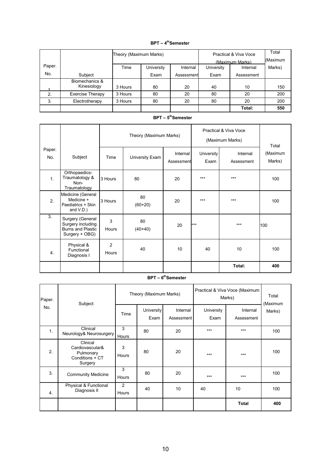#### **BPT – 4 thSemester**

|        |                               | Theory (Maximum Marks) |            |            |            | Practical & Viva Voce | Total<br>(Maximum |
|--------|-------------------------------|------------------------|------------|------------|------------|-----------------------|-------------------|
|        |                               |                        |            |            |            | (Maximum Marks)       |                   |
| Paper. |                               | Time                   | University | Internal   | University | Internal              | Marks)            |
| No.    | Subject                       |                        | Exam       | Assessment | Exam       | Assessment            |                   |
|        | Biomechanics &<br>Kinesiology | 3 Hours                | 80         | 20         | 40         | 10                    | 150               |
| 2.     | <b>Exercise Therapy</b>       | 3 Hours                | 80         | 20         | 80         | 20                    | 200               |
| 3.     | Electrotherapy                | 3 Hours                | 80         | 20         | 80         | 20                    | 200               |
|        |                               |                        |            |            |            | Total:                | 550               |

|               |                                                                                     |                         | Theory (Maximum Marks) |                        |                           | Practical & Viva Voce<br>(Maximum Marks) | Total              |
|---------------|-------------------------------------------------------------------------------------|-------------------------|------------------------|------------------------|---------------------------|------------------------------------------|--------------------|
| Paper.<br>No. | Subject                                                                             | Time                    | University Exam        | Internal<br>Assessment | <b>University</b><br>Exam | Internal<br>Assessment                   | (Maximum<br>Marks) |
| 1.            | Orthopaedics-<br>Traumatology &<br>Non-<br>Traumatology                             | 3 Hours                 | 80                     | 20                     | ***                       | ***                                      | 100                |
| 2.            | Medicine (General<br>Medicine +<br>Paediatrics + Skin<br>and $V.D.$ )               | 3 Hours                 | 80<br>$(60+20)$        | 20                     | ***                       | $***$                                    | 100                |
| 3.            | Surgery (General<br>Surgery including<br><b>Burns and Plastic</b><br>Surgery + OBG) | 3<br>Hours              | 80<br>$(40+40)$        | 20                     | ***                       | $***$                                    | 100                |
| 4.            | Physical &<br>Functional<br>Diagnosis I                                             | $\overline{2}$<br>Hours | 40                     | 10                     | 40                        | 10                                       | 100                |
|               |                                                                                     |                         |                        |                        |                           | Total:                                   | 400                |

#### **BPT – 5 thSemester**

#### **BPT – 6 thSemester**

| Paper.<br>Subject<br>No. |                                                                        |                    | Theory (Maximum Marks) |                    | Practical & Viva Voce (Maximum<br>Marks) | Total<br>(Maximum |     |
|--------------------------|------------------------------------------------------------------------|--------------------|------------------------|--------------------|------------------------------------------|-------------------|-----|
|                          | Time                                                                   | University<br>Exam | Internal<br>Assessment | University<br>Exam | Internal<br>Assessment                   | Marks)            |     |
| 1.                       | Clinical<br>Neurology& Neurosurgery                                    | 3<br><b>Hours</b>  | 80                     | 20                 | $***$                                    | $***$             | 100 |
| 2.                       | Clinical<br>Cardiovascular&<br>Pulmonary<br>Conditions + CT<br>Surgery | 3<br>Hours         | 80                     | 20                 | ***                                      | $***$             | 100 |
| 3.                       | <b>Community Medicine</b>                                              | 3<br>Hours         | 80                     | 20                 | ***                                      | ***               | 100 |
| $\overline{4}$ .         | Physical & Functional<br>Diagnosis II                                  | 2<br>Hours         | 40                     | 10                 | 40                                       | 10                | 100 |
|                          |                                                                        |                    |                        |                    |                                          | <b>Total</b>      | 400 |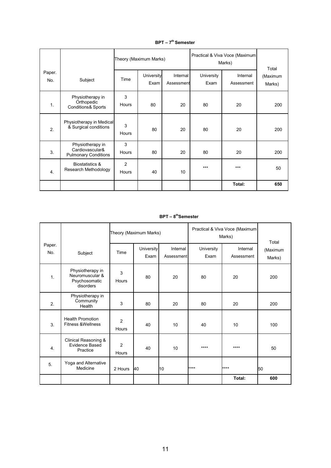|                |                                                                    |                         | Theory (Maximum Marks) |                        | Practical & Viva Voce (Maximum<br>Marks) | Total                  |                    |
|----------------|--------------------------------------------------------------------|-------------------------|------------------------|------------------------|------------------------------------------|------------------------|--------------------|
| Paper.<br>No.  | Subject                                                            | Time                    | University<br>Exam     | Internal<br>Assessment | University<br>Exam                       | Internal<br>Assessment | (Maximum<br>Marks) |
| $\mathbf{1}$ . | Physiotherapy in<br>Orthopedic<br><b>Conditions&amp; Sports</b>    | 3<br>Hours              | 80                     | 20                     | 80                                       | 20                     | 200                |
| 2.             | Physiotherapy in Medical<br>& Surgical conditions                  | 3<br>Hours              | 80                     | 20                     | 80                                       | 20                     | 200                |
| 3.             | Physiotherapy in<br>Cardiovascular&<br><b>Pulmonary Conditions</b> | 3<br>Hours              | 80                     | 20                     | 80                                       | 20                     | 200                |
| 4.             | <b>Biostatistics &amp;</b><br>Research Methodology                 | $\overline{2}$<br>Hours | 40                     | 10                     | $***$                                    | $***$                  | 50                 |
|                |                                                                    |                         |                        |                        |                                          | Total:                 | 650                |

**BPT – 7 th Semester**

**BPT – 8 thSemester**

|               |                                                                   |                         | Theory (Maximum Marks) |                        |                    | Practical & Viva Voce (Maximum<br>Marks) | Total              |
|---------------|-------------------------------------------------------------------|-------------------------|------------------------|------------------------|--------------------|------------------------------------------|--------------------|
| Paper.<br>No. | Subject                                                           | Time                    | University<br>Exam     | Internal<br>Assessment | University<br>Exam | Internal<br>Assessment                   | (Maximum<br>Marks) |
| 1.            | Physiotherapy in<br>Neuromuscular &<br>Psychosomatic<br>disorders | 3<br>Hours              | 80                     | 20                     | 80                 | 20                                       | 200                |
| 2.            | Physiotherapy in<br>Community<br>Health                           | 3                       | 80                     | 20                     | 80                 | 20                                       | 200                |
| 3.            | <b>Health Promotion</b><br><b>Fitness &amp;Wellness</b>           | $\overline{c}$<br>Hours | 40                     | 10                     | 40                 | 10                                       | 100                |
| 4.            | Clinical Reasoning &<br>Evidence Based<br>Practice                | 2<br>Hours              | 40                     | 10                     | ****               | $***$                                    | 50                 |
| 5.            | Yoga and Alternative<br>Medicine                                  | 2 Hours                 | 40                     | 10                     | ****               | ****                                     | 50                 |
|               |                                                                   |                         |                        |                        |                    | Total:                                   | 600                |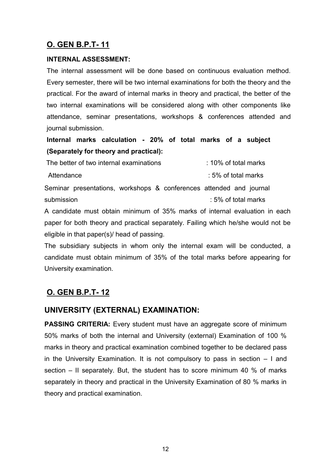#### **INTERNAL ASSESSMENT:**

The internal assessment will be done based on continuous evaluation method. Every semester, there will be two internal examinations for both the theory and the practical. For the award of internal marks in theory and practical, the better of the two internal examinations will be considered along with other components like attendance, seminar presentations, workshops & conferences attended and journal submission.

**Internal marks calculation - 20% of total marks of a subject (Separately for theory and practical):**

The better of two internal examinations  $10\%$  of total marks Attendance **in the set of the set of the set of the set of the set of the set of the set of the set of the set o** 

Seminar presentations, workshops & conferences attended and journal submission : 5% of total marks

A candidate must obtain minimum of 35% marks of internal evaluation in each paper for both theory and practical separately. Failing which he/she would not be eligible in that paper(s)/ head of passing.

The subsidiary subjects in whom only the internal exam will be conducted, a candidate must obtain minimum of 35% of the total marks before appearing for University examination.

### **O. GEN B.P.T- 12**

#### **UNIVERSITY (EXTERNAL) EXAMINATION:**

**PASSING CRITERIA:** Every student must have an aggregate score of minimum 50% marks of both the internal and University (external) Examination of 100 % marks in theory and practical examination combined together to be declared pass in the University Examination. It is not compulsory to pass in section – I and section – II separately. But, the student has to score minimum 40 % of marks separately in theory and practical in the University Examination of 80 % marks in theory and practical examination.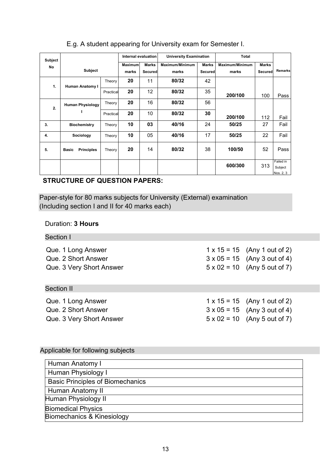| Subject   |                                   |           | Internal evaluation     |                                | <b>University Examination</b> |                         | <b>Total</b>             |                         |                                   |
|-----------|-----------------------------------|-----------|-------------------------|--------------------------------|-------------------------------|-------------------------|--------------------------|-------------------------|-----------------------------------|
| <b>No</b> | <b>Subject</b>                    |           | <b>Maximum</b><br>marks | <b>Marks</b><br><b>Secured</b> | Maximum/Minimum<br>marks      | <b>Marks</b><br>Secured | Maximum/Minimum<br>marks | <b>Marks</b><br>Secured | <b>Remarks</b>                    |
| 1.        | Human Anatomy I                   |           | 20                      | 11                             | 80/32                         | 42                      |                          |                         |                                   |
|           |                                   | Practical | 20                      | 12                             | 80/32                         | 35                      | 200/100                  | 100                     | Pass                              |
| 2.        | <b>Human Physiology</b>           | Theory    | 20                      | 16                             | 80/32                         | 56                      |                          |                         |                                   |
|           |                                   | Practical | 20                      | 10                             | 80/32                         | 30                      | 200/100                  | 112                     | Fail                              |
| 3.        | <b>Biochemistry</b>               | Theory    | 10                      | 03                             | 40/16                         | 24                      | 50/25                    | 27                      | Fail                              |
| 4.        | Sociology                         | Theory    | 10                      | 05                             | 40/16                         | 17                      | 50/25                    | 22                      | Fail                              |
| 5.        | <b>Principles</b><br><b>Basic</b> | Theory    | 20                      | 14                             | 80/32                         | 38                      | 100/50                   | 52                      | Pass                              |
|           |                                   |           |                         |                                |                               |                         | 600/300                  | 313                     | Failed in<br>Subject<br>Nos. 2, 3 |

#### E.g. A student appearing for University exam for Semester I.

#### & 4 **STRUCTURE OF QUESTION PAPERS:**

Paper-style for 80 marks subjects for University (External) examination (Including section I and II for 40 marks each)

#### Duration: **3 Hours**

| Section I                |                                     |
|--------------------------|-------------------------------------|
| Que. 1 Long Answer       | $1 \times 15 = 15$ (Any 1 out of 2) |
| Que. 2 Short Answer      | $3 \times 05 = 15$ (Any 3 out of 4) |
| Que. 3 Very Short Answer | $5 \times 02 = 10$ (Any 5 out of 7) |
| <b>Section II</b>        |                                     |
| Que. 1 Long Answer       | $1 \times 15 = 15$ (Any 1 out of 2) |
| Que. 2 Short Answer      | $3 \times 05 = 15$ (Any 3 out of 4) |
| Que. 3 Very Short Answer | $5 \times 02 = 10$ (Any 5 out of 7) |

#### Applicable for following subjects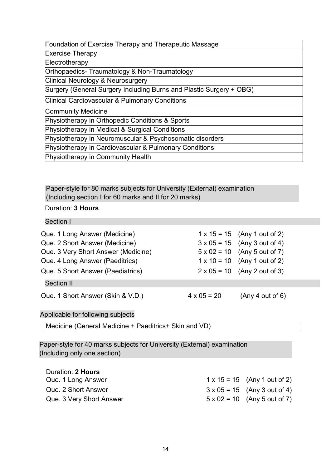| Foundation of Exercise Therapy and Therapeutic Massage              |
|---------------------------------------------------------------------|
| <b>Exercise Therapy</b>                                             |
| Electrotherapy                                                      |
| Orthopaedics-Traumatology & Non-Traumatology                        |
| <b>Clinical Neurology &amp; Neurosurgery</b>                        |
| Surgery (General Surgery Including Burns and Plastic Surgery + OBG) |
| <b>Clinical Cardiovascular &amp; Pulmonary Conditions</b>           |
| Community Medicine                                                  |
| Physiotherapy in Orthopedic Conditions & Sports                     |
| Physiotherapy in Medical & Surgical Conditions                      |
| Physiotherapy in Neuromuscular & Psychosomatic disorders            |
| Physiotherapy in Cardiovascular & Pulmonary Conditions              |
| Physiotherapy in Community Health                                   |

Paper-style for 80 marks subjects for University (External) examination (Including section I for 60 marks and II for 20 marks)

#### Duration: **3 Hours**

Section I

| Que. 1 Long Answer (Medicine)<br>Que. 2 Short Answer (Medicine)<br>Que. 3 Very Short Answer (Medicine)<br>Que. 4 Long Answer (Paeditrics)<br>Que. 5 Short Answer (Paediatrics)<br><b>Section II</b> |                    | $1 \times 15 = 15$ (Any 1 out of 2)<br>$3 \times 05 = 15$ (Any 3 out of 4)<br>$5 \times 02 = 10$ (Any 5 out of 7)<br>$1 \times 10 = 10$ (Any 1 out of 2)<br>$2 \times 05 = 10$ (Any 2 out of 3) |
|-----------------------------------------------------------------------------------------------------------------------------------------------------------------------------------------------------|--------------------|-------------------------------------------------------------------------------------------------------------------------------------------------------------------------------------------------|
| Que. 1 Short Answer (Skin & V.D.)                                                                                                                                                                   | $4 \times 05 = 20$ | (Any 4 out of 6)                                                                                                                                                                                |

#### Applicable for following subjects

Medicine (General Medicine + Paeditrics+ Skin and VD)

Paper-style for 40 marks subjects for University (External) examination (Including only one section)

| Duration: 2 Hours        |                                     |
|--------------------------|-------------------------------------|
| Que. 1 Long Answer       | $1 \times 15 = 15$ (Any 1 out of 2) |
| Que. 2 Short Answer      | $3 \times 05 = 15$ (Any 3 out of 4) |
| Que. 3 Very Short Answer | $5 \times 02 = 10$ (Any 5 out of 7) |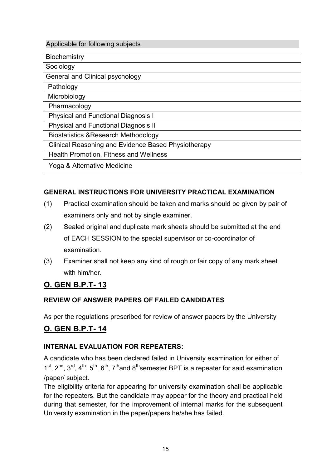#### Applicable for following subjects

| <b>Biochemistry</b>                                 |
|-----------------------------------------------------|
| Sociology                                           |
| General and Clinical psychology                     |
| Pathology                                           |
| Microbiology                                        |
| Pharmacology                                        |
| <b>Physical and Functional Diagnosis I</b>          |
| <b>Physical and Functional Diagnosis II</b>         |
| <b>Biostatistics &amp; Research Methodology</b>     |
| Clinical Reasoning and Evidence Based Physiotherapy |
| <b>Health Promotion, Fitness and Wellness</b>       |
| Yoga & Alternative Medicine                         |

#### **GENERAL INSTRUCTIONS FOR UNIVERSITY PRACTICAL EXAMINATION**

- (1) Practical examination should be taken and marks should be given by pair of examiners only and not by single examiner.
- (2) Sealed original and duplicate mark sheets should be submitted at the end of EACH SESSION to the special supervisor or co-coordinator of examination.
- (3) Examiner shall not keep any kind of rough or fair copy of any mark sheet with him/her

### **O. GEN B.P.T- 13**

#### **REVIEW OF ANSWER PAPERS OF FAILED CANDIDATES**

As per the regulations prescribed for review of answer papers by the University

#### **O. GEN B.P.T- 14**

#### **INTERNAL EVALUATION FOR REPEATERS:**

A candidate who has been declared failed in University examination for either of  $1^{st}$ ,  $2^{nd}$ ,  $3^{rd}$ ,  $4^{th}$ ,  $5^{th}$ ,  $6^{th}$ ,  $7^{th}$  and  $8^{th}$  semester BPT is a repeater for said examination /paper/ subject.

The eligibility criteria for appearing for university examination shall be applicable for the repeaters. But the candidate may appear for the theory and practical held during that semester, for the improvement of internal marks for the subsequent University examination in the paper/papers he/she has failed.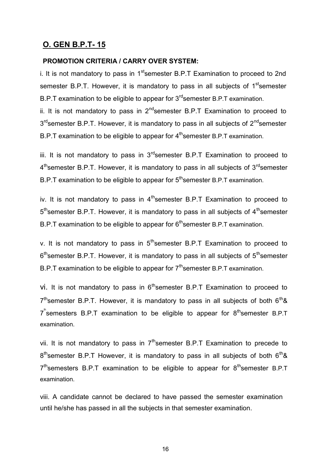#### **PROMOTION CRITERIA / CARRY OVER SYSTEM:**

i. It is not mandatory to pass in  $1<sup>st</sup>$ semester B.P.T Examination to proceed to 2nd semester B.P.T. However, it is mandatory to pass in all subjects of 1<sup>st</sup>semester B.P.T examination to be eligible to appear for  $3<sup>rd</sup>$ semester B.P.T examination.

ii. It is not mandatory to pass in  $2^{nd}$  semester B.P.T Examination to proceed to 3<sup>rd</sup>semester B.P.T. However, it is mandatory to pass in all subjects of 2<sup>nd</sup>semester B.P.T examination to be eligible to appear for 4<sup>th</sup>semester B.P.T examination.

iii. It is not mandatory to pass in  $3<sup>rd</sup>$ semester B.P.T Examination to proceed to 4<sup>th</sup>semester B.P.T. However, it is mandatory to pass in all subjects of 3<sup>rd</sup>semester B.P.T examination to be eligible to appear for 5<sup>th</sup> semester B.P.T examination.

iv. It is not mandatory to pass in  $4<sup>th</sup>$ semester B.P.T Examination to proceed to 5<sup>th</sup>semester B.P.T. However, it is mandatory to pass in all subjects of 4<sup>th</sup>semester B.P.T examination to be eligible to appear for 6<sup>th</sup>semester B.P.T examination.

v. It is not mandatory to pass in  $5<sup>th</sup>$ semester B.P.T Examination to proceed to 6<sup>th</sup>semester B.P.T. However, it is mandatory to pass in all subjects of 5<sup>th</sup>semester B.P.T examination to be eligible to appear for  $7<sup>th</sup>$ semester B.P.T examination.

vi. It is not mandatory to pass in  $6<sup>th</sup>$ semester B.P.T Examination to proceed to  $7<sup>th</sup>$ semester B.P.T. However, it is mandatory to pass in all subjects of both  $6<sup>th</sup>$ &  $7^{^{\circ}}$ semesters B.P.T examination to be eligible to appear for  $8^{th}$ semester B.P.T examination.

vii. It is not mandatory to pass in  $7<sup>th</sup>$ semester B.P.T Examination to precede to  $8<sup>th</sup>$ semester B.P.T However, it is mandatory to pass in all subjects of both  $6<sup>th</sup>$ &  $7<sup>th</sup>$ semesters B.P.T examination to be eligible to appear for  $8<sup>th</sup>$ semester B.P.T examination.

viii. A candidate cannot be declared to have passed the semester examination until he/she has passed in all the subjects in that semester examination.

16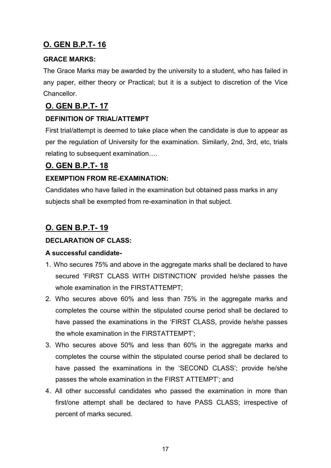#### **GRACE MARKS:**

The Grace Marks may be awarded by the university to a student, who has failed in any paper, either theory or Practical; but it is a subject to discretion of the Vice Chancellor.

### **O. GEN B.P.T- 17**

#### **DEFINITION OF TRIAL/ATTEMPT**

First trial/attempt is deemed to take place when the candidate is due to appear as per the regulation of University for the examination. Similarly, 2nd, 3rd, etc, trials relating to subsequent examination….

#### **O. GEN B.P.T- 18**

#### **EXEMPTION FROM RE-EXAMINATION:**

Candidates who have failed in the examination but obtained pass marks in any subjects shall be exempted from re-examination in that subject.

### **O. GEN B.P.T- 19**

#### **DECLARATION OF CLASS:**

#### **A successful candidate-**

- 1. Who secures 75% and above in the aggregate marks shall be declared to have secured 'FIRST CLASS WITH DISTINCTION' provided he/she passes the whole examination in the FIRSTATTEMPT;
- 2. Who secures above 60% and less than 75% in the aggregate marks and completes the course within the stipulated course period shall be declared to have passed the examinations in the 'FIRST CLASS, provide he/she passes the whole examination in the FIRSTATTEMPT';
- 3. Who secures above 50% and less than 60% in the aggregate marks and completes the course within the stipulated course period shall be declared to have passed the examinations in the 'SECOND CLASS'; provide he/she passes the whole examination in the FIRST ATTEMPT'; and
- 4. All other successful candidates who passed the examination in more than first/one attempt shall be declared to have PASS CLASS; irrespective of percent of marks secured.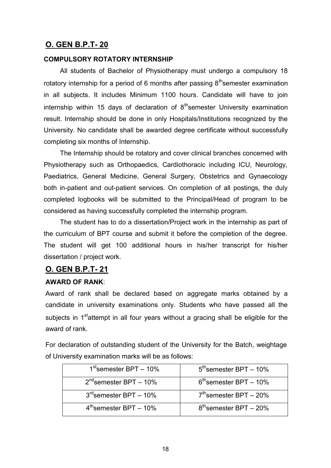#### **COMPULSORY ROTATORY INTERNSHIP**

All students of Bachelor of Physiotherapy must undergo a compulsory 18 rotatory internship for a period of 6 months after passing  $8<sup>th</sup>$ semester examination in all subjects. It includes Minimum 1100 hours. Candidate will have to join internship within 15 days of declaration of  $8<sup>th</sup>$ semester University examination result. Internship should be done in only Hospitals/Institutions recognized by the University. No candidate shall be awarded degree certificate without successfully completing six months of Internship.

The Internship should be rotatory and cover clinical branches concerned with Physiotherapy such as Orthopaedics, Cardiothoracic including ICU, Neurology, Paediatrics, General Medicine, General Surgery, Obstetrics and Gynaecology both in-patient and out-patient services. On completion of all postings, the duly completed logbooks will be submitted to the Principal/Head of program to be considered as having successfully completed the internship program.

The student has to do a dissertation/Project work in the internship as part of the curriculum of BPT course and submit it before the completion of the degree. The student will get 100 additional hours in his/her transcript for his/her dissertation / project work.

#### **O. GEN B.P.T- 21**

#### **AWARD OF RANK**:

Award of rank shall be declared based on aggregate marks obtained by a candidate in university examinations only. Students who have passed all the subjects in  $1<sup>st</sup>$ attempt in all four years without a gracing shall be eligible for the award of rank.

For declaration of outstanding student of the University for the Batch, weightage of University examination marks will be as follows:

| $1st$ semester BPT – 10%    | $5th$ semester BPT – 10% |
|-----------------------------|--------------------------|
| $2^{nd}$ semester BPT - 10% | $6th$ semester BPT – 10% |
| $3rd$ semester BPT - 10%    | $7th$ semester BPT – 20% |
| $4th$ semester BPT – 10%    | $8th$ semester BPT – 20% |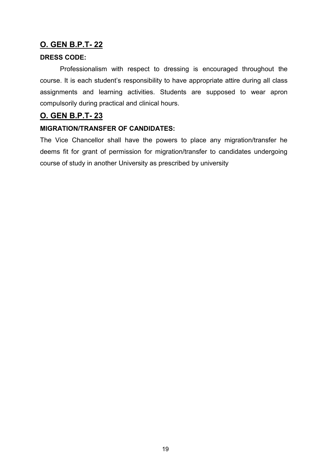#### **DRESS CODE:**

Professionalism with respect to dressing is encouraged throughout the course. It is each student's responsibility to have appropriate attire during all class assignments and learning activities. Students are supposed to wear apron compulsorily during practical and clinical hours.

#### **O. GEN B.P.T- 23**

#### **MIGRATION/TRANSFER OF CANDIDATES:**

The Vice Chancellor shall have the powers to place any migration/transfer he deems fit for grant of permission for migration/transfer to candidates undergoing course of study in another University as prescribed by university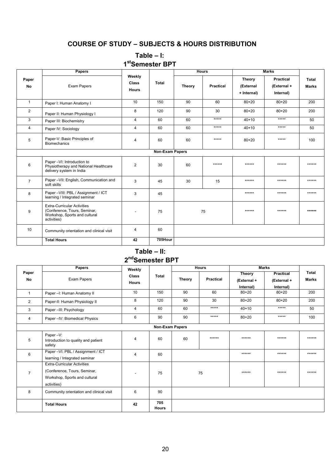#### **COURSE OF STUDY – SUBJECTS & HOURS DISTRIBUTION**

#### **Table – I: 1 stSemester BPT**

|                         | <b>Papers</b>                                                                                                      |                                        |                 |               | <b>Hours</b>     |                                           | <b>Marks</b>                                 |                              |
|-------------------------|--------------------------------------------------------------------------------------------------------------------|----------------------------------------|-----------------|---------------|------------------|-------------------------------------------|----------------------------------------------|------------------------------|
| Paper<br>No             | Exam Papers                                                                                                        | Weekly<br><b>Class</b><br><b>Hours</b> | <b>Total</b>    | <b>Theory</b> | <b>Practical</b> | <b>Theory</b><br>(External<br>+ Internal) | <b>Practical</b><br>(External +<br>Internal) | <b>Total</b><br><b>Marks</b> |
| $\mathbf{1}$            | Paper I: Human Anatomy I                                                                                           | 10                                     | 150             | 90            | 60               | $80 + 20$                                 | $80 + 20$                                    | 200                          |
| $\overline{\mathbf{c}}$ | Paper II: Human Physiology I                                                                                       | 8                                      | 120             | 90            | 30               | $80 + 20$                                 | $80 + 20$                                    | 200                          |
| 3                       | Paper III: Biochemistry                                                                                            | $\overline{4}$                         | 60              | 60            | *****            | $40 + 10$                                 | *****                                        | 50                           |
| 4                       | Paper IV: Sociology                                                                                                | $\overline{4}$                         | 60              | 60            | *****            | $40 + 10$                                 | *****                                        | 50                           |
| 5                       | Paper-V: Basic Principles of<br><b>Biomechanics</b>                                                                | 4                                      | 60              | 60            | *****            | $80 + 20$                                 | *****                                        | 100                          |
|                         |                                                                                                                    |                                        | Non-Exam Papers |               |                  |                                           |                                              |                              |
| 6                       | Paper -VI: Introduction to<br>Physiotherapy and National Healthcare<br>delivery system in India                    | $\overline{2}$                         | 30              | 60            | ******           | ******                                    | ******                                       | ******                       |
| $\overline{7}$          | Paper - VII: English, Communication and<br>soft skills                                                             | 3                                      | 45              | 30            | 15               | ******                                    | ******                                       | ******                       |
| 8                       | Paper - VIII: PBL / Assignment / ICT<br>learning / Integrated seminar                                              | 3                                      | 45              |               |                  | ******                                    | ******                                       | ******                       |
| 9                       | <b>Extra-Curricular Activities</b><br>(Conference, Tours, Seminar,<br>Workshop, Sports and cultural<br>activities) |                                        | 75              |               | 75               | ******                                    | ******                                       | ******                       |
| 10                      | Community orientation and clinical visit                                                                           | 4                                      | 60              |               |                  |                                           |                                              |                              |
|                         | <b>Total Hours</b>                                                                                                 | 42                                     | 705Hour         |               |                  |                                           |                                              |                              |

### **s Table – II: 2 ndSemester BPT**

|                 | Papers                                                                                                             | Weekly                       |                     |        | <b>Hours</b>     | <b>Marks</b>                 |                                 |                       |
|-----------------|--------------------------------------------------------------------------------------------------------------------|------------------------------|---------------------|--------|------------------|------------------------------|---------------------------------|-----------------------|
| Paper<br>No     | Exam Papers                                                                                                        | <b>Class</b><br><b>Hours</b> | <b>Total</b>        | Theory | <b>Practical</b> | <b>Theory</b><br>(External + | <b>Practical</b><br>(External + | Total<br><b>Marks</b> |
| $\mathbf{1}$    | Paper - I: Human Anatomy II                                                                                        | 10                           | 150                 | 90     | 60               | Internal)<br>$80 + 20$       | Internal)<br>$80 + 20$          | 200                   |
| $\overline{2}$  | Paper-II: Human Physiology II                                                                                      | 8                            | 120                 | 90     | 30               | $80 + 20$                    | $80 + 20$                       | 200                   |
| 3               | Paper-III: Psychology                                                                                              | 4                            | 60                  | 60     | *****            | $40 + 10$                    | *****                           | 50                    |
| 4               | Paper - IV: Biomedical Physics                                                                                     | 6                            | 90                  | 90     | *****            | $80 + 20$                    | *****                           | 100                   |
| Non-Exam Papers |                                                                                                                    |                              |                     |        |                  |                              |                                 |                       |
| 5               | Paper-V:<br>Introduction to quality and patient<br>safety                                                          | 4                            | 60                  | 60     | ******           | ******                       | ******                          | ******                |
| 6               | Paper -VI: PBL / Assignment / ICT<br>learning / Integrated seminar                                                 | 4                            | 60                  |        |                  | ******                       | ******                          | ******                |
| $\overline{7}$  | <b>Extra-Curricular Activities</b><br>(Conference, Tours, Seminar,<br>Workshop, Sports and cultural<br>activities) |                              | 75                  |        | 75               | ******                       | ******                          | ******                |
| 8               | Community orientation and clinical visit                                                                           | 6                            | 90                  |        |                  |                              |                                 |                       |
|                 | <b>Total Hours</b>                                                                                                 | 42                           | 705<br><b>Hours</b> |        |                  |                              |                                 |                       |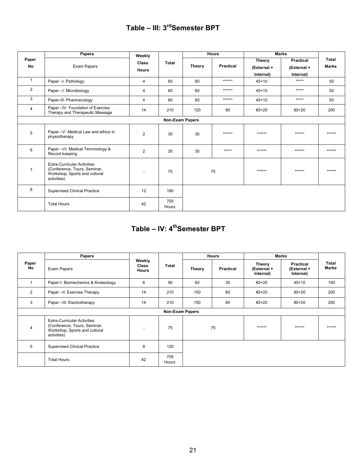## **Table – III: 3rdSemester BPT**

|                    | Papers                                                                                                             | Weekly                       |              | <b>Hours</b>  |                  | <b>Marks</b>                       |                                              |                       |
|--------------------|--------------------------------------------------------------------------------------------------------------------|------------------------------|--------------|---------------|------------------|------------------------------------|----------------------------------------------|-----------------------|
| Paper<br><b>No</b> | Exam Papers                                                                                                        | <b>Class</b><br><b>Hours</b> | <b>Total</b> | <b>Theory</b> | <b>Practical</b> | Theory<br>(External +<br>Internal) | <b>Practical</b><br>(External +<br>Internal) | Total<br><b>Marks</b> |
| $\mathbf{1}$       | Paper -I: Pathology                                                                                                | $\overline{4}$               | 60           | 60            | ******           | $40 + 10$                          | *****                                        | 50                    |
| $\mathbf{2}$       | Paper -I: Microbiology                                                                                             | 4                            | 60           | 60            | ******           | $40 + 10$                          | *****                                        | 50                    |
| 3                  | Paper-III: Pharmacology                                                                                            | $\overline{4}$               | 60           | 60            | ******           | $40 + 10$                          | *****                                        | 50                    |
| $\overline{4}$     | Paper -IV: Foundation of Exercise<br>Therapy and Therapeutic Massage                                               | 14                           | 210          | 120           | 90               | $80 + 20$                          | $80 + 20$                                    | 200                   |
|                    | <b>Non-Exam Papers</b>                                                                                             |                              |              |               |                  |                                    |                                              |                       |
| 5                  | Paper -V: Medical Law and ethics in<br>physiotherapy                                                               | 2                            | 30           | 30            | ******           | ******                             | ******                                       | ******                |
| 6                  | Paper -VI: Medical Terminology &<br>Record keeping                                                                 | 2                            | 30           | 30            | *****            | ******                             | ******                                       | ******                |
| $\overline{7}$     | <b>Extra-Curricular Activities</b><br>(Conference, Tours, Seminar,<br>Workshop, Sports and cultural<br>activities) | $\overline{\phantom{a}}$     | 75           |               | 75               | ******                             | ******                                       | ******                |
| 8                  | <b>Supervised Clinical Practice</b>                                                                                | 12                           | 180          |               |                  |                                    |                                              |                       |
|                    | <b>Total Hours</b>                                                                                                 | 42                           | 705<br>Hours |               |                  |                                    |                                              |                       |

## **Table – IV: 4thSemester BPT**

|                | <b>Papers</b>                                                                                                      |                                        |                        |               |                  | <b>Hours</b>                       |                                       | <b>Marks</b>          |  |
|----------------|--------------------------------------------------------------------------------------------------------------------|----------------------------------------|------------------------|---------------|------------------|------------------------------------|---------------------------------------|-----------------------|--|
| Paper<br>No    | Exam Papers                                                                                                        | Weekly<br><b>Class</b><br><b>Hours</b> | <b>Total</b>           | <b>Theory</b> | <b>Practical</b> | Theory<br>(External +<br>Internal) | Practical<br>(External +<br>Internal) | Total<br><b>Marks</b> |  |
|                | Paper-I: Biomechanics & Kinesiology                                                                                | 6                                      | 90                     | 60            | 30               | $80 + 20$                          | $40 + 10$                             | 150                   |  |
| $\overline{2}$ | Paper -II: Exercise Therapy                                                                                        | 14                                     | 210                    | 150           | 60               | $80 + 20$                          | $80 + 20$                             | 200                   |  |
| 3              | Paper -III: Electrotherapy                                                                                         | 14                                     | 210                    | 150           | 60               | $80 + 20$                          | $80 + 20$                             | 200                   |  |
|                |                                                                                                                    |                                        | <b>Non-Exam Papers</b> |               |                  |                                    |                                       |                       |  |
| 4              | <b>Extra-Curricular Activities</b><br>(Conference, Tours, Seminar,<br>Workshop, Sports and cultural<br>activities) | ۰                                      | 75                     |               | 75               | ******                             | ******                                | ******                |  |
| 5              | <b>Supervised Clinical Practice</b>                                                                                | 8                                      | 120                    |               |                  |                                    |                                       |                       |  |
|                | <b>Total Hours</b>                                                                                                 | 42                                     | 705<br>Hours           |               |                  |                                    |                                       |                       |  |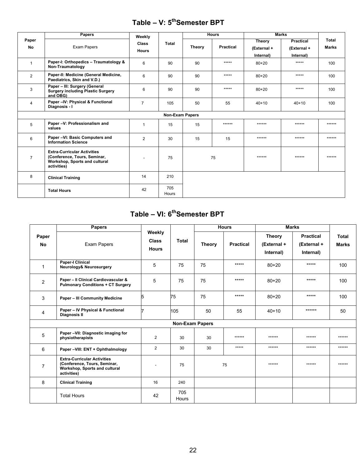## **Table – V: 5thSemester BPT**

|                | <b>Papers</b>                                                                                                      | Weekly                       |                        |               | <b>Hours</b>     | <b>Marks</b>                       |                                              |                              |
|----------------|--------------------------------------------------------------------------------------------------------------------|------------------------------|------------------------|---------------|------------------|------------------------------------|----------------------------------------------|------------------------------|
| Paper<br>No    | Exam Papers                                                                                                        | <b>Class</b><br><b>Hours</b> | Total                  | <b>Theory</b> | <b>Practical</b> | Theory<br>(External +<br>Internal) | <b>Practical</b><br>(External +<br>Internal) | <b>Total</b><br><b>Marks</b> |
| $\mathbf{1}$   | Paper-I: Orthopedics - Traumatology &<br>Non-Traumatology                                                          | 6                            | 90                     | 90            | *****            | $80 + 20$                          | *****                                        | 100                          |
| $\overline{2}$ | Paper-II: Medicine (General Medicine,<br>Paediatrics, Skin and V.D.)                                               | 6                            | 90                     | 90            | *****            | $80 + 20$                          | *****                                        | 100                          |
| 3              | Paper - III: Surgery (General<br><b>Surgery including Plastic Surgery</b><br>and OBG)                              | 6                            | 90                     | 90            | *****            | $80 + 20$                          | *****                                        | 100                          |
| 4              | Paper -IV: Physical & Functional<br>Diagnosis - I                                                                  | $\overline{7}$               | 105                    | 50            | 55               | $40 + 10$                          | $40+10$                                      | 100                          |
|                |                                                                                                                    |                              | <b>Non-Exam Papers</b> |               |                  |                                    |                                              |                              |
| 5              | Paper -V: Professionalism and<br>values                                                                            | 1                            | 15                     | 15            | ******           | ******                             | ******                                       | ******                       |
| 6              | Paper -VI: Basic Computers and<br><b>Information Science</b>                                                       | $\overline{2}$               | 30                     | 15            | 15               | ******                             | ******                                       | ******                       |
| $\overline{7}$ | <b>Extra-Curricular Activities</b><br>(Conference, Tours, Seminar,<br>Workshop, Sports and cultural<br>activities) |                              | 75                     |               | 75               | ******                             | ******                                       | ******                       |
| 8              | <b>Clinical Training</b>                                                                                           | 14                           | 210                    |               |                  |                                    |                                              |                              |
|                | <b>Total Hours</b>                                                                                                 | 42                           | 705<br>Hours           |               |                  |                                    |                                              |                              |

#### **Table – VI: 6 thSemester BPT**

|                | <b>Papers</b>                                                                                                      | Weekly<br><b>Class</b><br><b>Hours</b> |                        |               | <b>Hours</b>     |                                           | <b>Marks</b>                                 |                       |
|----------------|--------------------------------------------------------------------------------------------------------------------|----------------------------------------|------------------------|---------------|------------------|-------------------------------------------|----------------------------------------------|-----------------------|
| Paper<br>No    | Exam Papers                                                                                                        |                                        | Total                  | <b>Theory</b> | <b>Practical</b> | <b>Theory</b><br>(External +<br>Internal) | <b>Practical</b><br>(External +<br>Internal) | Total<br><b>Marks</b> |
| $\mathbf{1}$   | <b>Paper-I Clinical</b><br>Neurology& Neurosurgery                                                                 | 5                                      | 75                     | 75            | *****            | $80 + 20$                                 | $*****$                                      | 100                   |
| 2              | Paper - Il Clinical Cardiovascular &<br><b>Pulmonary Conditions + CT Surgery</b>                                   | 5                                      | 75                     | 75            | $*****$          | $80 + 20$                                 | $****$                                       | 100                   |
| 3              | <b>Paper - III Community Medicine</b>                                                                              | 5                                      | 75                     | 75            | *****            | $80 + 20$                                 | $****$                                       | 100                   |
| $\overline{4}$ | Paper - IV Physical & Functional<br><b>Diagnosis II</b>                                                            |                                        | 105                    | 50            | 55               | $40 + 10$                                 | ******                                       | 50                    |
|                |                                                                                                                    |                                        | <b>Non-Exam Papers</b> |               |                  |                                           |                                              |                       |
| 5              | Paper -VII: Diagnostic imaging for<br>physiotherapists                                                             | $\overline{2}$                         | 30                     | 30            | ******           | ******                                    | ******                                       | ******                |
| 6              | Paper -VIII: ENT + Ophthalmology                                                                                   | $\overline{2}$                         | 30                     | 30            | *****            | ******                                    | ******                                       | ******                |
| $\overline{7}$ | <b>Extra-Curricular Activities</b><br>(Conference, Tours, Seminar,<br>Workshop, Sports and cultural<br>activities) |                                        | 75                     |               | 75               | ******                                    | ******                                       | ******                |
| 8              | <b>Clinical Training</b>                                                                                           | 16                                     | 240                    |               |                  |                                           |                                              |                       |
|                | <b>Total Hours</b>                                                                                                 | 42                                     | 705<br>Hours           |               |                  |                                           |                                              |                       |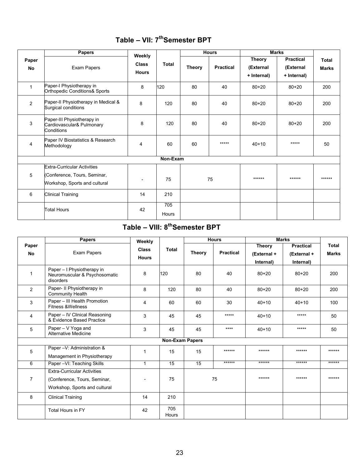|                | <b>Papers</b>                                                                                       | Weekly                       |              |               | <b>Hours</b>     |                                           | <b>Marks</b>                                 |                              |
|----------------|-----------------------------------------------------------------------------------------------------|------------------------------|--------------|---------------|------------------|-------------------------------------------|----------------------------------------------|------------------------------|
| Paper<br>No    | Exam Papers                                                                                         | <b>Class</b><br><b>Hours</b> | <b>Total</b> | <b>Theory</b> | <b>Practical</b> | <b>Theory</b><br>(External<br>+ Internal) | <b>Practical</b><br>(External<br>+ Internal) | <b>Total</b><br><b>Marks</b> |
| $\mathbf{1}$   | Paper-I Physiotherapy in<br>Orthopedic Conditions& Sports                                           | 8                            | 120          | 80            | 40               | $80 + 20$                                 | $80 + 20$                                    | 200                          |
| $\overline{2}$ | Paper-II Physiotherapy in Medical &<br>Surgical conditions                                          | 8                            | 120          | 80            | 40               | $80 + 20$                                 | $80 + 20$                                    | 200                          |
| 3              | Paper-III Physiotherapy in<br>Cardiovascular& Pulmonary<br>Conditions                               | 8                            | 120          | 80            | 40               | $80 + 20$                                 | $80 + 20$                                    | 200                          |
| 4              | Paper IV Biostatistics & Research<br>Methodology                                                    | 4                            | 60           | 60            | $*****$          | $40 + 10$                                 | $*****$                                      | 50                           |
|                |                                                                                                     |                              | Non-Exam     |               |                  |                                           |                                              |                              |
| 5              | <b>Extra-Curricular Activities</b><br>(Conference, Tours, Seminar,<br>Workshop, Sports and cultural | $\overline{\phantom{a}}$     | 75           |               | 75               | ******                                    | $******$                                     | ******                       |
| 6              | <b>Clinical Training</b>                                                                            | 14                           | 210          |               |                  |                                           |                                              |                              |
|                | <b>Total Hours</b>                                                                                  | 42                           | 705<br>Hours |               |                  |                                           |                                              |                              |

## **Table – VII: 7thSemester BPT**

## **Table – VIII: 8thSemester BPT**

|                | <b>Papers</b>                                                            | Weekly                   |                        |               | <b>Hours</b>     |               | <b>Marks</b>     |              |
|----------------|--------------------------------------------------------------------------|--------------------------|------------------------|---------------|------------------|---------------|------------------|--------------|
| Paper          |                                                                          | <b>Class</b>             | Total                  |               |                  | <b>Theory</b> | <b>Practical</b> | Total        |
| <b>No</b>      | Exam Papers                                                              | <b>Hours</b>             |                        | <b>Theory</b> | <b>Practical</b> | (External +   | (External +      | <b>Marks</b> |
|                |                                                                          |                          |                        |               | Internal)        | Internal)     |                  |              |
| $\mathbf{1}$   | Paper - I Physiotherapy in<br>Neuromuscular & Psychosomatic<br>disorders | 8                        | 120                    | 80            | 40               | $80 + 20$     | $80 + 20$        | 200          |
| $\overline{2}$ | Paper- II Physiotherapy in<br><b>Community Health</b>                    | 8                        | 120                    | 80            | 40               | $80 + 20$     | $80 + 20$        | 200          |
| 3              | Paper - III Health Promotion<br><b>Fitness &amp;Wellness</b>             | 4                        | 60                     | 60            | 30               | $40+10$       | $40+10$          | 100          |
| 4              | Paper - IV Clinical Reasoning<br>& Evidence Based Practice               | 3                        | 45                     | 45            | $*****$          | $40+10$       | *****            | 50           |
| 5              | Paper - V Yoga and<br>Alternative Medicine                               | 3                        | 45                     | 45            | $***$            | $40+10$       | *****            | 50           |
|                |                                                                          |                          | <b>Non-Exam Papers</b> |               |                  |               |                  |              |
| 5              | Paper - V: Administration &                                              | 1                        | 15                     | 15            | ******           | ******        | ******           | ******       |
|                | Management in Physiotherapy                                              |                          |                        |               |                  |               |                  |              |
| 6              | Paper - VI: Teaching Skills                                              | $\mathbf{1}$             | 15                     | 15            | ******           | ******        | $******$         | ******       |
|                | <b>Extra-Curricular Activities</b>                                       |                          |                        |               |                  |               |                  |              |
| $\overline{7}$ | (Conference, Tours, Seminar,                                             | $\overline{\phantom{a}}$ | 75                     |               | 75               | ******        | ******           | ******       |
|                | Workshop, Sports and cultural                                            |                          |                        |               |                  |               |                  |              |
| 8              | <b>Clinical Training</b>                                                 | 14                       | 210                    |               |                  |               |                  |              |
|                | <b>Total Hours in FY</b>                                                 | 42                       | 705<br>Hours           |               |                  |               |                  |              |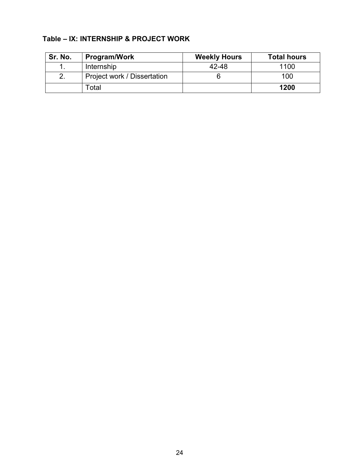#### **Table – IX: INTERNSHIP & PROJECT WORK**

| Sr. No. | Program/Work                | <b>Weekly Hours</b> | <b>Total hours</b> |
|---------|-----------------------------|---------------------|--------------------|
|         | Internship                  | 42-48               | 1100               |
| 2.      | Project work / Dissertation |                     | 100                |
|         | <sup>-</sup> otal           |                     | 1200               |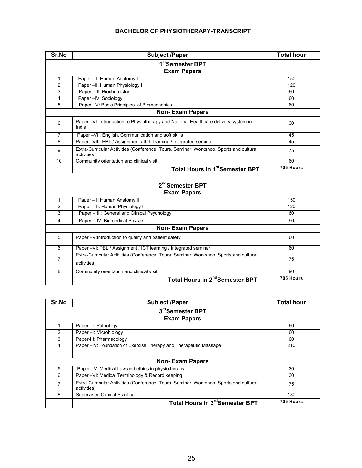#### **BACHELOR OF PHYSIOTHERAPY-TRANSCRIPT**

| Sr.No              | Subject /Paper                                                                                        | <b>Total hour</b> |  |  |  |
|--------------------|-------------------------------------------------------------------------------------------------------|-------------------|--|--|--|
|                    | 1 <sup>st</sup> Semester BPT                                                                          |                   |  |  |  |
| <b>Exam Papers</b> |                                                                                                       |                   |  |  |  |
| 1                  | Paper - I: Human Anatomy I                                                                            | 150               |  |  |  |
| $\overline{c}$     | Paper -II: Human Physiology I                                                                         | 120               |  |  |  |
| 3                  | Paper -III: Biochemistry                                                                              | 60                |  |  |  |
| 4                  | Paper - IV: Sociology                                                                                 | 60                |  |  |  |
| 5                  | Paper -V: Basic Principles of Biomechanics                                                            | 60                |  |  |  |
|                    | <b>Non-Exam Papers</b>                                                                                |                   |  |  |  |
| 6                  | Paper -VI: Introduction to Physiotherapy and National Healthcare delivery system in<br>India          | 30                |  |  |  |
| $\overline{7}$     | Paper - VII: English, Communication and soft skills                                                   | 45                |  |  |  |
| 8                  | Paper -VIII: PBL / Assignment / ICT learning / Integrated seminar                                     | 45                |  |  |  |
| 9                  | Extra-Curricular Activities (Conference, Tours, Seminar, Workshop, Sports and cultural<br>activities) | 75                |  |  |  |
| 10                 | Community orientation and clinical visit                                                              | 60                |  |  |  |
|                    | <b>Total Hours in 1st Semester BPT</b>                                                                | 705 Hours         |  |  |  |
|                    |                                                                                                       |                   |  |  |  |
|                    | 2 <sup>nd</sup> Semester BPT                                                                          |                   |  |  |  |
|                    | <b>Exam Papers</b>                                                                                    |                   |  |  |  |
| 1                  | Paper - I: Human Anatomy II                                                                           | 150               |  |  |  |
| $\overline{c}$     | Paper - II: Human Physiology II                                                                       | 120               |  |  |  |
| 3                  | Paper - III: General and Clinical Psychology                                                          | 60                |  |  |  |
| 4                  | Paper - IV: Biomedical Physics                                                                        | 90                |  |  |  |
|                    | <b>Non-Exam Papers</b>                                                                                |                   |  |  |  |
| 5                  | Paper -V:Introduction to quality and patient safety                                                   | 60                |  |  |  |
| 6                  | Paper -VI: PBL / Assignment / ICT learning / Integrated seminar                                       | 60                |  |  |  |
| 7                  | Extra-Curricular Activities (Conference, Tours, Seminar, Workshop, Sports and cultural<br>activities) | 75                |  |  |  |
| 8                  | Community orientation and clinical visit                                                              | 90                |  |  |  |
|                    | Total Hours in 2 <sup>nd</sup> Semester BPT                                                           | 705 Hours         |  |  |  |

| Sr.No | <b>Subject /Paper</b>                                                                                 | <b>Total hour</b> |  |  |  |  |
|-------|-------------------------------------------------------------------------------------------------------|-------------------|--|--|--|--|
|       | 3rdSemester BPT                                                                                       |                   |  |  |  |  |
|       | <b>Exam Papers</b>                                                                                    |                   |  |  |  |  |
|       | Paper -I: Pathology                                                                                   | 60                |  |  |  |  |
| 2     | Paper -I: Microbiology                                                                                | 60                |  |  |  |  |
| 3     | Paper-III: Pharmacology                                                                               | 60                |  |  |  |  |
| 4     | Paper -IV: Foundation of Exercise Therapy and Therapeutic Massage                                     | 210               |  |  |  |  |
|       |                                                                                                       |                   |  |  |  |  |
|       | <b>Non-Exam Papers</b>                                                                                |                   |  |  |  |  |
| 5     | Paper -V: Medical Law and ethics in physiotherapy                                                     | 30                |  |  |  |  |
| 6     | Paper -VI: Medical Terminology & Record keeping                                                       | 30                |  |  |  |  |
| 7     | Extra-Curricular Activities (Conference, Tours, Seminar, Workshop, Sports and cultural<br>activities) | 75                |  |  |  |  |
| 8     | <b>Supervised Clinical Practice</b>                                                                   | 180               |  |  |  |  |
|       | Total Hours in 3 <sup>rd</sup> Semester BPT                                                           | 705 Hours         |  |  |  |  |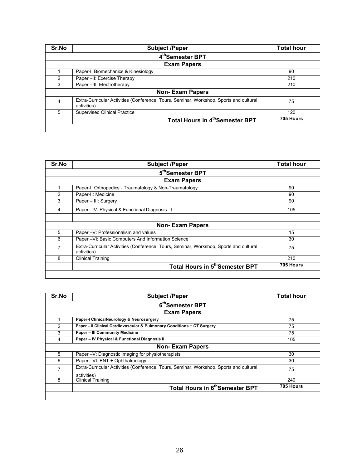| Sr.No | <b>Subject /Paper</b>                                                                                 | <b>Total hour</b> |  |  |  |
|-------|-------------------------------------------------------------------------------------------------------|-------------------|--|--|--|
|       | 4th Semester BPT                                                                                      |                   |  |  |  |
|       | <b>Exam Papers</b>                                                                                    |                   |  |  |  |
|       | Paper-I: Biomechanics & Kinesiology                                                                   | 90                |  |  |  |
| 2     | Paper -II: Exercise Therapy                                                                           | 210               |  |  |  |
| 3     | Paper -III: Electrotherapy                                                                            | 210               |  |  |  |
|       | <b>Non-Exam Papers</b>                                                                                |                   |  |  |  |
| 4     | Extra-Curricular Activities (Conference, Tours, Seminar, Workshop, Sports and cultural<br>activities) | 75                |  |  |  |
| 5     | <b>Supervised Clinical Practice</b>                                                                   | 120               |  |  |  |
|       | Total Hours in 4th Semester BPT                                                                       | 705 Hours         |  |  |  |
|       |                                                                                                       |                   |  |  |  |

| Sr.No          | <b>Subject /Paper</b>                                                                                 | <b>Total hour</b> |
|----------------|-------------------------------------------------------------------------------------------------------|-------------------|
|                | 5 <sup>th</sup> Semester BPT                                                                          |                   |
|                | <b>Exam Papers</b>                                                                                    |                   |
|                | Paper-I: Orthopedics - Traumatology & Non-Traumatology                                                | 90                |
| 2              | Paper-II: Medicine                                                                                    | 90                |
| 3              | Paper - III: Surgery                                                                                  | 90                |
| 4              | Paper - IV: Physical & Functional Diagnosis - I                                                       | 105               |
|                |                                                                                                       |                   |
|                | <b>Non-Exam Papers</b>                                                                                |                   |
| 5              | Paper -V: Professionalism and values                                                                  | 15                |
| 6              | Paper - VI: Basic Computers And Information Science                                                   | 30                |
| $\overline{7}$ | Extra-Curricular Activities (Conference, Tours, Seminar, Workshop, Sports and cultural<br>activities) | 75                |
| 8              | <b>Clinical Training</b>                                                                              | 210               |
|                | Total Hours in 5 <sup>th</sup> Semester BPT                                                           | 705 Hours         |
|                |                                                                                                       |                   |

| Sr.No         | <b>Subject /Paper</b>                                                                                 | <b>Total hour</b> |  |  |  |
|---------------|-------------------------------------------------------------------------------------------------------|-------------------|--|--|--|
|               | 6 <sup>th</sup> Semester BPT                                                                          |                   |  |  |  |
|               | <b>Exam Papers</b>                                                                                    |                   |  |  |  |
|               | Paper-I ClinicalNeurology & Neurosurgery                                                              | 75                |  |  |  |
| $\mathcal{P}$ | Paper - Il Clinical Cardiovascular & Pulmonary Conditions + CT Surgery                                | 75                |  |  |  |
| 3             | <b>Paper - III Community Medicine</b>                                                                 | 75                |  |  |  |
| 4             | Paper - IV Physical & Functional Diagnosis II                                                         | 105               |  |  |  |
|               | <b>Non-Exam Papers</b>                                                                                |                   |  |  |  |
| 5             | Paper -V: Diagnostic imaging for physiotherapists                                                     | 30                |  |  |  |
| 6             | Paper - VI: ENT + Ophthalmology                                                                       | 30                |  |  |  |
| 7             | Extra-Curricular Activities (Conference, Tours, Seminar, Workshop, Sports and cultural<br>activities) | 75                |  |  |  |
| 8             | <b>Clinical Training</b>                                                                              | 240               |  |  |  |
|               | Total Hours in 6 <sup>th</sup> Semester BPT                                                           | 705 Hours         |  |  |  |
|               |                                                                                                       |                   |  |  |  |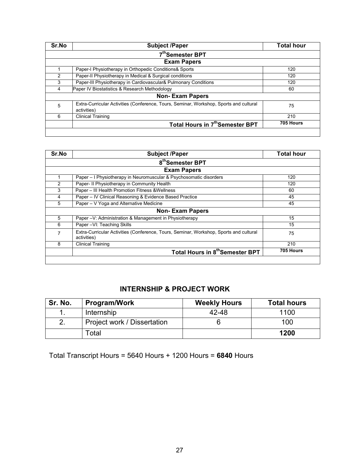| Sr.No         | <b>Subject /Paper</b>                                                                                 | Total hour |  |  |  |
|---------------|-------------------------------------------------------------------------------------------------------|------------|--|--|--|
|               | 7th Semester BPT                                                                                      |            |  |  |  |
|               | <b>Exam Papers</b>                                                                                    |            |  |  |  |
|               | Paper-I Physiotherapy in Orthopedic Conditions& Sports                                                | 120        |  |  |  |
| $\mathcal{P}$ | Paper-II Physiotherapy in Medical & Surgical conditions                                               | 120        |  |  |  |
| 3             | Paper-III Physiotherapy in Cardiovascular& Pulmonary Conditions                                       | 120        |  |  |  |
| 4             | Paper IV Biostatistics & Research Methodology                                                         | 60         |  |  |  |
|               | <b>Non-Exam Papers</b>                                                                                |            |  |  |  |
| 5             | Extra-Curricular Activities (Conference, Tours, Seminar, Workshop, Sports and cultural<br>activities) | 75         |  |  |  |
| 6             | <b>Clinical Training</b>                                                                              | 210        |  |  |  |
|               | Total Hours in 7 <sup>th</sup> Semester BPT                                                           | 705 Hours  |  |  |  |
|               |                                                                                                       |            |  |  |  |

| Sr.No | <b>Subject /Paper</b>                                                                                 | <b>Total hour</b> |  |  |  |
|-------|-------------------------------------------------------------------------------------------------------|-------------------|--|--|--|
|       | 8 <sup>th</sup> Semester BPT                                                                          |                   |  |  |  |
|       | <b>Exam Papers</b>                                                                                    |                   |  |  |  |
|       | Paper – I Physiotherapy in Neuromuscular & Psychosomatic disorders                                    | 120               |  |  |  |
| 2     | Paper- II Physiotherapy in Community Health                                                           | 120               |  |  |  |
| 3     | Paper - III Health Promotion Fitness & Wellness                                                       | 60                |  |  |  |
| 4     | Paper - IV Clinical Reasoning & Evidence Based Practice                                               | 45                |  |  |  |
| 5     | Paper - V Yoga and Alternative Medicine                                                               | 45                |  |  |  |
|       | <b>Non-Exam Papers</b>                                                                                |                   |  |  |  |
| 5     | Paper - V: Administration & Management in Physiotherapy                                               | 15                |  |  |  |
| 6     | Paper - VI: Teaching Skills                                                                           | 15                |  |  |  |
| 7     | Extra-Curricular Activities (Conference, Tours, Seminar, Workshop, Sports and cultural<br>activities) | 75                |  |  |  |
| 8     | <b>Clinical Training</b>                                                                              | 210               |  |  |  |
|       | Total Hours in 8 <sup>th</sup> Semester BPT                                                           | 705 Hours         |  |  |  |
|       |                                                                                                       |                   |  |  |  |

#### **INTERNSHIP & PROJECT WORK**

| Sr. No. | <b>Program/Work</b>         | <b>Weekly Hours</b> | <b>Total hours</b> |
|---------|-----------------------------|---------------------|--------------------|
|         | Internship                  | 42-48               | 1100               |
|         | Project work / Dissertation |                     | 100                |
|         | Гоtal                       |                     | 1200               |

Total Transcript Hours = 5640 Hours + 1200 Hours = **6840** Hours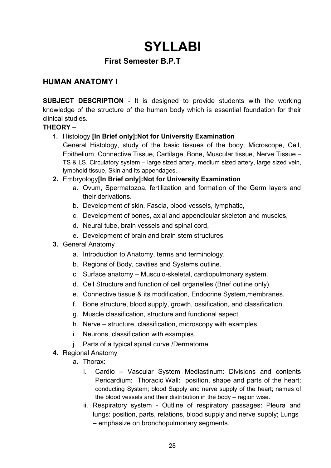# **SYLLABI**

### **First Semester B.P.T**

### **HUMAN ANATOMY I**

**SUBJECT DESCRIPTION** - It is designed to provide students with the working knowledge of the structure of the human body which is essential foundation for their clinical studies.

#### **THEORY –**

#### **1.** Histology **[In Brief only]:Not for University Examination**

General Histology, study of the basic tissues of the body; Microscope, Cell, Epithelium, Connective Tissue, Cartilage, Bone, Muscular tissue, Nerve Tissue – TS & LS, Circulatory system – large sized artery, medium sized artery, large sized vein, lymphoid tissue, Skin and its appendages.

#### **2.** Embryology**[In Brief only]:Not for University Examination**

- a. Ovum, Spermatozoa, fertilization and formation of the Germ layers and their derivations.
- b. Development of skin, Fascia, blood vessels, lymphatic,
- c. Development of bones, axial and appendicular skeleton and muscles,
- d. Neural tube, brain vessels and spinal cord,
- e. Development of brain and brain stem structures
- **3.** General Anatomy
	- a. Introduction to Anatomy, terms and terminology.
	- b. Regions of Body, cavities and Systems outline.
	- c. Surface anatomy Musculo-skeletal, cardiopulmonary system.
	- d. Cell Structure and function of cell organelles (Brief outline only).
	- e. Connective tissue & its modification, Endocrine System,membranes.
	- f. Bone structure, blood supply, growth, ossification, and classification.
	- g. Muscle classification, structure and functional aspect
	- h. Nerve structure, classification, microscopy with examples.
	- i. Neurons, classification with examples.
	- j. Parts of a typical spinal curve /Dermatome
- **4.** Regional Anatomy
	- a. Thorax:
		- i. Cardio Vascular System Mediastinum: Divisions and contents Pericardium: Thoracic Wall: position, shape and parts of the heart; conducting System; blood Supply and nerve supply of the heart; names of the blood vessels and their distribution in the body – region wise.
		- ii. Respiratory system Outline of respiratory passages: Pleura and lungs: position, parts, relations, blood supply and nerve supply; Lungs – emphasize on bronchopulmonary segments.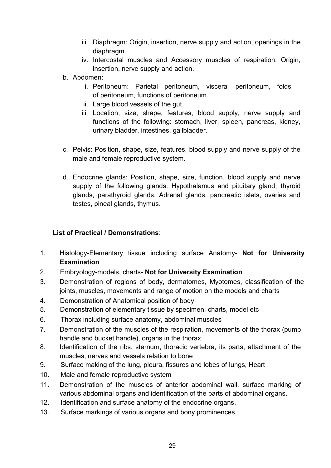- iii. Diaphragm: Origin, insertion, nerve supply and action, openings in the diaphragm.
- iv. Intercostal muscles and Accessory muscles of respiration: Origin, insertion, nerve supply and action.
- b. Abdomen:
	- i. Peritoneum: Parietal peritoneum, visceral peritoneum, folds of peritoneum, functions of peritoneum.
	- ii. Large blood vessels of the gut.
	- iii. Location, size, shape, features, blood supply, nerve supply and functions of the following: stomach, liver, spleen, pancreas, kidney, urinary bladder, intestines, gallbladder.
- c. Pelvis: Position, shape, size, features, blood supply and nerve supply of the male and female reproductive system.
- d. Endocrine glands: Position, shape, size, function, blood supply and nerve supply of the following glands: Hypothalamus and pituitary gland, thyroid glands, parathyroid glands, Adrenal glands, pancreatic islets, ovaries and testes, pineal glands, thymus.

#### **List of Practical / Demonstrations**:

- 1. Histology-Elementary tissue including surface Anatomy- **Not for University Examination**
- 2. Embryology-models, charts- **Not for University Examination**
- 3. Demonstration of regions of body, dermatomes, Myotomes, classification of the joints, muscles, movements and range of motion on the models and charts
- 4. Demonstration of Anatomical position of body
- 5. Demonstration of elementary tissue by specimen, charts, model etc
- 6. Thorax including surface anatomy, abdominal muscles
- 7. Demonstration of the muscles of the respiration, movements of the thorax (pump handle and bucket handle), organs in the thorax
- 8. Identification of the ribs, sternum, thoracic vertebra, its parts, attachment of the muscles, nerves and vessels relation to bone
- 9. Surface making of the lung, pleura, fissures and lobes of lungs, Heart
- 10. Male and female reproductive system
- 11. Demonstration of the muscles of anterior abdominal wall, surface marking of various abdominal organs and identification of the parts of abdominal organs.
- 12. Identification and surface anatomy of the endocrine organs.
- 13. Surface markings of various organs and bony prominences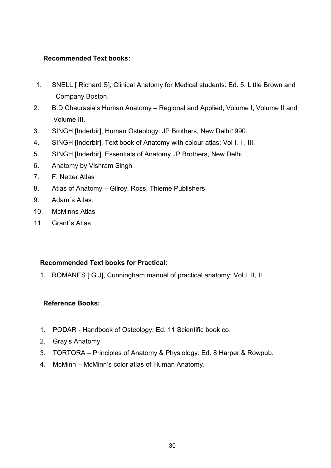#### **Recommended Text books:**

- 1. SNELL [ Richard S], Clinical Anatomy for Medical students: Ed. 5. Little Brown and Company Boston.
- 2. B.D Chaurasia's Human Anatomy Regional and Applied; Volume I, Volume II and Volume III.
- 3. SINGH [Inderbir], Human Osteology. JP Brothers, New Delhi1990.
- 4. SINGH [Inderbir], Text book of Anatomy with colour atlas: Vol I, II, III.
- 5. SINGH [Inderbir], Essentials of Anatomy JP Brothers, New Delhi
- 6. Anatomy by Vishram Singh
- 7. F. Netter Atlas
- 8. Atlas of Anatomy Gilroy, Ross, Thieme Publishers
- 9. Adam`s Atlas.
- 10. McMinns Atlas
- 11 Grant`s Atlas

#### **Recommended Text books for Practical:**

1. ROMANES [ G J], Cunningham manual of practical anatomy: Vol I, II, III

#### **Reference Books:**

- 1. PODAR Handbook of Osteology: Ed. 11 Scientific book co.
- 2. Gray's Anatomy
- 3. TORTORA Principles of Anatomy & Physiology: Ed. 8 Harper & Rowpub.
- 4. McMinn McMinn's color atlas of Human Anatomy.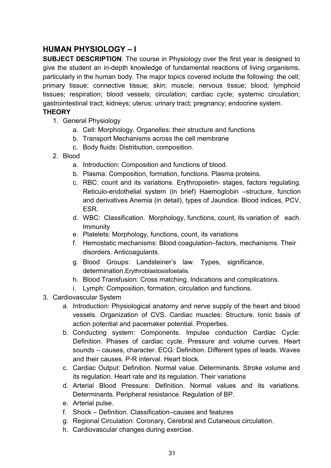### **HUMAN PHYSIOLOGY – I**

**SUBJECT DESCRIPTION**: The course in Physiology over the first year is designed to give the student an in-depth knowledge of fundamental reactions of living organisms, particularly in the human body. The major topics covered include the following: the cell; primary tissue; connective tissue; skin; muscle; nervous tissue; blood; lymphoid tissues; respiration; blood vessels; circulation; cardiac cycle; systemic circulation; gastrointestinal tract; kidneys; uterus; urinary tract; pregnancy; endocrine system.

#### **THEORY**

- 1. General Physiology
	- a. Cell: Morphology. Organelles: their structure and functions
	- b. Transport Mechanisms across the cell membrane
	- c. Body fluids: Distribution, composition.
- 2. Blood
	- a. Introduction: Composition and functions of blood.
	- b. Plasma: Composition, formation, functions. Plasma proteins.
	- c. RBC: count and its variations. Erythropoietin- stages, factors regulating. Reticulo-endothelial system (in brief) Haemoglobin –structure, function and derivatives Anemia (in detail), types of Jaundice. Blood indices, PCV, ESR.
	- d. WBC: Classification. Morphology, functions, count, its variation of each. Immunity
	- e. Platelets: Morphology, functions, count, its variations
	- f. Hemostatic mechanisms: Blood coagulation–factors, mechanisms. Their disorders. Anticoagulants.
	- g. Blood Groups: Landsteiner's law. Types, significance, determination,Erythroblastosisfoetalis.
	- h. Blood Transfusion: Cross matching. Indications and complications.
	- i. Lymph: Composition, formation, circulation and functions.
- 3. Cardiovascular System
	- a. Introduction: Physiological anatomy and nerve supply of the heart and blood vessels. Organization of CVS. Cardiac muscles: Structure. Ionic basis of action potential and pacemaker potential. Properties.
	- b. Conducting system: Components. Impulse conduction Cardiac Cycle: Definition. Phases of cardiac cycle. Pressure and volume curves. Heart sounds – causes, character. ECG: Definition. Different types of leads. Waves and their causes. P-R interval. Heart block.
	- c. Cardiac Output: Definition. Normal value. Determinants. Stroke volume and its regulation. Heart rate and its regulation. Their variations
	- d. Arterial Blood Pressure: Definition. Normal values and its variations. Determinants. Peripheral resistance. Regulation of BP.
	- e. Arterial pulse.
	- f. Shock Definition. Classification–causes and features
	- g. Regional Circulation: Coronary, Cerebral and Cutaneous circulation.
	- h. Cardiovascular changes during exercise.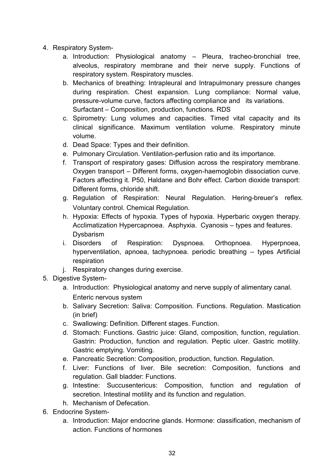- 4. Respiratory System
	- a. Introduction: Physiological anatomy Pleura, tracheo-bronchial tree, alveolus, respiratory membrane and their nerve supply. Functions of respiratory system. Respiratory muscles.
	- b. Mechanics of breathing: Intrapleural and Intrapulmonary pressure changes during respiration. Chest expansion. Lung compliance: Normal value, pressure-volume curve, factors affecting compliance and its variations. Surfactant – Composition, production, functions. RDS
	- c. Spirometry: Lung volumes and capacities. Timed vital capacity and its clinical significance. Maximum ventilation volume. Respiratory minute volume.
	- d. Dead Space: Types and their definition.
	- e. Pulmonary Circulation. Ventilation-perfusion ratio and its importance.
	- f. Transport of respiratory gases: Diffusion across the respiratory membrane. Oxygen transport – Different forms, oxygen-haemoglobin dissociation curve. Factors affecting it. P50, Haldane and Bohr effect. Carbon dioxide transport: Different forms, chloride shift.
	- g. Regulation of Respiration: Neural Regulation. Hering-breuer's reflex. Voluntary control. Chemical Regulation.
	- h. Hypoxia: Effects of hypoxia. Types of hypoxia. Hyperbaric oxygen therapy. Acclimatization Hypercapnoea. Asphyxia. Cyanosis – types and features. Dysbarism
	- i. Disorders of Respiration: Dyspnoea. Orthopnoea. Hyperpnoea, hyperventilation, apnoea, tachypnoea. periodic breathing – types Artificial respiration
	- j. Respiratory changes during exercise.
- 5. Digestive System
	- a. Introduction: Physiological anatomy and nerve supply of alimentary canal. Enteric nervous system
	- b. Salivary Secretion: Saliva: Composition. Functions. Regulation. Mastication (in brief)
	- c. Swallowing: Definition. Different stages. Function.
	- d. Stomach: Functions. Gastric juice: Gland, composition, function, regulation. Gastrin: Production, function and regulation. Peptic ulcer. Gastric motility. Gastric emptying. Vomiting.
	- e. Pancreatic Secretion: Composition, production, function. Regulation.
	- f. Liver: Functions of liver. Bile secretion: Composition, functions and regulation. Gall bladder: Functions.
	- g. Intestine: Succusentericus: Composition, function and regulation of secretion. Intestinal motility and its function and regulation.
	- h. Mechanism of Defecation.
- 6. Endocrine System
	- a. Introduction: Major endocrine glands. Hormone: classification, mechanism of action. Functions of hormones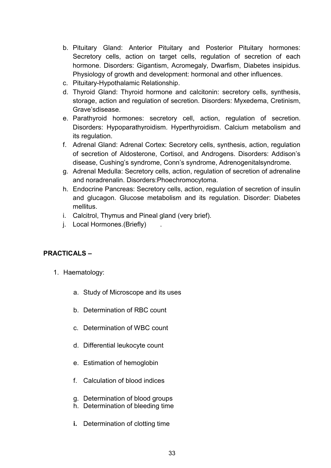- b. Pituitary Gland: Anterior Pituitary and Posterior Pituitary hormones: Secretory cells, action on target cells, regulation of secretion of each hormone. Disorders: Gigantism, Acromegaly, Dwarfism, Diabetes insipidus. Physiology of growth and development: hormonal and other influences.
- c. Pituitary-Hypothalamic Relationship.
- d. Thyroid Gland: Thyroid hormone and calcitonin: secretory cells, synthesis, storage, action and regulation of secretion. Disorders: Myxedema, Cretinism, Grave'sdisease.
- e. Parathyroid hormones: secretory cell, action, regulation of secretion. Disorders: Hypoparathyroidism. Hyperthyroidism. Calcium metabolism and its regulation.
- f. Adrenal Gland: Adrenal Cortex: Secretory cells, synthesis, action, regulation of secretion of Aldosterone, Cortisol, and Androgens. Disorders: Addison's disease, Cushing's syndrome, Conn's syndrome, Adrenogenitalsyndrome.
- g. Adrenal Medulla: Secretory cells, action, regulation of secretion of adrenaline and noradrenalin. Disorders:Phoechromocytoma.
- h. Endocrine Pancreas: Secretory cells, action, regulation of secretion of insulin and glucagon. Glucose metabolism and its regulation. Disorder: Diabetes mellitus.
- i. Calcitrol, Thymus and Pineal gland (very brief).
- j. Local Hormones.(Briefly) .

#### **PRACTICALS –**

- 1. Haematology:
	- a. Study of Microscope and its uses
	- b. Determination of RBC count
	- c. Determination of WBC count
	- d. Differential leukocyte count
	- e. Estimation of hemoglobin
	- f. Calculation of blood indices
	- g. Determination of blood groups
	- h. Determination of bleeding time
	- **i.** Determination of clotting time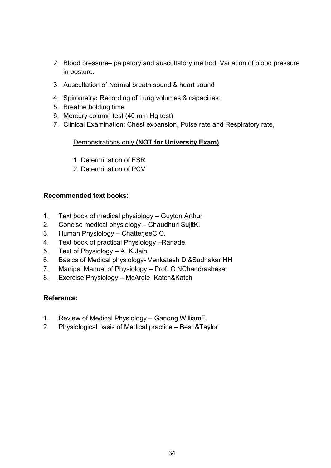- 2. Blood pressure– palpatory and auscultatory method: Variation of blood pressure in posture.
- 3. Auscultation of Normal breath sound & heart sound
- 4. Spirometry**:** Recording of Lung volumes & capacities.
- 5. Breathe holding time
- 6. Mercury column test (40 mm Hg test)
- 7. Clinical Examination: Chest expansion, Pulse rate and Respiratory rate,

#### Demonstrations only **(NOT for University Exam)**

- 1. Determination of ESR
- 2. Determination of PCV

#### **Recommended text books:**

- 1. Text book of medical physiology Guyton Arthur
- 2. Concise medical physiology Chaudhuri SujitK.
- 3. Human Physiology ChatterjeeC.C.
- 4. Text book of practical Physiology –Ranade.
- 5. Text of Physiology A. K.Jain.
- 6. Basics of Medical physiology- Venkatesh D &Sudhakar HH
- 7. Manipal Manual of Physiology Prof. C NChandrashekar
- 8. Exercise Physiology McArdle, Katch&Katch

#### **Reference:**

- 1. Review of Medical Physiology Ganong WilliamF.
- 2. Physiological basis of Medical practice Best &Taylor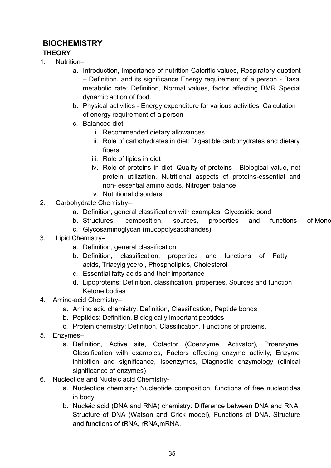### **BIOCHEMISTRY**

#### **THEORY**

- 1. Nutrition–
	- a. Introduction, Importance of nutrition Calorific values, Respiratory quotient – Definition, and its significance Energy requirement of a person - Basal metabolic rate: Definition, Normal values, factor affecting BMR Special dynamic action of food.
	- b. Physical activities Energy expenditure for various activities. Calculation of energy requirement of a person
	- c. Balanced diet
		- i. Recommended dietary allowances
		- ii. Role of carbohydrates in diet: Digestible carbohydrates and dietary fibers
		- iii. Role of lipids in diet
		- iv. Role of proteins in diet: Quality of proteins Biological value, net protein utilization, Nutritional aspects of proteins-essential and non- essential amino acids. Nitrogen balance
		- v. Nutritional disorders.
- 2. Carbohydrate Chemistry–
	- a. Definition, general classification with examples, Glycosidic bond
	- b. Structures, composition, sources, properties and functions of Mono
	- c. Glycosaminoglycan (mucopolysaccharides)
- 3. Lipid Chemistry–
	- a. Definition, general classification
	- b. Definition, classification, properties and functions of Fatty acids, Triacylglycerol, Phospholipids, Cholesterol
	- c. Essential fatty acids and their importance
	- d. Lipoproteins: Definition, classification, properties, Sources and function Ketone bodies
- 4. Amino-acid Chemistry–
	- a. Amino acid chemistry: Definition, Classification, Peptide bonds
	- b. Peptides: Definition, Biologically important peptides
	- c. Protein chemistry: Definition, Classification, Functions of proteins,
- 5. Enzymes–
	- a. Definition, Active site, Cofactor (Coenzyme, Activator), Proenzyme. Classification with examples, Factors effecting enzyme activity, Enzyme inhibition and significance, Isoenzymes, Diagnostic enzymology (clinical significance of enzymes)
- 6. Nucleotide and Nucleic acid Chemistry
	- a. Nucleotide chemistry: Nucleotide composition, functions of free nucleotides in body.
	- b. Nucleic acid (DNA and RNA) chemistry: Difference between DNA and RNA, Structure of DNA (Watson and Crick model), Functions of DNA. Structure and functions of tRNA, rRNA,mRNA.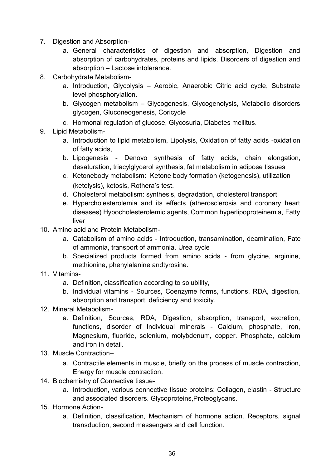- 7. Digestion and Absorption
	- a. General characteristics of digestion and absorption, Digestion and absorption of carbohydrates, proteins and lipids. Disorders of digestion and absorption – Lactose intolerance.
- 8. Carbohydrate Metabolism
	- a. Introduction, Glycolysis Aerobic, Anaerobic Citric acid cycle, Substrate level phosphorylation.
	- b. Glycogen metabolism Glycogenesis, Glycogenolysis, Metabolic disorders glycogen, Gluconeogenesis, Coricycle
	- c. Hormonal regulation of glucose, Glycosuria, Diabetes mellitus.
- 9. Lipid Metabolism
	- a. Introduction to lipid metabolism, Lipolysis, Oxidation of fatty acids -oxidation of fatty acids,
	- b. Lipogenesis Denovo synthesis of fatty acids, chain elongation, desaturation, triacylglycerol synthesis, fat metabolism in adipose tissues
	- c. Ketonebody metabolism: Ketone body formation (ketogenesis), utilization (ketolysis), ketosis, Rothera's test.
	- d. Cholesterol metabolism: synthesis, degradation, cholesterol transport
	- e. Hypercholesterolemia and its effects (atherosclerosis and coronary heart diseases) Hypocholesterolemic agents, Common hyperlipoproteinemia, Fatty liver
- 10. Amino acid and Protein Metabolism
	- a. Catabolism of amino acids Introduction, transamination, deamination, Fate of ammonia, transport of ammonia, Urea cycle
	- b. Specialized products formed from amino acids from glycine, arginine, methionine, phenylalanine andtyrosine.
- 11. Vitamins
	- a. Definition, classification according to solubility,
	- b. Individual vitamins Sources, Coenzyme forms, functions, RDA, digestion, absorption and transport, deficiency and toxicity.
- 12. Mineral Metabolism
	- a. Definition, Sources, RDA, Digestion, absorption, transport, excretion, functions, disorder of Individual minerals - Calcium, phosphate, iron, Magnesium, fluoride, selenium, molybdenum, copper. Phosphate, calcium and iron in detail.
- 13. Muscle Contraction–
	- a. Contractile elements in muscle, briefly on the process of muscle contraction, Energy for muscle contraction.
- 14. Biochemistry of Connective tissue
	- a. Introduction, various connective tissue proteins: Collagen, elastin Structure and associated disorders. Glycoproteins,Proteoglycans.
- 15. Hormone Action
	- a. Definition, classification, Mechanism of hormone action. Receptors, signal transduction, second messengers and cell function.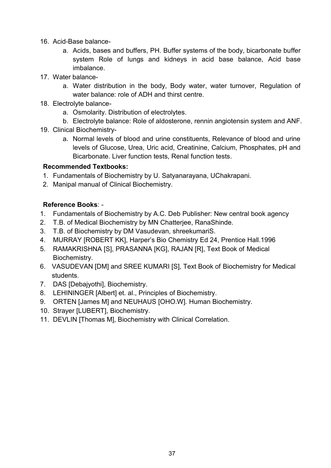- 16. Acid-Base balance
	- a. Acids, bases and buffers, PH. Buffer systems of the body, bicarbonate buffer system Role of lungs and kidneys in acid base balance, Acid base imbalance.
- 17. Water balance
	- a. Water distribution in the body, Body water, water turnover, Regulation of water balance: role of ADH and thirst centre.
- 18. Electrolyte balance
	- a. Osmolarity. Distribution of electrolytes.
	- b. Electrolyte balance: Role of aldosterone, rennin angiotensin system and ANF.
- 19. Clinical Biochemistry
	- a. Normal levels of blood and urine constituents, Relevance of blood and urine levels of Glucose, Urea, Uric acid, Creatinine, Calcium, Phosphates, pH and Bicarbonate. Liver function tests, Renal function tests.

#### **Recommended Textbooks:**

- 1. Fundamentals of Biochemistry by U. Satyanarayana, UChakrapani.
- 2. Manipal manual of Clinical Biochemistry.

## **Reference Books**: -

- 1. Fundamentals of Biochemistry by A.C. Deb Publisher: New central book agency
- 2. T.B. of Medical Biochemistry by MN Chatterjee, RanaShinde.
- 3. T.B. of Biochemistry by DM Vasudevan, shreekumariS.
- 4. MURRAY [ROBERT KK], Harper's Bio Chemistry Ed 24, Prentice Hall.1996
- 5. RAMAKRISHNA [S], PRASANNA [KG], RAJAN [R], Text Book of Medical Biochemistry.
- 6. VASUDEVAN [DM] and SREE KUMARI [S], Text Book of Biochemistry for Medical students.
- 7. DAS [Debajyothi], Biochemistry.
- 8. LEHININGER [Albert] et. al., Principles of Biochemistry.
- 9. ORTEN [James M] and NEUHAUS [OHO.W]. Human Biochemistry.
- 10. Strayer [LUBERT], Biochemistry.
- 11. DEVLIN [Thomas M], Biochemistry with Clinical Correlation.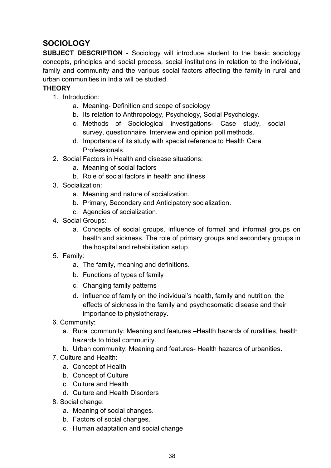# **SOCIOLOGY**

**SUBJECT DESCRIPTION** - Sociology will introduce student to the basic sociology concepts, principles and social process, social institutions in relation to the individual, family and community and the various social factors affecting the family in rural and urban communities in India will be studied.

## **THEORY**

- 1. Introduction:
	- a. Meaning- Definition and scope of sociology
	- b. Its relation to Anthropology, Psychology, Social Psychology.
	- c. Methods of Sociological investigations- Case study, social survey, questionnaire, Interview and opinion poll methods.
	- d. Importance of its study with special reference to Health Care Professionals.
- 2. Social Factors in Health and disease situations:
	- a. Meaning of social factors
	- b. Role of social factors in health and illness
- 3. Socialization:
	- a. Meaning and nature of socialization.
	- b. Primary, Secondary and Anticipatory socialization.
	- c. Agencies of socialization.
- 4. Social Groups:
	- a. Concepts of social groups, influence of formal and informal groups on health and sickness. The role of primary groups and secondary groups in the hospital and rehabilitation setup.
- 5. Family:
	- a. The family, meaning and definitions.
	- b. Functions of types of family
	- c. Changing family patterns
	- d. Influence of family on the individual's health, family and nutrition, the effects of sickness in the family and psychosomatic disease and their importance to physiotherapy.
- 6. Community:
	- a. Rural community: Meaning and features –Health hazards of ruralities, health hazards to tribal community.
	- b. Urban community: Meaning and features- Health hazards of urbanities.
- 7. Culture and Health:
	- a. Concept of Health
	- b. Concept of Culture
	- c. Culture and Health
	- d. Culture and Health Disorders
- 8. Social change:
	- a. Meaning of social changes.
	- b. Factors of social changes.
	- c. Human adaptation and social change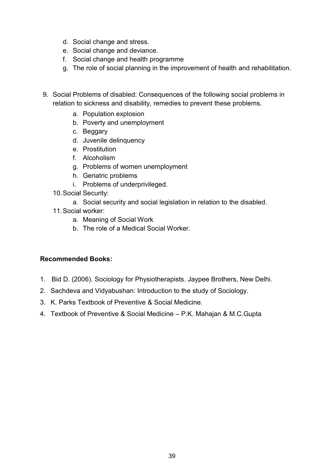- d. Social change and stress.
- e. Social change and deviance.
- f. Social change and health programme
- g. The role of social planning in the improvement of health and rehabilitation.
- 9. Social Problems of disabled: Consequences of the following social problems in relation to sickness and disability, remedies to prevent these problems.
	- a. Population explosion
	- b. Poverty and unemployment
	- c. Beggary
	- d. Juvenile delinquency
	- e. Prostitution
	- f. Alcoholism
	- g. Problems of women unemployment
	- h. Geriatric problems
	- i. Problems of underprivileged.
	- 10.Social Security:
		- a. Social security and social legislation in relation to the disabled.
	- 11.Social worker:
		- a. Meaning of Social Work
		- b. The role of a Medical Social Worker.

#### **Recommended Books:**

- 1. Bid D. (2006). Sociology for Physiotherapists. Jaypee Brothers, New Delhi.
- 2. Sachdeva and Vidyabushan: Introduction to the study of Sociology.
- 3. K. Parks Textbook of Preventive & Social Medicine.
- 4. Textbook of Preventive & Social Medicine P.K. Mahajan & M.C.Gupta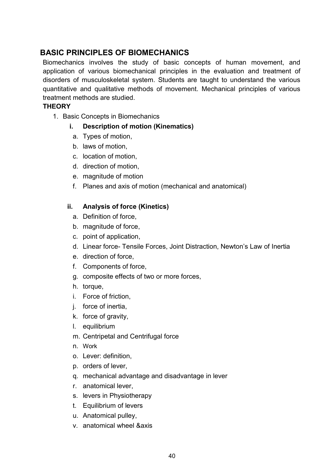# **BASIC PRINCIPLES OF BIOMECHANICS**

Biomechanics involves the study of basic concepts of human movement, and application of various biomechanical principles in the evaluation and treatment of disorders of musculoskeletal system. Students are taught to understand the various quantitative and qualitative methods of movement. Mechanical principles of various treatment methods are studied.

## **THEORY**

1. Basic Concepts in Biomechanics

## **i. Description of motion (Kinematics)**

- a. Types of motion,
- b. laws of motion,
- c. location of motion,
- d. direction of motion,
- e. magnitude of motion
- f. Planes and axis of motion (mechanical and anatomical)

## **ii. Analysis of force (Kinetics)**

- a. Definition of force,
- b. magnitude of force,
- c. point of application,
- d. Linear force- Tensile Forces, Joint Distraction, Newton's Law of Inertia
- e. direction of force,
- f. Components of force,
- g. composite effects of two or more forces,
- h. torque,
- i. Force of friction,
- j. force of inertia,
- k. force of gravity,
- l. equilibrium
- m. Centripetal and Centrifugal force
- n. Work
- o. Lever: definition,
- p. orders of lever,
- q. mechanical advantage and disadvantage in lever
- r. anatomical lever,
- s. levers in Physiotherapy
- t. Equilibrium of levers
- u. Anatomical pulley,
- v. anatomical wheel &axis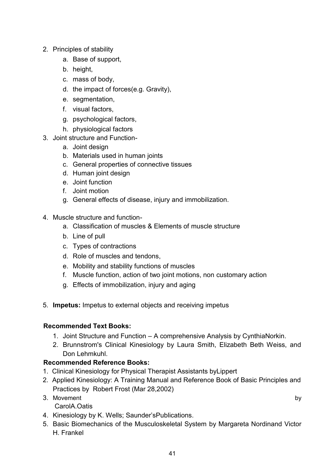- 2. Principles of stability
	- a. Base of support,
	- b. height,
	- c. mass of body,
	- d. the impact of forces(e.g. Gravity),
	- e. segmentation,
	- f. visual factors,
	- g. psychological factors,
	- h. physiological factors
- 3. Joint structure and Function
	- a. Joint design
	- b. Materials used in human joints
	- c. General properties of connective tissues
	- d. Human joint design
	- e. Joint function
	- f. Joint motion
	- g. General effects of disease, injury and immobilization.
- 4. Muscle structure and function
	- a. Classification of muscles & Elements of muscle structure
	- b. Line of pull
	- c. Types of contractions
	- d. Role of muscles and tendons,
	- e. Mobility and stability functions of muscles
	- f. Muscle function, action of two joint motions, non customary action
	- g. Effects of immobilization, injury and aging
- 5. **Impetus:** Impetus to external objects and receiving impetus

#### **Recommended Text Books:**

- 1. Joint Structure and Function A comprehensive Analysis by CynthiaNorkin.
- 2. Brunnstrom's Clinical Kinesiology by Laura Smith, Elizabeth Beth Weiss, and Don Lehmkuhl.

## **Recommended Reference Books:**

- 1. Clinical Kinesiology for Physical Therapist Assistants byLippert
- 2. Applied Kinesiology: A Training Manual and Reference Book of Basic Principles and Practices by Robert Frost (Mar 28,2002)
- 3. Movement by by a state of the state of the state of the state of the state of the state of the state of the state of the state of the state of the state of the state of the state of the state of the state of the state o

CarolA.Oatis

- 4. Kinesiology by K. Wells; Saunder'sPublications.
- 5. Basic Biomechanics of the Musculoskeletal System by Margareta Nordinand Victor H. Frankel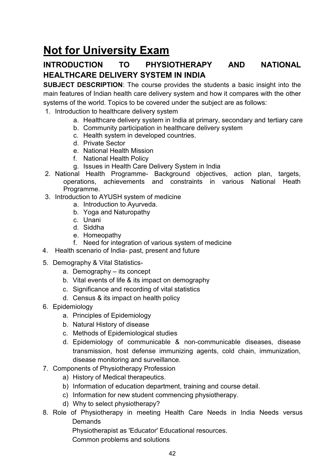# **Not for University Exam**

# **INTRODUCTION TO PHYSIOTHERAPY AND NATIONAL HEALTHCARE DELIVERY SYSTEM IN INDIA**

**SUBJECT DESCRIPTION**: The course provides the students a basic insight into the main features of Indian health care delivery system and how it compares with the other systems of the world. Topics to be covered under the subject are as follows:

- 1. Introduction to healthcare delivery system
	- a. Healthcare delivery system in India at primary, secondary and tertiary care
	- b. Community participation in healthcare delivery system
	- c. Health system in developed countries.
	- d. Private Sector
	- e. National Health Mission
	- f. National Health Policy
	- g. Issues in Health Care Delivery System in India
- 2. National Health Programme- Background objectives, action plan, targets, operations, achievements and constraints in various National Heath Programme.
- 3. Introduction to AYUSH system of medicine
	- a. Introduction to Ayurveda.
	- b. Yoga and Naturopathy
	- c. Unani
	- d. Siddha
	- e. Homeopathy
	- f. Need for integration of various system of medicine
- 4. Health scenario of India- past, present and future
- 5. Demography & Vital Statistics
	- a. Demography its concept
	- b. Vital events of life & its impact on demography
	- c. Significance and recording of vital statistics
	- d. Census & its impact on health policy
- 6. Epidemiology
	- a. Principles of Epidemiology
	- b. Natural History of disease
	- c. Methods of Epidemiological studies
	- d. Epidemiology of communicable & non-communicable diseases, disease transmission, host defense immunizing agents, cold chain, immunization, disease monitoring and surveillance.
- 7. Components of Physiotherapy Profession
	- a) History of Medical therapeutics.
	- b) Information of education department, training and course detail.
	- c) Information for new student commencing physiotherapy.
	- d) Why to select physiotherapy?
- 8. Role of Physiotherapy in meeting Health Care Needs in India Needs versus **Demands**

Physiotherapist as 'Educator' Educational resources.

Common problems and solutions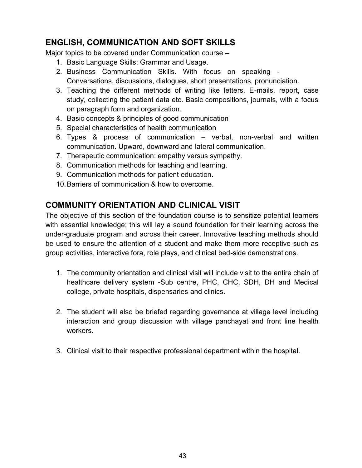# **ENGLISH, COMMUNICATION AND SOFT SKILLS**

Major topics to be covered under Communication course –

- 1. Basic Language Skills: Grammar and Usage.
- 2. Business Communication Skills. With focus on speaking Conversations, discussions, dialogues, short presentations, pronunciation.
- 3. Teaching the different methods of writing like letters, E-mails, report, case study, collecting the patient data etc. Basic compositions, journals, with a focus on paragraph form and organization.
- 4. Basic concepts & principles of good communication
- 5. Special characteristics of health communication
- 6. Types & process of communication verbal, non-verbal and written communication. Upward, downward and lateral communication.
- 7. Therapeutic communication: empathy versus sympathy.
- 8. Communication methods for teaching and learning.
- 9. Communication methods for patient education.
- 10.Barriers of communication & how to overcome.

# **COMMUNITY ORIENTATION AND CLINICAL VISIT**

The objective of this section of the foundation course is to sensitize potential learners with essential knowledge; this will lay a sound foundation for their learning across the under-graduate program and across their career. Innovative teaching methods should be used to ensure the attention of a student and make them more receptive such as group activities, interactive fora, role plays, and clinical bed-side demonstrations.

- 1. The community orientation and clinical visit will include visit to the entire chain of healthcare delivery system -Sub centre, PHC, CHC, SDH, DH and Medical college, private hospitals, dispensaries and clinics.
- 2. The student will also be briefed regarding governance at village level including interaction and group discussion with village panchayat and front line health workers.
- 3. Clinical visit to their respective professional department within the hospital.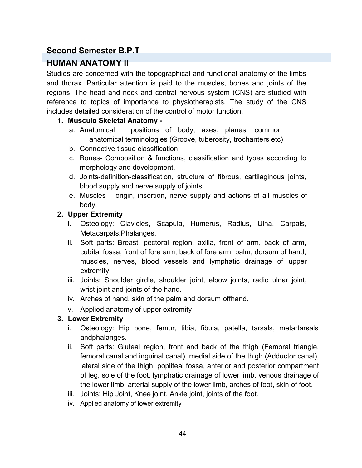# **Second Semester B.P.T**

# **HUMAN ANATOMY II**

Studies are concerned with the topographical and functional anatomy of the limbs and thorax. Particular attention is paid to the muscles, bones and joints of the regions. The head and neck and central nervous system (CNS) are studied with reference to topics of importance to physiotherapists. The study of the CNS includes detailed consideration of the control of motor function.

## **1. Musculo Skeletal Anatomy -**

- a. Anatomical positions of body, axes, planes, common anatomical terminologies (Groove, tuberosity, trochanters etc)
- b. Connective tissue classification.
- c. Bones- Composition & functions, classification and types according to morphology and development.
- d. Joints-definition-classification, structure of fibrous, cartilaginous joints, blood supply and nerve supply of joints.
- e. Muscles origin, insertion, nerve supply and actions of all muscles of body.

## **2. Upper Extremity**

- i. Osteology: Clavicles, Scapula, Humerus, Radius, Ulna, Carpals, Metacarpals,Phalanges.
- ii. Soft parts: Breast, pectoral region, axilla, front of arm, back of arm, cubital fossa, front of fore arm, back of fore arm, palm, dorsum of hand, muscles, nerves, blood vessels and lymphatic drainage of upper extremity.
- iii. Joints: Shoulder girdle, shoulder joint, elbow joints, radio ulnar joint, wrist joint and joints of the hand.
- iv. Arches of hand, skin of the palm and dorsum offhand.
- v. Applied anatomy of upper extremity

## **3. Lower Extremity**

- i. Osteology: Hip bone, femur, tibia, fibula, patella, tarsals, metartarsals andphalanges.
- ii. Soft parts: Gluteal region, front and back of the thigh (Femoral triangle, femoral canal and inguinal canal), medial side of the thigh (Adductor canal), lateral side of the thigh, popliteal fossa, anterior and posterior compartment of leg, sole of the foot, lymphatic drainage of lower limb, venous drainage of the lower limb, arterial supply of the lower limb, arches of foot, skin of foot.
- iii. Joints: Hip Joint, Knee joint, Ankle joint, joints of the foot.
- iv. Applied anatomy of lower extremity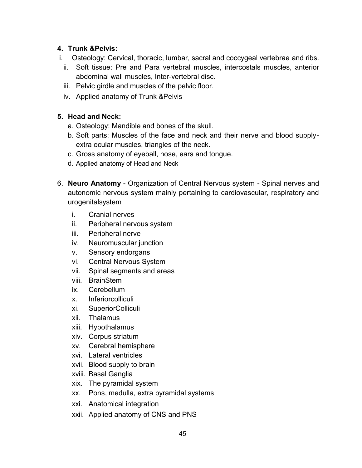## **4. Trunk &Pelvis:**

- i. Osteology: Cervical, thoracic, lumbar, sacral and coccygeal vertebrae and ribs.
	- ii. Soft tissue: Pre and Para vertebral muscles, intercostals muscles, anterior abdominal wall muscles, Inter-vertebral disc.
	- iii. Pelvic girdle and muscles of the pelvic floor.
	- iv. Applied anatomy of Trunk &Pelvis

## **5. Head and Neck:**

- a. Osteology: Mandible and bones of the skull.
- b. Soft parts: Muscles of the face and neck and their nerve and blood supplyextra ocular muscles, triangles of the neck.
- c. Gross anatomy of eyeball, nose, ears and tongue.
- d. Applied anatomy of Head and Neck
- 6. **Neuro Anatomy** Organization of Central Nervous system Spinal nerves and autonomic nervous system mainly pertaining to cardiovascular, respiratory and urogenitalsystem
	- i. Cranial nerves
	- ii. Peripheral nervous system
	- iii. Peripheral nerve
	- iv. Neuromuscular junction
	- v. Sensory endorgans
	- vi. Central Nervous System
	- vii. Spinal segments and areas
	- viii. BrainStem
	- ix. Cerebellum
	- x. Inferiorcolliculi
	- xi. SuperiorColliculi
	- xii. Thalamus
	- xiii. Hypothalamus
	- xiv. Corpus striatum
	- xv. Cerebral hemisphere
	- xvi. Lateral ventricles
	- xvii. Blood supply to brain
	- xviii. Basal Ganglia
	- xix. The pyramidal system
	- xx. Pons, medulla, extra pyramidal systems
	- xxi. Anatomical integration
	- xxii. Applied anatomy of CNS and PNS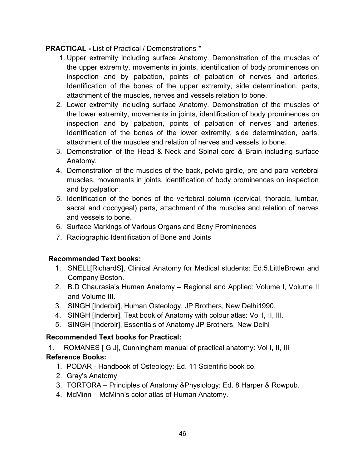## **PRACTICAL -** List of Practical / Demonstrations \*

- 1. Upper extremity including surface Anatomy. Demonstration of the muscles of the upper extremity, movements in joints, identification of body prominences on inspection and by palpation, points of palpation of nerves and arteries. Identification of the bones of the upper extremity, side determination, parts, attachment of the muscles, nerves and vessels relation to bone.
- 2. Lower extremity including surface Anatomy. Demonstration of the muscles of the lower extremity, movements in joints, identification of body prominences on inspection and by palpation, points of palpation of nerves and arteries. Identification of the bones of the lower extremity, side determination, parts, attachment of the muscles and relation of nerves and vessels to bone.
- 3. Demonstration of the Head & Neck and Spinal cord & Brain including surface Anatomy.
- 4. Demonstration of the muscles of the back, pelvic girdle, pre and para vertebral muscles, movements in joints, identification of body prominences on inspection and by palpation.
- 5. Identification of the bones of the vertebral column (cervical, thoracic, lumbar, sacral and coccygeal) parts, attachment of the muscles and relation of nerves and vessels to bone.
- 6. Surface Markings of Various Organs and Bony Prominences
- 7. Radiographic Identification of Bone and Joints

#### **Recommended Text books:**

- 1. SNELL[RichardS], Clinical Anatomy for Medical students: Ed.5.LittleBrown and Company Boston.
- 2. B.D Chaurasia's Human Anatomy Regional and Applied; Volume I, Volume II and Volume III.
- 3. SINGH [Inderbir], Human Osteology. JP Brothers, New Delhi1990.
- 4. SINGH [Inderbir], Text book of Anatomy with colour atlas: Vol I, II, III.
- 5. SINGH [Inderbir], Essentials of Anatomy JP Brothers, New Delhi

## **Recommended Text books for Practical:**

1. ROMANES [ G J], Cunningham manual of practical anatomy: Vol I, II, III

## **Reference Books:**

- 1. PODAR Handbook of Osteology: Ed. 11 Scientific book co.
- 2. Gray's Anatomy
- 3. TORTORA Principles of Anatomy &Physiology: Ed. 8 Harper & Rowpub.
- 4. McMinn McMinn's color atlas of Human Anatomy.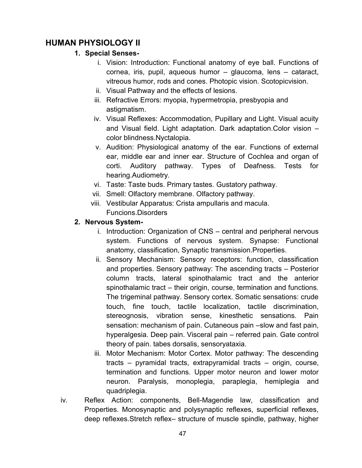# **HUMAN PHYSIOLOGY II**

## **1. Special Senses-**

- i. Vision: Introduction: Functional anatomy of eye ball. Functions of cornea, iris, pupil, aqueous humor – glaucoma, lens – cataract, vitreous humor, rods and cones. Photopic vision. Scotopicvision.
- ii. Visual Pathway and the effects of lesions.
- iii. Refractive Errors: myopia, hypermetropia, presbyopia and astigmatism.
- iv. Visual Reflexes: Accommodation, Pupillary and Light. Visual acuity and Visual field. Light adaptation. Dark adaptation.Color vision – color blindness.Nyctalopia.
- v. Audition: Physiological anatomy of the ear. Functions of external ear, middle ear and inner ear. Structure of Cochlea and organ of corti. Auditory pathway. Types of Deafness. Tests for hearing.Audiometry.
- vi. Taste: Taste buds. Primary tastes. Gustatory pathway.
- vii. Smell: Olfactory membrane. Olfactory pathway.
- viii. Vestibular Apparatus: Crista ampullaris and macula. Funcions.Disorders

## **2. Nervous System-**

- i. Introduction: Organization of CNS central and peripheral nervous system. Functions of nervous system. Synapse: Functional anatomy, classification, Synaptic transmission.Properties.
- ii. Sensory Mechanism: Sensory receptors: function, classification and properties. Sensory pathway: The ascending tracts – Posterior column tracts, lateral spinothalamic tract and the anterior spinothalamic tract – their origin, course, termination and functions. The trigeminal pathway. Sensory cortex. Somatic sensations: crude touch, fine touch, tactile localization, tactile discrimination, stereognosis, vibration sense, kinesthetic sensations. Pain sensation: mechanism of pain. Cutaneous pain –slow and fast pain, hyperalgesia. Deep pain. Visceral pain – referred pain. Gate control theory of pain. tabes dorsalis, sensoryataxia.
- iii. Motor Mechanism: Motor Cortex. Motor pathway: The descending tracts – pyramidal tracts, extrapyramidal tracts – origin, course, termination and functions. Upper motor neuron and lower motor neuron. Paralysis, monoplegia, paraplegia, hemiplegia and quadriplegia.
- iv. Reflex Action: components, Bell-Magendie law, classification and Properties. Monosynaptic and polysynaptic reflexes, superficial reflexes, deep reflexes.Stretch reflex– structure of muscle spindle, pathway, higher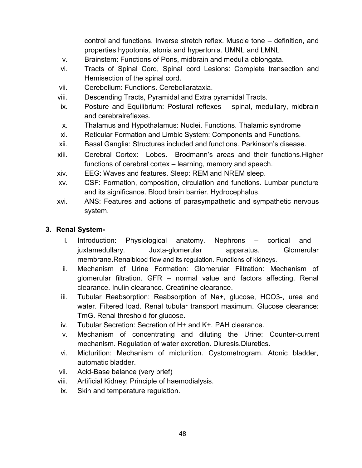control and functions. Inverse stretch reflex. Muscle tone – definition, and properties hypotonia, atonia and hypertonia. UMNL and LMNL

- v. Brainstem: Functions of Pons, midbrain and medulla oblongata.
- vi. Tracts of Spinal Cord, Spinal cord Lesions: Complete transection and Hemisection of the spinal cord.
- vii. Cerebellum: Functions. Cerebellarataxia.
- viii. Descending Tracts, Pyramidal and Extra pyramidal Tracts.
- ix. Posture and Equilibrium: Postural reflexes spinal, medullary, midbrain and cerebralreflexes.
- x. Thalamus and Hypothalamus: Nuclei. Functions. Thalamic syndrome
- xi. Reticular Formation and Limbic System: Components and Functions.
- xii. Basal Ganglia: Structures included and functions. Parkinson's disease.
- xiii. Cerebral Cortex: Lobes. Brodmann's areas and their functions.Higher functions of cerebral cortex – learning, memory and speech.
- xiv. EEG: Waves and features. Sleep: REM and NREM sleep.
- xv. CSF: Formation, composition, circulation and functions. Lumbar puncture and its significance. Blood brain barrier. Hydrocephalus.
- xvi. ANS: Features and actions of parasympathetic and sympathetic nervous system.

#### **3. Renal System-**

- i. Introduction: Physiological anatomy. Nephrons cortical and juxtamedullary. Juxta-glomerular apparatus. Glomerular membrane.Renalblood flow and its regulation. Functions of kidneys.
- ii. Mechanism of Urine Formation: Glomerular Filtration: Mechanism of glomerular filtration. GFR – normal value and factors affecting. Renal clearance. Inulin clearance. Creatinine clearance.
- iii. Tubular Reabsorption: Reabsorption of Na+, glucose, HCO3-, urea and water. Filtered load. Renal tubular transport maximum. Glucose clearance: TmG. Renal threshold for glucose.
- iv. Tubular Secretion: Secretion of H+ and K+. PAH clearance.
- v. Mechanism of concentrating and diluting the Urine: Counter-current mechanism. Regulation of water excretion. Diuresis.Diuretics.
- vi. Micturition: Mechanism of micturition. Cystometrogram. Atonic bladder, automatic bladder.
- vii. Acid-Base balance (very brief)
- viii. Artificial Kidney: Principle of haemodialysis.
- ix. Skin and temperature regulation.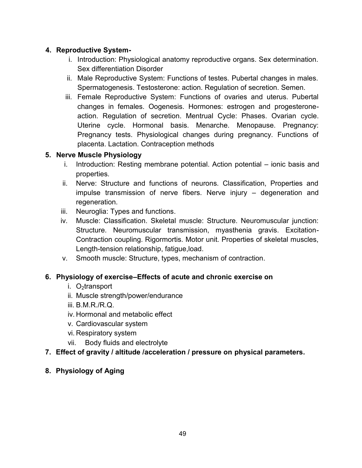## **4. Reproductive System-**

- i. Introduction: Physiological anatomy reproductive organs. Sex determination. Sex differentiation Disorder
- ii. Male Reproductive System: Functions of testes. Pubertal changes in males. Spermatogenesis. Testosterone: action. Regulation of secretion. Semen.
- iii. Female Reproductive System: Functions of ovaries and uterus. Pubertal changes in females. Oogenesis. Hormones: estrogen and progesteroneaction. Regulation of secretion. Mentrual Cycle: Phases. Ovarian cycle. Uterine cycle. Hormonal basis. Menarche. Menopause. Pregnancy: Pregnancy tests. Physiological changes during pregnancy. Functions of placenta. Lactation. Contraception methods

#### **5. Nerve Muscle Physiology**

- i. Introduction: Resting membrane potential. Action potential ionic basis and properties.
- ii. Nerve: Structure and functions of neurons. Classification, Properties and impulse transmission of nerve fibers. Nerve injury – degeneration and regeneration.
- iii. Neuroglia: Types and functions.
- iv. Muscle: Classification. Skeletal muscle: Structure. Neuromuscular junction: Structure. Neuromuscular transmission, myasthenia gravis. Excitation-Contraction coupling. Rigormortis. Motor unit. Properties of skeletal muscles, Length-tension relationship, fatigue,load.
- v. Smooth muscle: Structure, types, mechanism of contraction.

#### **6. Physiology of exercise–Effects of acute and chronic exercise on**

- i.  $O_2$ transport
- ii. Muscle strength/power/endurance
- iii. B.M.R./R.Q.
- iv. Hormonal and metabolic effect
- v. Cardiovascular system
- vi. Respiratory system
- vii. Body fluids and electrolyte

## **7. Effect of gravity / altitude /acceleration / pressure on physical parameters.**

## **8. Physiology of Aging**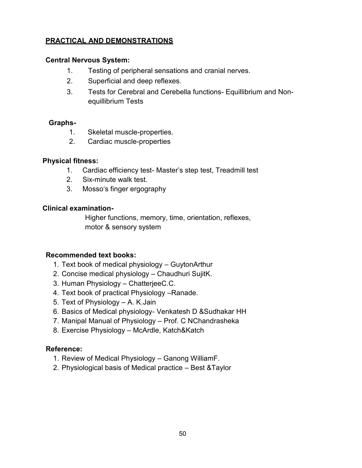## **PRACTICAL AND DEMONSTRATIONS**

#### **Central Nervous System:**

- 1. Testing of peripheral sensations and cranial nerves.
- 2. Superficial and deep reflexes.
- 3. Tests for Cerebral and Cerebella functions- Equillibrium and Nonequillibrium Tests

#### **Graphs-**

- 1. Skeletal muscle-properties.
- 2. Cardiac muscle-properties

#### **Physical fitness:**

- 1. Cardiac efficiency test- Master's step test, Treadmill test
- 2. Six-minute walk test.
- 3. Mosso's finger ergography

#### **Clinical examination-**

Higher functions, memory, time, orientation, reflexes, motor & sensory system

#### **Recommended text books:**

- 1. Text book of medical physiology GuytonArthur
- 2. Concise medical physiology Chaudhuri SujitK.
- 3. Human Physiology ChatterjeeC.C.
- 4. Text book of practical Physiology –Ranade.
- 5. Text of Physiology A. K.Jain
- 6. Basics of Medical physiology- Venkatesh D &Sudhakar HH
- 7. Manipal Manual of Physiology Prof. C NChandrasheka
- 8. Exercise Physiology McArdle, Katch&Katch

#### **Reference:**

- 1. Review of Medical Physiology Ganong WilliamF.
- 2. Physiological basis of Medical practice Best &Taylor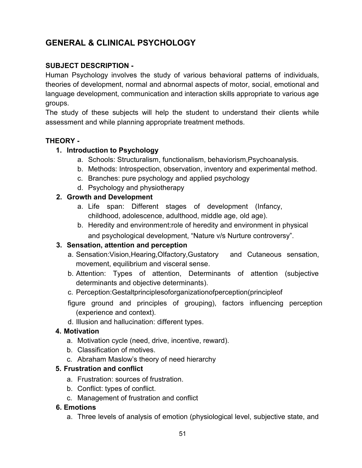# **GENERAL & CLINICAL PSYCHOLOGY**

## **SUBJECT DESCRIPTION -**

Human Psychology involves the study of various behavioral patterns of individuals, theories of development, normal and abnormal aspects of motor, social, emotional and language development, communication and interaction skills appropriate to various age groups.

The study of these subjects will help the student to understand their clients while assessment and while planning appropriate treatment methods.

#### **THEORY -**

#### **1. Introduction to Psychology**

- a. Schools: Structuralism, functionalism, behaviorism,Psychoanalysis.
- b. Methods: Introspection, observation, inventory and experimental method.
- c. Branches: pure psychology and applied psychology
- d. Psychology and physiotherapy

#### **2. Growth and Development**

- a. Life span: Different stages of development (Infancy, childhood, adolescence, adulthood, middle age, old age).
- b. Heredity and environment:role of heredity and environment in physical and psychological development, "Nature v/s Nurture controversy".

#### **3. Sensation, attention and perception**

- a. Sensation:Vision,Hearing,Olfactory,Gustatory and Cutaneous sensation, movement, equilibrium and visceral sense.
- b. Attention: Types of attention, Determinants of attention (subjective determinants and objective determinants).
- c. Perception:Gestaltprinciplesoforganizationofperception(principleof
- figure ground and principles of grouping), factors influencing perception (experience and context).
- d. Illusion and hallucination: different types.

#### **4. Motivation**

- a. Motivation cycle (need, drive, incentive, reward).
- b. Classification of motives.
- c. Abraham Maslow's theory of need hierarchy

#### **5. Frustration and conflict**

- a. Frustration: sources of frustration.
- b. Conflict: types of conflict.
- c. Management of frustration and conflict

#### **6. Emotions**

a. Three levels of analysis of emotion (physiological level, subjective state, and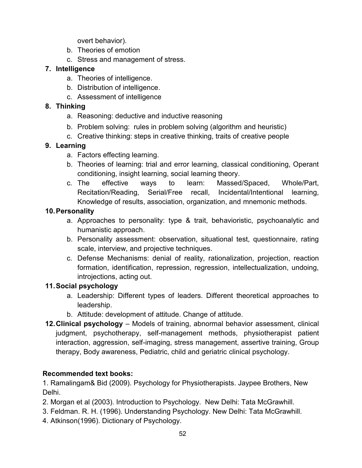overt behavior).

- b. Theories of emotion
- c. Stress and management of stress.

#### **7. Intelligence**

- a. Theories of intelligence.
- b. Distribution of intelligence.
- c. Assessment of intelligence

#### **8. Thinking**

- a. Reasoning: deductive and inductive reasoning
- b. Problem solving: rules in problem solving (algorithm and heuristic)
- c. Creative thinking: steps in creative thinking, traits of creative people

#### **9. Learning**

- a. Factors effecting learning.
- b. Theories of learning: trial and error learning, classical conditioning, Operant conditioning, insight learning, social learning theory.
- c. The effective ways to learn: Massed/Spaced, Whole/Part, Recitation/Reading, Serial/Free recall, Incidental/Intentional learning, Knowledge of results, association, organization, and mnemonic methods.

#### **10.Personality**

- a. Approaches to personality: type & trait, behavioristic, psychoanalytic and humanistic approach.
- b. Personality assessment: observation, situational test, questionnaire, rating scale, interview, and projective techniques.
- c. Defense Mechanisms: denial of reality, rationalization, projection, reaction formation, identification, repression, regression, intellectualization, undoing, introjections, acting out.

#### **11.Social psychology**

- a. Leadership: Different types of leaders. Different theoretical approaches to leadership.
- b. Attitude: development of attitude. Change of attitude.
- **12.Clinical psychology** Models of training, abnormal behavior assessment, clinical judgment, psychotherapy, self-management methods, physiotherapist patient interaction, aggression, self-imaging, stress management, assertive training, Group therapy, Body awareness, Pediatric, child and geriatric clinical psychology.

#### **Recommended text books:**

1. Ramalingam& Bid (2009). Psychology for Physiotherapists. Jaypee Brothers, New Delhi.

- 2. Morgan et al (2003). Introduction to Psychology. New Delhi: Tata McGrawhill.
- 3. Feldman. R. H. (1996). Understanding Psychology. New Delhi: Tata McGrawhill.
- 4. Atkinson(1996). Dictionary of Psychology.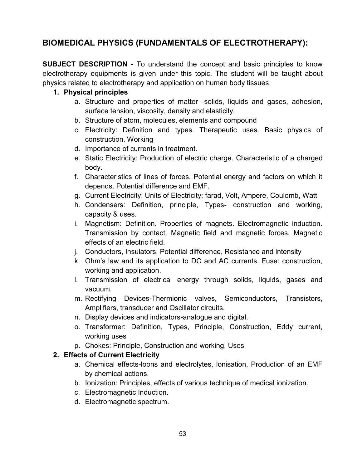# **BIOMEDICAL PHYSICS (FUNDAMENTALS OF ELECTROTHERAPY):**

**SUBJECT DESCRIPTION** - To understand the concept and basic principles to know electrotherapy equipments is given under this topic. The student will be taught about physics related to electrotherapy and application on human body tissues.

#### **1. Physical principles**

- a. Structure and properties of matter -solids, liquids and gases, adhesion, surface tension, viscosity, density and elasticity.
- b. Structure of atom, molecules, elements and compound
- c. Electricity: Definition and types. Therapeutic uses. Basic physics of construction. Working
- d. Importance of currents in treatment.
- e. Static Electricity: Production of electric charge. Characteristic of a charged body.
- f. Characteristics of lines of forces. Potential energy and factors on which it depends. Potential difference and EMF.
- g. Current Electricity: Units of Electricity: farad, Volt, Ampere, Coulomb, Watt
- h. Condensers: Definition, principle, Types- construction and working, capacity & uses.
- i. Magnetism: Definition. Properties of magnets. Electromagnetic induction. Transmission by contact. Magnetic field and magnetic forces. Magnetic effects of an electric field.
- j. Conductors, Insulators, Potential difference, Resistance and intensity
- k. Ohm's law and its application to DC and AC currents. Fuse: construction, working and application.
- l. Transmission of electrical energy through solids, liquids, gases and vacuum.
- m. Rectifying Devices-Thermionic valves, Semiconductors, Transistors, Amplifiers, transducer and Oscillator circuits.
- n. Display devices and indicators-analogue and digital.
- o. Transformer: Definition, Types, Principle, Construction, Eddy current, working uses
- p. Chokes: Principle, Construction and working, Uses

#### **2. Effects of Current Electricity**

- a. Chemical effects-loons and electrolytes, lonisation, Production of an EMF by chemical actions.
- b. Ionization: Principles, effects of various technique of medical ionization.
- c. Electromagnetic Induction.
- d. Electromagnetic spectrum.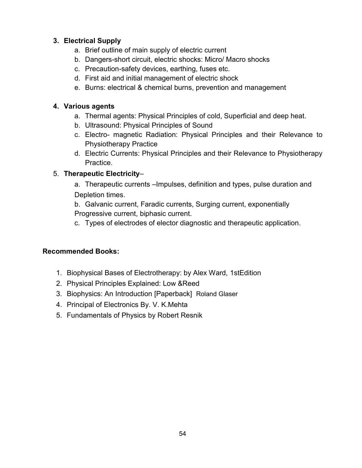## **3. Electrical Supply**

- a. Brief outline of main supply of electric current
- b. Dangers-short circuit, electric shocks: Micro/ Macro shocks
- c. Precaution-safety devices, earthing, fuses etc.
- d. First aid and initial management of electric shock
- e. Burns: electrical & chemical burns, prevention and management

## **4. Various agents**

- a. Thermal agents: Physical Principles of cold, Superficial and deep heat.
- b. Ultrasound: Physical Principles of Sound
- c. Electro- magnetic Radiation: Physical Principles and their Relevance to Physiotherapy Practice
- d. Electric Currents: Physical Principles and their Relevance to Physiotherapy Practice.

## 5. **Therapeutic Electricity**–

a. Therapeutic currents –Impulses, definition and types, pulse duration and Depletion times.

b. Galvanic current, Faradic currents, Surging current, exponentially

Progressive current, biphasic current.

c. Types of electrodes of elector diagnostic and therapeutic application.

## **Recommended Books:**

- 1. Biophysical Bases of Electrotherapy: by Alex Ward, 1stEdition
- 2. Physical Principles Explained: Low &Reed
- 3. Biophysics: An Introduction [Paperback] Roland Glaser
- 4. Principal of Electronics By. V. K.Mehta
- 5. Fundamentals of Physics by Robert Resnik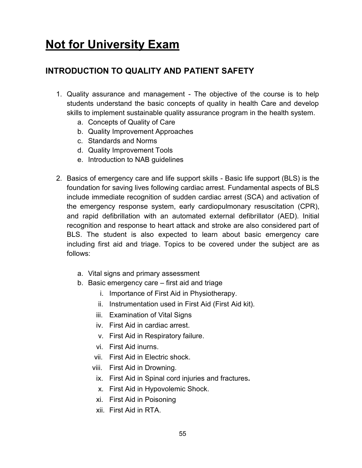# **Not for University Exam**

# **INTRODUCTION TO QUALITY AND PATIENT SAFETY**

- 1. Quality assurance and management The objective of the course is to help students understand the basic concepts of quality in health Care and develop skills to implement sustainable quality assurance program in the health system.
	- a. Concepts of Quality of Care
	- b. Quality Improvement Approaches
	- c. Standards and Norms
	- d. Quality Improvement Tools
	- e. Introduction to NAB guidelines
- 2. Basics of emergency care and life support skills Basic life support (BLS) is the foundation for saving lives following cardiac arrest. Fundamental aspects of BLS include immediate recognition of sudden cardiac arrest (SCA) and activation of the emergency response system, early cardiopulmonary resuscitation (CPR), and rapid defibrillation with an automated external defibrillator (AED). Initial recognition and response to heart attack and stroke are also considered part of BLS. The student is also expected to learn about basic emergency care including first aid and triage. Topics to be covered under the subject are as follows:
	- a. Vital signs and primary assessment
	- b. Basic emergency care first aid and triage
		- i. Importance of First Aid in Physiotherapy.
		- ii. Instrumentation used in First Aid (First Aid kit).
		- iii. Examination of Vital Signs
		- iv. First Aid in cardiac arrest.
		- v. First Aid in Respiratory failure.
		- vi. First Aid inurns.
		- vii. First Aid in Electric shock.
		- viii. First Aid in Drowning.
			- ix. First Aid in Spinal cord injuries and fractures**.**
			- x. First Aid in Hypovolemic Shock.
		- xi. First Aid in Poisoning
		- xii. First Aid in RTA.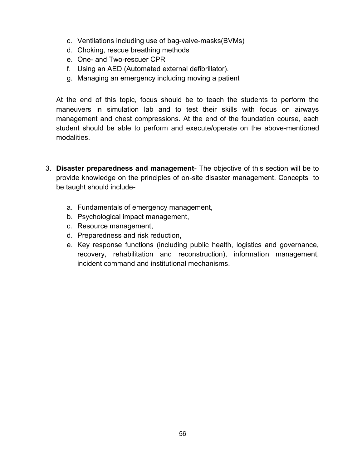- c. Ventilations including use of bag-valve-masks(BVMs)
- d. Choking, rescue breathing methods
- e. One- and Two-rescuer CPR
- f. Using an AED (Automated external defibrillator).
- g. Managing an emergency including moving a patient

At the end of this topic, focus should be to teach the students to perform the maneuvers in simulation lab and to test their skills with focus on airways management and chest compressions. At the end of the foundation course, each student should be able to perform and execute/operate on the above-mentioned modalities.

- 3. **Disaster preparedness and management** The objective of this section will be to provide knowledge on the principles of on-site disaster management. Concepts to be taught should include
	- a. Fundamentals of emergency management,
	- b. Psychological impact management,
	- c. Resource management,
	- d. Preparedness and risk reduction,
	- e. Key response functions (including public health, logistics and governance, recovery, rehabilitation and reconstruction), information management, incident command and institutional mechanisms.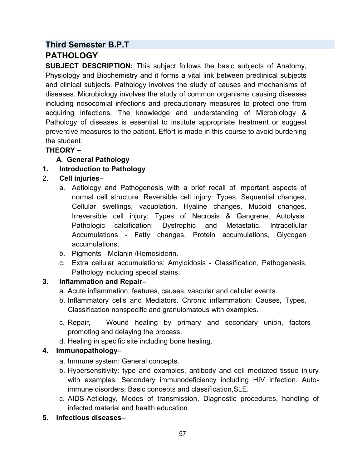## **Third Semester B.P.T PATHOLOGY**

**SUBJECT DESCRIPTION:** This subject follows the basic subjects of Anatomy, Physiology and Biochemistry and it forms a vital link between preclinical subjects and clinical subjects. Pathology involves the study of causes and mechanisms of diseases. Microbiology involves the study of common organisms causing diseases including nosocomial infections and precautionary measures to protect one from acquiring infections. The knowledge and understanding of Microbiology & Pathology of diseases is essential to institute appropriate treatment or suggest preventive measures to the patient. Effort is made in this course to avoid burdening the student.

## **THEORY –**

## **A. General Pathology**

## **1. Introduction to Pathology**

## 2. **Cell injuries**–

- a. Aetiology and Pathogenesis with a brief recall of important aspects of normal cell structure. Reversible cell injury: Types, Sequential changes, Cellular swellings, vacuolation, Hyaline changes, Mucoid changes. Irreversible cell injury: Types of Necrosis & Gangrene, Autolysis. Pathologic calcification: Dystrophic and Metastatic. Intracellular Accumulations - Fatty changes, Protein accumulations, Glycogen accumulations,
- b. Pigments Melanin /Hemosiderin.
- c. Extra cellular accumulations: Amyloidosis Classification, Pathogenesis, Pathology including special stains.

## **3. Inflammation and Repair–**

- a. Acute inflammation: features, causes, vascular and cellular events.
- b. Inflammatory cells and Mediators. Chronic inflammation: Causes, Types, Classification nonspecific and granulomatous with examples.
- c. Repair, Wound healing by primary and secondary union, factors promoting and delaying the process.
- d. Healing in specific site including bone healing.

## **4. Immunopathology–**

- a. Immune system: General concepts.
- b. Hypersensitivity: type and examples, antibody and cell mediated tissue injury with examples. Secondary immunodeficiency including HIV infection. Autoimmune disorders: Basic concepts and classification,SLE.
- c. AIDS-Aetiology, Modes of transmission, Diagnostic procedures, handling of infected material and health education.

## **5. Infectious diseases–**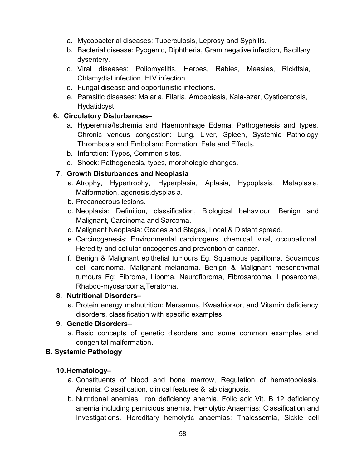- a. Mycobacterial diseases: Tuberculosis, Leprosy and Syphilis.
- b. Bacterial disease: Pyogenic, Diphtheria, Gram negative infection, Bacillary dysentery.
- c. Viral diseases: Poliomyelitis, Herpes, Rabies, Measles, Rickttsia, Chlamydial infection, HIV infection.
- d. Fungal disease and opportunistic infections.
- e. Parasitic diseases: Malaria, Filaria, Amoebiasis, Kala-azar, Cysticercosis, Hydatidcyst.

## **6. Circulatory Disturbances–**

- a. Hyperemia/Ischemia and Haemorrhage Edema: Pathogenesis and types. Chronic venous congestion: Lung, Liver, Spleen, Systemic Pathology Thrombosis and Embolism: Formation, Fate and Effects.
- b. Infarction: Types, Common sites.
- c. Shock: Pathogenesis, types, morphologic changes.

## **7. Growth Disturbances and Neoplasia**

- a. Atrophy, Hypertrophy, Hyperplasia, Aplasia, Hypoplasia, Metaplasia, Malformation, agenesis,dysplasia.
- b. Precancerous lesions.
- c. Neoplasia: Definition, classification, Biological behaviour: Benign and Malignant, Carcinoma and Sarcoma.
- d. Malignant Neoplasia: Grades and Stages, Local & Distant spread.
- e. Carcinogenesis: Environmental carcinogens, chemical, viral, occupational. Heredity and cellular oncogenes and prevention of cancer.
- f. Benign & Malignant epithelial tumours Eg. Squamous papilloma, Squamous cell carcinoma, Malignant melanoma. Benign & Malignant mesenchymal tumours Eg: Fibroma, Lipoma, Neurofibroma, Fibrosarcoma, Liposarcoma, Rhabdo-myosarcoma,Teratoma.

## **8. Nutritional Disorders–**

a. Protein energy malnutrition: Marasmus, Kwashiorkor, and Vitamin deficiency disorders, classification with specific examples.

## **9. Genetic Disorders–**

a. Basic concepts of genetic disorders and some common examples and congenital malformation.

## **B. Systemic Pathology**

## **10.Hematology–**

- a. Constituents of blood and bone marrow, Regulation of hematopoiesis. Anemia: Classification, clinical features & lab diagnosis.
- b. Nutritional anemias: Iron deficiency anemia, Folic acid,Vit. B 12 deficiency anemia including pernicious anemia. Hemolytic Anaemias: Classification and Investigations. Hereditary hemolytic anaemias: Thalessemia, Sickle cell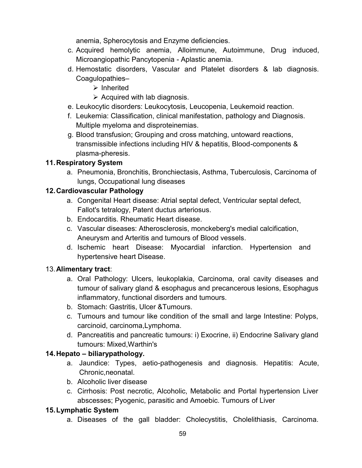anemia, Spherocytosis and Enzyme deficiencies.

- c. Acquired hemolytic anemia, Alloimmune, Autoimmune, Drug induced, Microangiopathic Pancytopenia - Aplastic anemia.
- d. Hemostatic disorders, Vascular and Platelet disorders & lab diagnosis. Coagulopathies–
	- $\triangleright$  Inherited
	- $\triangleright$  Acquired with lab diagnosis.
- e. Leukocytic disorders: Leukocytosis, Leucopenia, Leukemoid reaction.
- f. Leukemia: Classification, clinical manifestation, pathology and Diagnosis. Multiple myeloma and disproteinemias.
- g. Blood transfusion; Grouping and cross matching, untoward reactions, transmissible infections including HIV & hepatitis, Blood-components & plasma-pheresis.

## **11.Respiratory System**

a. Pneumonia, Bronchitis, Bronchiectasis, Asthma, Tuberculosis, Carcinoma of lungs, Occupational lung diseases

## **12.Cardiovascular Pathology**

- a. Congenital Heart disease: Atrial septal defect, Ventricular septal defect, Fallot's tetralogy, Patent ductus arteriosus.
- b. Endocarditis. Rheumatic Heart disease.
- c. Vascular diseases: Atherosclerosis, monckeberg's medial calcification, Aneurysm and Arteritis and tumours of Blood vessels.
- d. Ischemic heart Disease: Myocardial infarction. Hypertension and hypertensive heart Disease.

#### 13.**Alimentary tract**:

- a. Oral Pathology: Ulcers, leukoplakia, Carcinoma, oral cavity diseases and tumour of salivary gland & esophagus and precancerous lesions, Esophagus inflammatory, functional disorders and tumours.
- b. Stomach: Gastritis, Ulcer &Tumours.
- c. Tumours and tumour like condition of the small and large Intestine: Polyps, carcinoid, carcinoma,Lymphoma.
- d. Pancreatitis and pancreatic tumours: i) Exocrine, ii) Endocrine Salivary gland tumours: Mixed,Warthin's

#### **14.Hepato – biliarypathology.**

- a. Jaundice: Types, aetio-pathogenesis and diagnosis. Hepatitis: Acute, Chronic,neonatal.
- b. Alcoholic liver disease
- c. Cirrhosis: Post necrotic, Alcoholic, Metabolic and Portal hypertension Liver abscesses; Pyogenic, parasitic and Amoebic. Tumours of Liver

#### **15.Lymphatic System**

a. Diseases of the gall bladder: Cholecystitis, Cholelithiasis, Carcinoma.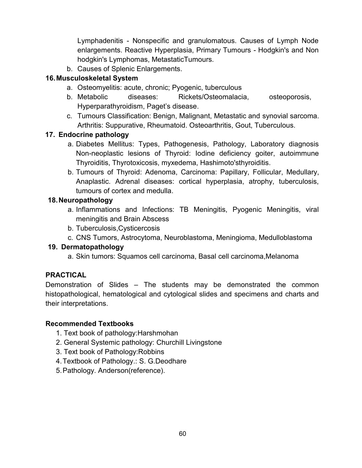Lymphadenitis - Nonspecific and granulomatous. Causes of Lymph Node enlargements. Reactive Hyperplasia, Primary Tumours - Hodgkin's and Non hodgkin's Lymphomas, MetastaticTumours.

b. Causes of Splenic Enlargements.

## **16.Musculoskeletal System**

- a. Osteomyelitis: acute, chronic; Pyogenic, tuberculous
- b. Metabolic diseases: Rickets/Osteomalacia, osteoporosis, Hyperparathyroidism, Paget's disease.
- c. Tumours Classification: Benign, Malignant, Metastatic and synovial sarcoma. Arthritis: Suppurative, Rheumatoid. Osteoarthritis, Gout, Tuberculous.

## **17. Endocrine pathology**

- a. Diabetes Mellitus: Types, Pathogenesis, Pathology, Laboratory diagnosis Non-neoplastic lesions of Thyroid: Iodine deficiency goiter, autoimmune Thyroiditis, Thyrotoxicosis, myxedema, Hashimoto'sthyroiditis.
- b. Tumours of Thyroid: Adenoma, Carcinoma: Papillary, Follicular, Medullary, Anaplastic. Adrenal diseases: cortical hyperplasia, atrophy, tuberculosis, tumours of cortex and medulla.

## **18.Neuropathology**

- a. Inflammations and Infections: TB Meningitis, Pyogenic Meningitis, viral meningitis and Brain Abscess
- b. Tuberculosis,Cysticercosis
- c. CNS Tumors, Astrocytoma, Neuroblastoma, Meningioma, Medulloblastoma

#### **19. Dermatopathology**

a. Skin tumors: Squamos cell carcinoma, Basal cell carcinoma,Melanoma

## **PRACTICAL**

Demonstration of Slides – The students may be demonstrated the common histopathological, hematological and cytological slides and specimens and charts and their interpretations.

#### **Recommended Textbooks**

- 1. Text book of pathology:Harshmohan
- 2. General Systemic pathology: Churchill Livingstone
- 3. Text book of Pathology:Robbins
- 4.Textbook of Pathology.: S. G.Deodhare
- 5.Pathology. Anderson(reference).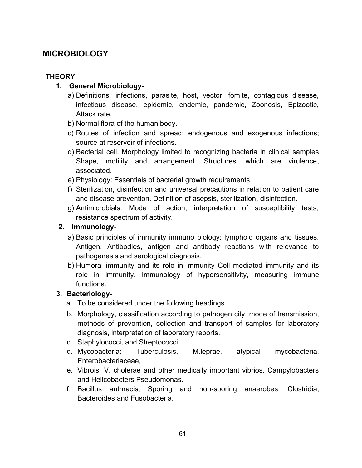# **MICROBIOLOGY**

## **THEORY**

- **1. General Microbiology**
	- a) Definitions: infections, parasite, host, vector, fomite, contagious disease, infectious disease, epidemic, endemic, pandemic, Zoonosis, Epizootic, Attack rate.
	- b) Normal flora of the human body.
	- c) Routes of infection and spread; endogenous and exogenous infections; source at reservoir of infections.
	- d) Bacterial cell. Morphology limited to recognizing bacteria in clinical samples Shape, motility and arrangement. Structures, which are virulence, associated.
	- e) Physiology: Essentials of bacterial growth requirements.
	- f) Sterilization, disinfection and universal precautions in relation to patient care and disease prevention. Definition of asepsis, sterilization, disinfection.
	- g) Antimicrobials: Mode of action, interpretation of susceptibility tests, resistance spectrum of activity.

## **2. Immunology-**

- a) Basic principles of immunity immuno biology: lymphoid organs and tissues. Antigen, Antibodies, antigen and antibody reactions with relevance to pathogenesis and serological diagnosis.
- b) Humoral immunity and its role in immunity Cell mediated immunity and its role in immunity. Immunology of hypersensitivity, measuring immune functions.

## **3. Bacteriology-**

- a. To be considered under the following headings
- b. Morphology, classification according to pathogen city, mode of transmission, methods of prevention, collection and transport of samples for laboratory diagnosis, interpretation of laboratory reports.
- c. Staphylococci, and Streptococci.
- d. Mycobacteria: Tuberculosis, M.leprae, atypical mycobacteria, Enterobacteriaceae,
- e. Vibrois: V. cholerae and other medically important vibrios, Campylobacters and Helicobacters,Pseudomonas.
- f. Bacillus anthracis, Sporing and non-sporing anaerobes: Clostridia, Bacteroides and Fusobacteria.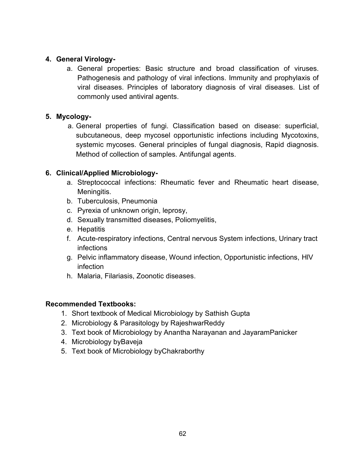#### **4. General Virology-**

a. General properties: Basic structure and broad classification of viruses. Pathogenesis and pathology of viral infections. Immunity and prophylaxis of viral diseases. Principles of laboratory diagnosis of viral diseases. List of commonly used antiviral agents.

#### **5. Mycology-**

a. General properties of fungi. Classification based on disease: superficial, subcutaneous, deep mycosel opportunistic infections including Mycotoxins, systemic mycoses. General principles of fungal diagnosis, Rapid diagnosis. Method of collection of samples. Antifungal agents.

#### **6. Clinical/Applied Microbiology-**

- a. Streptococcal infections: Rheumatic fever and Rheumatic heart disease, Meningitis.
- b. Tuberculosis, Pneumonia
- c. Pyrexia of unknown origin, leprosy,
- d. Sexually transmitted diseases, Poliomyelitis,
- e. Hepatitis
- f. Acute-respiratory infections, Central nervous System infections, Urinary tract infections
- g. Pelvic inflammatory disease, Wound infection, Opportunistic infections, HlV infection
- h. Malaria, Filariasis, Zoonotic diseases.

#### **Recommended Textbooks:**

- 1. Short textbook of Medical Microbiology by Sathish Gupta
- 2. Microbiology & Parasitology by RajeshwarReddy
- 3. Text book of Microbiology by Anantha Narayanan and JayaramPanicker
- 4. Microbiology byBaveja
- 5. Text book of Microbiology byChakraborthy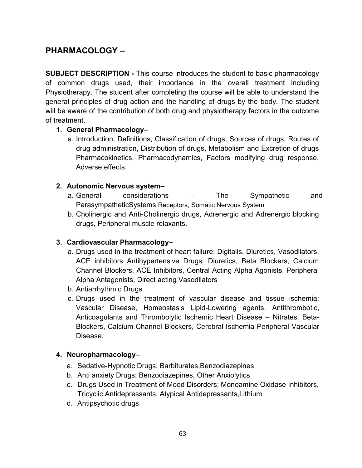# **PHARMACOLOGY –**

**SUBJECT DESCRIPTION -** This course introduces the student to basic pharmacology of common drugs used, their importance in the overall treatment including Physiotherapy. The student after completing the course will be able to understand the general principles of drug action and the handling of drugs by the body. The student will be aware of the contribution of both drug and physiotherapy factors in the outcome of treatment.

#### **1. General Pharmacology–**

a. Introduction, Definitions, Classification of drugs, Sources of drugs, Routes of drug administration, Distribution of drugs, Metabolism and Excretion of drugs Pharmacokinetics, Pharmacodynamics, Factors modifying drug response, Adverse effects.

#### **2. Autonomic Nervous system–**

- a. General considerations The Sympathetic and ParasympatheticSystems,Receptors, Somatic Nervous System
- b. Cholinergic and Anti-Cholinergic drugs, Adrenergic and Adrenergic blocking drugs, Peripheral muscle relaxants.

#### **3. Cardiovascular Pharmacology–**

- a. Drugs used in the treatment of heart failure: Digitalis, Diuretics, Vasodilators, ACE inhibitors Antihypertensive Drugs: Diuretics, Beta Blockers, Calcium Channel Blockers, ACE Inhibitors, Central Acting Alpha Agonists, Peripheral Alpha Antagonists, Direct acting Vasodilators
- b. Antiarrhythmic Drugs
- c. Drugs used in the treatment of vascular disease and tissue ischemia: Vascular Disease, Homeostasis Lipid-Lowering agents, Antithrombotic, Anticoagulants and Thrombolytic Ischemic Heart Disease – Nitrates, Beta-Blockers, Calcium Channel Blockers, Cerebral Ischemia Peripheral Vascular Disease.

#### **4. Neuropharmacology–**

- a. Sedative-Hypnotic Drugs: Barbiturates,Benzodiazepines
- b. Anti anxiety Drugs: Benzodiazepines, Other Anxiolytics
- c. Drugs Used in Treatment of Mood Disorders: Monoamine Oxidase Inhibitors, Tricyclic Antidepressants, Atypical Antidepressants,Lithium
- d. Antipsychotic drugs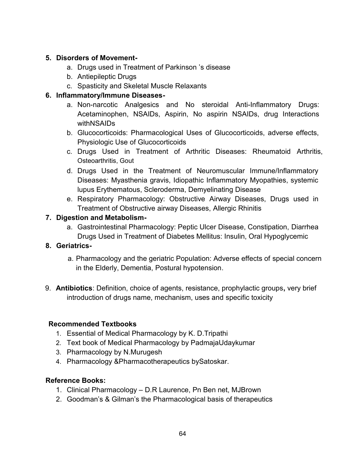## **5. Disorders of Movement-**

- a. Drugs used in Treatment of Parkinson 's disease
- b. Antiepileptic Drugs
- c. Spasticity and Skeletal Muscle Relaxants

## **6. Inflammatory/Immune Diseases-**

- a. Non-narcotic Analgesics and No steroidal Anti-Inflammatory Drugs: Acetaminophen, NSAIDs, Aspirin, No aspirin NSAIDs, drug Interactions withNSAIDs
- b. Glucocorticoids: Pharmacological Uses of Glucocorticoids, adverse effects, Physiologic Use of Glucocorticoids
- c. Drugs Used in Treatment of Arthritic Diseases: Rheumatoid Arthritis, Osteoarthritis, Gout
- d. Drugs Used in the Treatment of Neuromuscular Immune/Inflammatory Diseases: Myasthenia gravis, Idiopathic Inflammatory Myopathies, systemic lupus Erythematous, Scleroderma, Demyelinating Disease
- e. Respiratory Pharmacology: Obstructive Airway Diseases, Drugs used in Treatment of Obstructive airway Diseases, Allergic Rhinitis

## **7. Digestion and Metabolism-**

a. Gastrointestinal Pharmacology: Peptic Ulcer Disease, Constipation, Diarrhea Drugs Used in Treatment of Diabetes Mellitus: Insulin, Oral Hypoglycemic

## **8. Geriatrics-**

- a. Pharmacology and the geriatric Population: Adverse effects of special concern in the Elderly, Dementia, Postural hypotension.
- 9. **Antibiotics**: Definition, choice of agents, resistance, prophylactic groups**,** very brief introduction of drugs name, mechanism, uses and specific toxicity

## **Recommended Textbooks**

- 1. Essential of Medical Pharmacology by K. D.Tripathi
- 2. Text book of Medical Pharmacology by PadmajaUdaykumar
- 3. Pharmacology by N.Murugesh
- 4. Pharmacology &Pharmacotherapeutics bySatoskar.

#### **Reference Books:**

- 1. Clinical Pharmacology D.R Laurence, Pn Ben net, MJBrown
- 2. Goodman's & Gilman's the Pharmacological basis of therapeutics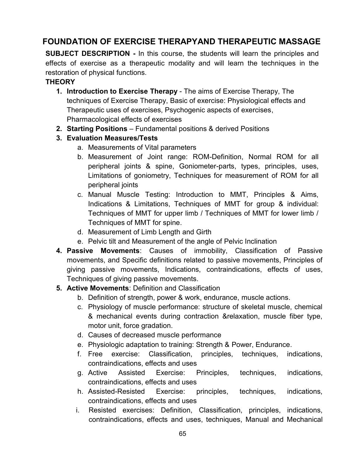# **FOUNDATION OF EXERCISE THERAPYAND THERAPEUTIC MASSAGE**

**SUBJECT DESCRIPTION -** In this course, the students will learn the principles and effects of exercise as a therapeutic modality and will learn the techniques in the restoration of physical functions.

#### **THEORY**

- **1. Introduction to Exercise Therapy** The aims of Exercise Therapy, The techniques of Exercise Therapy, Basic of exercise: Physiological effects and Therapeutic uses of exercises, Psychogenic aspects of exercises, Pharmacological effects of exercises
- **2. Starting Positions** Fundamental positions & derived Positions
- **3. Evaluation Measures/Tests**
	- a. Measurements of Vital parameters
	- b. Measurement of Joint range: ROM-Definition, Normal ROM for all peripheral joints & spine, Goniometer-parts, types, principles, uses, Limitations of goniometry, Techniques for measurement of ROM for all peripheral joints
	- c. Manual Muscle Testing: Introduction to MMT, Principles & Aims, Indications & Limitations, Techniques of MMT for group & individual: Techniques of MMT for upper limb / Techniques of MMT for lower limb / Techniques of MMT for spine.
	- d. Measurement of Limb Length and Girth
	- e. Pelvic tilt and Measurement of the angle of Pelvic Inclination
- **4. Passive Movements**: Causes of immobility, Classification of Passive movements, and Specific definitions related to passive movements, Principles of giving passive movements, Indications, contraindications, effects of uses, Techniques of giving passive movements.
- **5. Active Movements**: Definition and Classification
	- b. Definition of strength, power & work, endurance, muscle actions.
	- c. Physiology of muscle performance: structure of skeletal muscle, chemical & mechanical events during contraction &relaxation, muscle fiber type, motor unit, force gradation.
	- d. Causes of decreased muscle performance
	- e. Physiologic adaptation to training: Strength & Power, Endurance.
	- f. Free exercise: Classification, principles, techniques, indications, contraindications, effects and uses
	- g. Active Assisted Exercise: Principles, techniques, indications, contraindications, effects and uses
	- h. Assisted-Resisted Exercise: principles, techniques, indications, contraindications, effects and uses
	- i. Resisted exercises: Definition, Classification, principles, indications, contraindications, effects and uses, techniques, Manual and Mechanical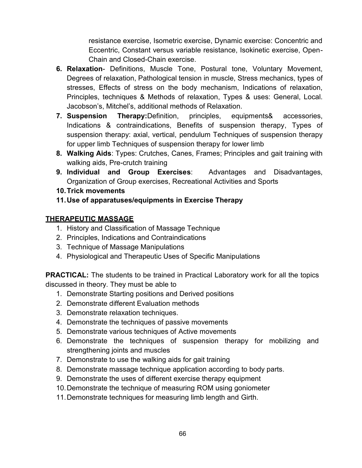resistance exercise, Isometric exercise, Dynamic exercise: Concentric and Eccentric, Constant versus variable resistance, Isokinetic exercise, Open-Chain and Closed-Chain exercise.

- **6. Relaxation** Definitions, Muscle Tone, Postural tone, Voluntary Movement, Degrees of relaxation, Pathological tension in muscle, Stress mechanics, types of stresses, Effects of stress on the body mechanism, Indications of relaxation, Principles, techniques & Methods of relaxation, Types & uses: General, Local. Jacobson's, Mitchel's, additional methods of Relaxation.
- **7. Suspension Therapy:**Definition, principles, equipments& accessories, Indications & contraindications, Benefits of suspension therapy, Types of suspension therapy: axial, vertical, pendulum Techniques of suspension therapy for upper limb Techniques of suspension therapy for lower limb
- **8. Walking Aids**: Types: Crutches, Canes, Frames; Principles and gait training with walking aids, Pre-crutch training
- **9. Individual and Group Exercises**: Advantages and Disadvantages, Organization of Group exercises, Recreational Activities and Sports
- **10.Trick movements**
- **11.Use of apparatuses/equipments in Exercise Therapy**

## **THERAPEUTIC MASSAGE**

- 1. History and Classification of Massage Technique
- 2. Principles, Indications and Contraindications
- 3. Technique of Massage Manipulations
- 4. Physiological and Therapeutic Uses of Specific Manipulations

**PRACTICAL:** The students to be trained in Practical Laboratory work for all the topics discussed in theory. They must be able to

- 1. Demonstrate Starting positions and Derived positions
- 2. Demonstrate different Evaluation methods
- 3. Demonstrate relaxation techniques.
- 4. Demonstrate the techniques of passive movements
- 5. Demonstrate various techniques of Active movements
- 6. Demonstrate the techniques of suspension therapy for mobilizing and strengthening joints and muscles
- 7. Demonstrate to use the walking aids for gait training
- 8. Demonstrate massage technique application according to body parts.
- 9. Demonstrate the uses of different exercise therapy equipment
- 10.Demonstrate the technique of measuring ROM using goniometer
- 11.Demonstrate techniques for measuring limb length and Girth.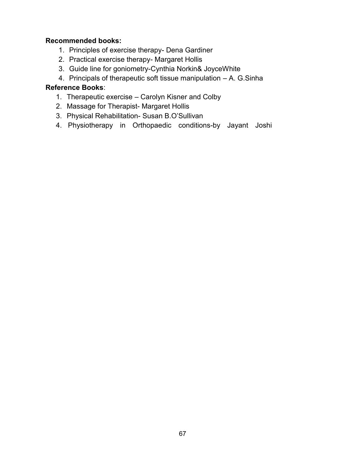#### **Recommended books:**

- 1. Principles of exercise therapy- Dena Gardiner
- 2. Practical exercise therapy- Margaret Hollis
- 3. Guide line for goniometry-Cynthia Norkin& JoyceWhite
- 4. Principals of therapeutic soft tissue manipulation A. G.Sinha

#### **Reference Books**:

- 1. Therapeutic exercise Carolyn Kisner and Colby
- 2. Massage for Therapist- Margaret Hollis
- 3. Physical Rehabilitation- Susan B.O'Sullivan
- 4. Physiotherapy in Orthopaedic conditions-by Jayant Joshi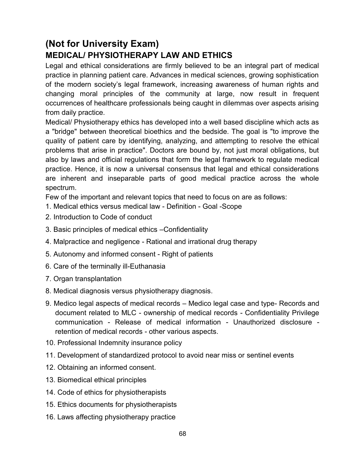# **(Not for University Exam) MEDICAL/ PHYSIOTHERAPY LAW AND ETHICS**

Legal and ethical considerations are firmly believed to be an integral part of medical practice in planning patient care. Advances in medical sciences, growing sophistication of the modern society's legal framework, increasing awareness of human rights and changing moral principles of the community at large, now result in frequent occurrences of healthcare professionals being caught in dilemmas over aspects arising from daily practice.

Medical/ Physiotherapy ethics has developed into a well based discipline which acts as a "bridge" between theoretical bioethics and the bedside. The goal is "to improve the quality of patient care by identifying, analyzing, and attempting to resolve the ethical problems that arise in practice". Doctors are bound by, not just moral obligations, but also by laws and official regulations that form the legal framework to regulate medical practice. Hence, it is now a universal consensus that legal and ethical considerations are inherent and inseparable parts of good medical practice across the whole spectrum.

Few of the important and relevant topics that need to focus on are as follows:

- 1. Medical ethics versus medical law Definition Goal -Scope
- 2. Introduction to Code of conduct
- 3. Basic principles of medical ethics –Confidentiality
- 4. Malpractice and negligence Rational and irrational drug therapy
- 5. Autonomy and informed consent Right of patients
- 6. Care of the terminally ill-Euthanasia
- 7. Organ transplantation
- 8. Medical diagnosis versus physiotherapy diagnosis.
- 9. Medico legal aspects of medical records Medico legal case and type- Records and document related to MLC - ownership of medical records - Confidentiality Privilege communication - Release of medical information - Unauthorized disclosure retention of medical records - other various aspects.
- 10. Professional Indemnity insurance policy
- 11. Development of standardized protocol to avoid near miss or sentinel events
- 12. Obtaining an informed consent.
- 13. Biomedical ethical principles
- 14. Code of ethics for physiotherapists
- 15. Ethics documents for physiotherapists
- 16. Laws affecting physiotherapy practice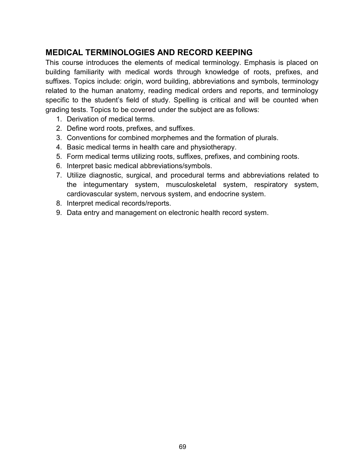# **MEDICAL TERMINOLOGIES AND RECORD KEEPING**

This course introduces the elements of medical terminology. Emphasis is placed on building familiarity with medical words through knowledge of roots, prefixes, and suffixes. Topics include: origin, word building, abbreviations and symbols, terminology related to the human anatomy, reading medical orders and reports, and terminology specific to the student's field of study. Spelling is critical and will be counted when grading tests. Topics to be covered under the subject are as follows:

- 1. Derivation of medical terms.
- 2. Define word roots, prefixes, and suffixes.
- 3. Conventions for combined morphemes and the formation of plurals.
- 4. Basic medical terms in health care and physiotherapy.
- 5. Form medical terms utilizing roots, suffixes, prefixes, and combining roots.
- 6. Interpret basic medical abbreviations/symbols.
- 7. Utilize diagnostic, surgical, and procedural terms and abbreviations related to the integumentary system, musculoskeletal system, respiratory system, cardiovascular system, nervous system, and endocrine system.
- 8. Interpret medical records/reports.
- 9. Data entry and management on electronic health record system.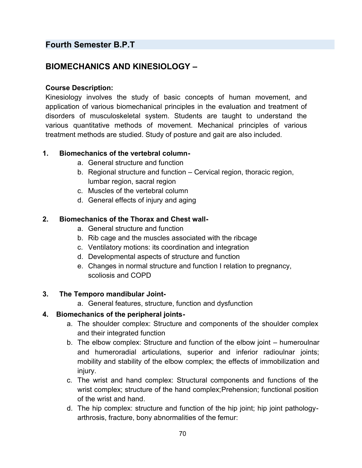# **Fourth Semester B.P.T**

# **BIOMECHANICS AND KINESIOLOGY –**

#### **Course Description:**

Kinesiology involves the study of basic concepts of human movement, and application of various biomechanical principles in the evaluation and treatment of disorders of musculoskeletal system. Students are taught to understand the various quantitative methods of movement. Mechanical principles of various treatment methods are studied. Study of posture and gait are also included.

#### **1. Biomechanics of the vertebral column-**

- a. General structure and function
- b. Regional structure and function Cervical region, thoracic region, lumbar region, sacral region
- c. Muscles of the vertebral column
- d. General effects of injury and aging

#### **2. Biomechanics of the Thorax and Chest wall-**

- a. General structure and function
- b. Rib cage and the muscles associated with the ribcage
- c. Ventilatory motions: its coordination and integration
- d. Developmental aspects of structure and function
- e. Changes in normal structure and function I relation to pregnancy, scoliosis and COPD

#### **3. The Temporo mandibular Joint-**

a. General features, structure, function and dysfunction

#### **4. Biomechanics of the peripheral joints-**

- a. The shoulder complex: Structure and components of the shoulder complex and their integrated function
- b. The elbow complex: Structure and function of the elbow joint humeroulnar and humeroradial articulations, superior and inferior radioulnar joints; mobility and stability of the elbow complex; the effects of immobilization and injury.
- c. The wrist and hand complex: Structural components and functions of the wrist complex; structure of the hand complex;Prehension; functional position of the wrist and hand.
- d. The hip complex: structure and function of the hip joint; hip joint pathologyarthrosis, fracture, bony abnormalities of the femur: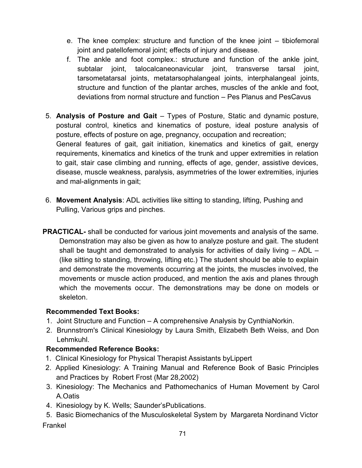- e. The knee complex: structure and function of the knee joint tibiofemoral joint and patellofemoral joint; effects of injury and disease.
- f. The ankle and foot complex.: structure and function of the ankle joint, subtalar joint, talocalcaneonavicular joint, transverse tarsal joint, tarsometatarsal joints, metatarsophalangeal joints, interphalangeal joints, structure and function of the plantar arches, muscles of the ankle and foot, deviations from normal structure and function – Pes Planus and PesCavus
- 5. **Analysis of Posture and Gait** Types of Posture, Static and dynamic posture, postural control, kinetics and kinematics of posture, ideal posture analysis of posture, effects of posture on age, pregnancy, occupation and recreation; General features of gait, gait initiation, kinematics and kinetics of gait, energy requirements, kinematics and kinetics of the trunk and upper extremities in relation to gait, stair case climbing and running, effects of age, gender, assistive devices, disease, muscle weakness, paralysis, asymmetries of the lower extremities, injuries and mal-alignments in gait;
- 6. **Movement Analysis**: ADL activities like sitting to standing, lifting, Pushing and Pulling, Various grips and pinches.
- **PRACTICAL-** shall be conducted for various joint movements and analysis of the same. Demonstration may also be given as how to analyze posture and gait. The student shall be taught and demonstrated to analysis for activities of daily living – ADL – (like sitting to standing, throwing, lifting etc.) The student should be able to explain and demonstrate the movements occurring at the joints, the muscles involved, the movements or muscle action produced, and mention the axis and planes through which the movements occur. The demonstrations may be done on models or skeleton.

#### **Recommended Text Books:**

- 1. Joint Structure and Function A comprehensive Analysis by CynthiaNorkin.
- 2. Brunnstrom's Clinical Kinesiology by Laura Smith, Elizabeth Beth Weiss, and Don Lehmkuhl.

## **Recommended Reference Books:**

- 1. Clinical Kinesiology for Physical Therapist Assistants byLippert
- 2. Applied Kinesiology: A Training Manual and Reference Book of Basic Principles and Practices by Robert Frost (Mar 28,2002)
- 3. Kinesiology: The Mechanics and Pathomechanics of Human Movement by Carol A.Oatis
- 4. Kinesiology by K. Wells; Saunder'sPublications.
- 5. Basic Biomechanics of the Musculoskeletal System by Margareta Nordinand Victor Frankel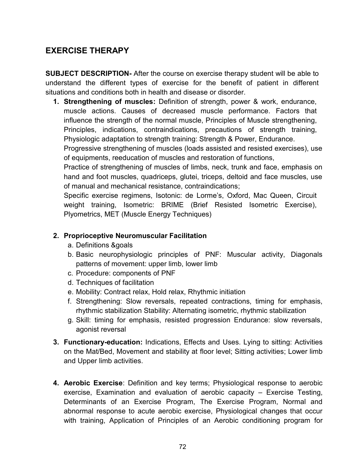# **EXERCISE THERAPY**

**SUBJECT DESCRIPTION-** After the course on exercise therapy student will be able to understand the different types of exercise for the benefit of patient in different situations and conditions both in health and disease or disorder.

**1. Strengthening of muscles:** Definition of strength, power & work, endurance, muscle actions. Causes of decreased muscle performance. Factors that influence the strength of the normal muscle, Principles of Muscle strengthening, Principles, indications, contraindications, precautions of strength training, Physiologic adaptation to strength training: Strength & Power, Endurance.

Progressive strengthening of muscles (loads assisted and resisted exercises), use of equipments, reeducation of muscles and restoration of functions,

Practice of strengthening of muscles of limbs, neck, trunk and face, emphasis on hand and foot muscles, quadriceps, glutei, triceps, deltoid and face muscles, use of manual and mechanical resistance, contraindications;

Specific exercise regimens, Isotonic: de Lorme's, Oxford, Mac Queen, Circuit weight training, Isometric: BRIME (Brief Resisted Isometric Exercise), Plyometrics, MET (Muscle Energy Techniques)

## **2. Proprioceptive Neuromuscular Facilitation**

- a. Definitions &goals
- b. Basic neurophysiologic principles of PNF: Muscular activity, Diagonals patterns of movement: upper limb, lower limb
- c. Procedure: components of PNF
- d. Techniques of facilitation
- e. Mobility: Contract relax, Hold relax, Rhythmic initiation
- f. Strengthening: Slow reversals, repeated contractions, timing for emphasis, rhythmic stabilization Stability: Alternating isometric, rhythmic stabilization
- g. Skill: timing for emphasis, resisted progression Endurance: slow reversals, agonist reversal
- **3. Functionary-education:** Indications, Effects and Uses. Lying to sitting: Activities on the Mat/Bed, Movement and stability at floor level; Sitting activities; Lower limb and Upper limb activities.
- **4. Aerobic Exercise**: Definition and key terms; Physiological response to aerobic exercise, Examination and evaluation of aerobic capacity – Exercise Testing, Determinants of an Exercise Program, The Exercise Program, Normal and abnormal response to acute aerobic exercise, Physiological changes that occur with training, Application of Principles of an Aerobic conditioning program for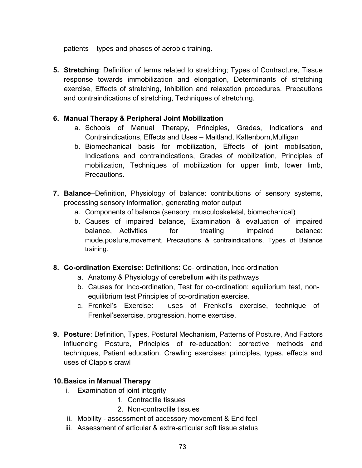patients – types and phases of aerobic training.

**5. Stretching**: Definition of terms related to stretching; Types of Contracture, Tissue response towards immobilization and elongation, Determinants of stretching exercise, Effects of stretching, Inhibition and relaxation procedures, Precautions and contraindications of stretching, Techniques of stretching.

#### **6. Manual Therapy & Peripheral Joint Mobilization**

- a. Schools of Manual Therapy, Principles, Grades, Indications and Contraindications, Effects and Uses – Maitland, Kaltenborn,Mulligan
- b. Biomechanical basis for mobilization, Effects of joint mobilsation, Indications and contraindications, Grades of mobilization, Principles of mobilization, Techniques of mobilization for upper limb, lower limb, **Precautions**
- **7. Balance**–Definition, Physiology of balance: contributions of sensory systems, processing sensory information, generating motor output
	- a. Components of balance (sensory, musculoskeletal, biomechanical)
	- b. Causes of impaired balance, Examination & evaluation of impaired balance, Activities for treating impaired balance: mode,posture,movement, Precautions & contraindications, Types of Balance training.
- **8. Co-ordination Exercise**: Definitions: Co- ordination, Inco-ordination
	- a. Anatomy & Physiology of cerebellum with its pathways
	- b. Causes for Inco-ordination, Test for co-ordination: equilibrium test, nonequilibrium test Principles of co-ordination exercise.
	- c. Frenkel's Exercise: uses of Frenkel's exercise, technique of Frenkel'sexercise, progression, home exercise.
- **9. Posture**: Definition, Types, Postural Mechanism, Patterns of Posture, And Factors influencing Posture, Principles of re-education: corrective methods and techniques, Patient education. Crawling exercises: principles, types, effects and uses of Clapp's crawl

#### **10.Basics in Manual Therapy**

- i. Examination of joint integrity
	- 1. Contractile tissues
	- 2. Non-contractile tissues
- ii. Mobility assessment of accessory movement & End feel
- iii. Assessment of articular & extra-articular soft tissue status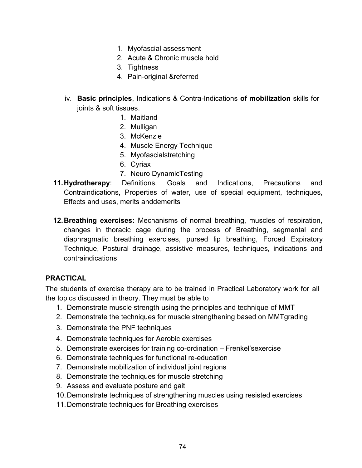- 1. Myofascial assessment
- 2. Acute & Chronic muscle hold
- 3. Tightness
- 4. Pain-original &referred
- iv. **Basic principles**, Indications & Contra-Indications **of mobilization** skills for joints & soft tissues.
	- 1. Maitland
	- 2. Mulligan
	- 3. McKenzie
	- 4. Muscle Energy Technique
	- 5. Myofascialstretching
	- 6. Cyriax
	- 7. Neuro DynamicTesting
- **11.Hydrotherapy**: Definitions, Goals and Indications, Precautions and Contraindications, Properties of water, use of special equipment, techniques, Effects and uses, merits anddemerits
- **12.Breathing exercises:** Mechanisms of normal breathing, muscles of respiration, changes in thoracic cage during the process of Breathing, segmental and diaphragmatic breathing exercises, pursed lip breathing, Forced Expiratory Technique, Postural drainage, assistive measures, techniques, indications and contraindications

#### **PRACTICAL**

The students of exercise therapy are to be trained in Practical Laboratory work for all the topics discussed in theory. They must be able to

- 1. Demonstrate muscle strength using the principles and technique of MMT
- 2. Demonstrate the techniques for muscle strengthening based on MMTgrading
- 3. Demonstrate the PNF techniques
- 4. Demonstrate techniques for Aerobic exercises
- 5. Demonstrate exercises for training co-ordination Frenkel'sexercise
- 6. Demonstrate techniques for functional re-education
- 7. Demonstrate mobilization of individual joint regions
- 8. Demonstrate the techniques for muscle stretching
- 9. Assess and evaluate posture and gait
- 10.Demonstrate techniques of strengthening muscles using resisted exercises
- 11.Demonstrate techniques for Breathing exercises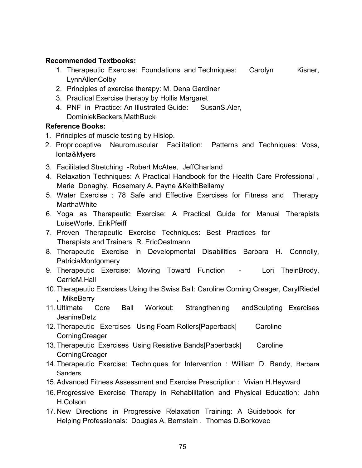#### **Recommended Textbooks:**

- 1. Therapeutic Exercise: Foundations and Techniques: Carolyn Kisner, LynnAllenColby
- 2. Principles of exercise therapy: M. Dena Gardiner
- 3. Practical Exercise therapy by Hollis Margaret
- 4. PNF in Practice: An Illustrated Guide: SusanS.Aler, DominiekBeckers,MathBuck

#### **Reference Books:**

- 1. Principles of muscle testing by Hislop.
- 2. Proprioceptive Neuromuscular Facilitation: Patterns and Techniques: Voss, Ionta&Myers
- 3. Facilitated Stretching -Robert McAtee, JeffCharland
- 4. Relaxation Techniques: A Practical Handbook for the Health Care Professional , Marie Donaghy, Rosemary A. Payne &KeithBellamy
- 5. Water Exercise : 78 Safe and Effective Exercises for Fitness and Therapy **MarthaWhite**
- 6. Yoga as Therapeutic Exercise: A Practical Guide for Manual Therapists LuiseWorle, ErikPfeiff
- 7. Proven Therapeutic Exercise Techniques: Best Practices for Therapists and Trainers R. EricOestmann
- 8. Therapeutic Exercise in Developmental Disabilities Barbara H. Connolly, PatriciaMontgomery
- 9. Therapeutic Exercise: Moving Toward Function Lori TheinBrody, CarrieM.Hall
- 10.Therapeutic Exercises Using the Swiss Ball: Caroline Corning Creager, CarylRiedel , MikeBerry
- 11.Ultimate Core Ball Workout: Strengthening andSculpting Exercises JeanineDetz
- 12.Therapeutic Exercises Using Foam Rollers[Paperback] Caroline **CorningCreager**
- 13.Therapeutic Exercises Using Resistive Bands[Paperback] Caroline **CorningCreager**
- 14.Therapeutic Exercise: Techniques for Intervention : William D. Bandy, Barbara Sanders
- 15.Advanced Fitness Assessment and Exercise Prescription : Vivian H.Heyward
- 16.Progressive Exercise Therapy in Rehabilitation and Physical Education: John H.Colson
- 17.New Directions in Progressive Relaxation Training: A Guidebook for Helping Professionals: Douglas A. Bernstein , Thomas D.Borkovec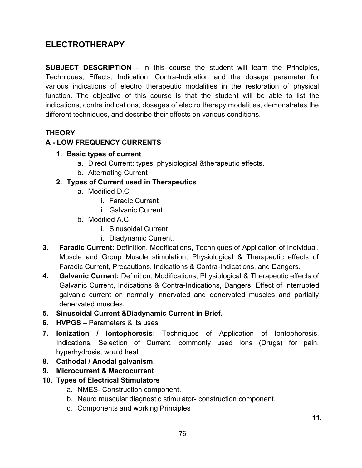# **ELECTROTHERAPY**

**SUBJECT DESCRIPTION** - In this course the student will learn the Principles, Techniques, Effects, Indication, Contra-Indication and the dosage parameter for various indications of electro therapeutic modalities in the restoration of physical function. The objective of this course is that the student will be able to list the indications, contra indications, dosages of electro therapy modalities, demonstrates the different techniques, and describe their effects on various conditions.

# **THEORY**

# **A - LOW FREQUENCY CURRENTS**

- **1. Basic types of current**
	- a. Direct Current: types, physiological &therapeutic effects.
	- b. Alternating Current
- **2. Types of Current used in Therapeutics**
	- a. Modified D.C
		- i. Faradic Current
		- ii. Galvanic Current
	- b. Modified A.C
		- i. Sinusoidal Current
		- ii. Diadynamic Current.
- **3. Faradic Current**: Definition, Modifications, Techniques of Application of Individual, Muscle and Group Muscle stimulation, Physiological & Therapeutic effects of Faradic Current, Precautions, Indications & Contra-Indications, and Dangers.
- **4. Galvanic Current:** Definition, Modifications, Physiological & Therapeutic effects of Galvanic Current, Indications & Contra-Indications, Dangers, Effect of interrupted galvanic current on normally innervated and denervated muscles and partially denervated muscles.
- **5. Sinusoidal Current &Diadynamic Current in Brief.**
- **6. HVPGS** Parameters & its uses
- **7. Ionization / Iontophoresis**: Techniques of Application of Iontophoresis, Indications, Selection of Current, commonly used Ions (Drugs) for pain, hyperhydrosis, would heal.
- **8. Cathodal / Anodal galvanism.**
- **9. Microcurrent & Macrocurrent**
- **10. Types of Electrical Stimulators**
	- a. NMES- Construction component.
	- b. Neuro muscular diagnostic stimulator- construction component.
	- c. Components and working Principles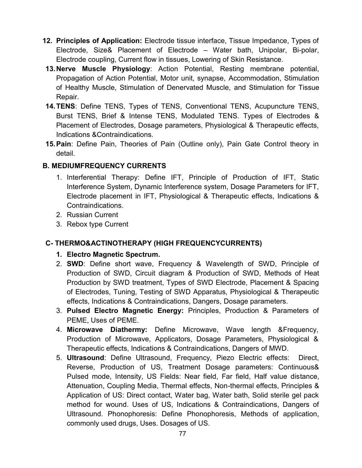- **12. Principles of Application:** Electrode tissue interface, Tissue Impedance, Types of Electrode, Size& Placement of Electrode – Water bath, Unipolar, Bi-polar, Electrode coupling, Current flow in tissues, Lowering of Skin Resistance.
- **13.Nerve Muscle Physiology**: Action Potential, Resting membrane potential, Propagation of Action Potential, Motor unit, synapse, Accommodation, Stimulation of Healthy Muscle, Stimulation of Denervated Muscle, and Stimulation for Tissue Repair.
- **14.TENS**: Define TENS, Types of TENS, Conventional TENS, Acupuncture TENS, Burst TENS, Brief & Intense TENS, Modulated TENS. Types of Electrodes & Placement of Electrodes, Dosage parameters, Physiological & Therapeutic effects, Indications &Contraindications.
- **15.Pain**: Define Pain, Theories of Pain (Outline only), Pain Gate Control theory in detail.

# **B. MEDIUMFREQUENCY CURRENTS**

- 1. Interferential Therapy: Define IFT, Principle of Production of IFT, Static Interference System, Dynamic Interference system, Dosage Parameters for IFT, Electrode placement in IFT, Physiological & Therapeutic effects, Indications & Contraindications.
- 2. Russian Current
- 3. Rebox type Current

# **C- THERMO&ACTINOTHERAPY (HIGH FREQUENCYCURRENTS)**

- **1. Electro Magnetic Spectrum.**
- 2. **SWD**: Define short wave, Frequency & Wavelength of SWD, Principle of Production of SWD, Circuit diagram & Production of SWD, Methods of Heat Production by SWD treatment, Types of SWD Electrode, Placement & Spacing of Electrodes, Tuning, Testing of SWD Apparatus, Physiological & Therapeutic effects, Indications & Contraindications, Dangers, Dosage parameters.
- 3. **Pulsed Electro Magnetic Energy:** Principles, Production & Parameters of PEME, Uses of PEME.
- 4. **Microwave Diathermy:** Define Microwave, Wave length &Frequency, Production of Microwave, Applicators, Dosage Parameters, Physiological & Therapeutic effects, Indications & Contraindications, Dangers of MWD.
- 5. **Ultrasound**: Define Ultrasound, Frequency, Piezo Electric effects: Direct, Reverse, Production of US, Treatment Dosage parameters: Continuous& Pulsed mode, Intensity, US Fields: Near field, Far field, Half value distance, Attenuation, Coupling Media, Thermal effects, Non-thermal effects, Principles & Application of US: Direct contact, Water bag, Water bath, Solid sterile gel pack method for wound. Uses of US, Indications & Contraindications, Dangers of Ultrasound. Phonophoresis: Define Phonophoresis, Methods of application, commonly used drugs, Uses. Dosages of US.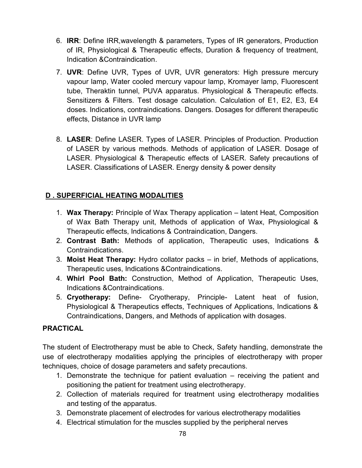- 6. **IRR**: Define IRR,wavelength & parameters, Types of IR generators, Production of IR, Physiological & Therapeutic effects, Duration & frequency of treatment, Indication &Contraindication.
- 7. **UVR**: Define UVR, Types of UVR, UVR generators: High pressure mercury vapour lamp, Water cooled mercury vapour lamp, Kromayer lamp, Fluorescent tube, Theraktin tunnel, PUVA apparatus. Physiological & Therapeutic effects. Sensitizers & Filters. Test dosage calculation. Calculation of E1, E2, E3, E4 doses. Indications, contraindications. Dangers. Dosages for different therapeutic effects, Distance in UVR lamp
- 8. **LASER**: Define LASER. Types of LASER. Principles of Production. Production of LASER by various methods. Methods of application of LASER. Dosage of LASER. Physiological & Therapeutic effects of LASER. Safety precautions of LASER. Classifications of LASER. Energy density & power density

# **D . SUPERFICIAL HEATING MODALITIES**

- 1. **Wax Therapy:** Principle of Wax Therapy application latent Heat, Composition of Wax Bath Therapy unit, Methods of application of Wax, Physiological & Therapeutic effects, Indications & Contraindication, Dangers.
- 2. **Contrast Bath:** Methods of application, Therapeutic uses, Indications & Contraindications.
- 3. **Moist Heat Therapy:** Hydro collator packs in brief, Methods of applications, Therapeutic uses, Indications &Contraindications.
- 4. **Whirl Pool Bath:** Construction, Method of Application, Therapeutic Uses, Indications &Contraindications.
- 5. **Cryotherapy:** Define- Cryotherapy, Principle- Latent heat of fusion, Physiological & Therapeutics effects, Techniques of Applications, Indications & Contraindications, Dangers, and Methods of application with dosages.

#### **PRACTICAL**

The student of Electrotherapy must be able to Check, Safety handling, demonstrate the use of electrotherapy modalities applying the principles of electrotherapy with proper techniques, choice of dosage parameters and safety precautions.

- 1. Demonstrate the technique for patient evaluation receiving the patient and positioning the patient for treatment using electrotherapy.
- 2. Collection of materials required for treatment using electrotherapy modalities and testing of the apparatus.
- 3. Demonstrate placement of electrodes for various electrotherapy modalities
- 4. Electrical stimulation for the muscles supplied by the peripheral nerves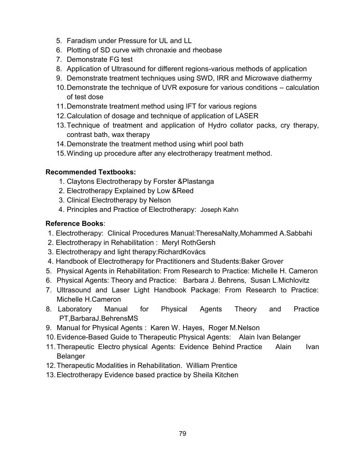- 5. Faradism under Pressure for UL and LL
- 6. Plotting of SD curve with chronaxie and rheobase
- 7. Demonstrate FG test
- 8. Application of Ultrasound for different regions-various methods of application
- 9. Demonstrate treatment techniques using SWD, IRR and Microwave diathermy
- 10.Demonstrate the technique of UVR exposure for various conditions calculation of test dose
- 11.Demonstrate treatment method using IFT for various regions
- 12.Calculation of dosage and technique of application of LASER
- 13.Technique of treatment and application of Hydro collator packs, cry therapy, contrast bath, wax therapy
- 14.Demonstrate the treatment method using whirl pool bath
- 15.Winding up procedure after any electrotherapy treatment method.

# **Recommended Textbooks:**

- 1. Claytons Electrotherapy by Forster &Plastanga
- 2. Electrotherapy Explained by Low &Reed
- 3. Clinical Electrotherapy by Nelson
- 4. Principles and Practice of Electrotherapy: Joseph Kahn

# **Reference Books**:

- 1. Electrotherapy: Clinical Procedures Manual:TheresaNalty,Mohammed A.Sabbahi
- 2. Electrotherapy in Rehabilitation : Meryl RothGersh
- 3. Electrotherapy and light therapy:RichardKovács
- 4. Handbook of Electrotherapy for Practitioners and Students:Baker Grover
- 5. Physical Agents in Rehabilitation: From Research to Practice: Michelle H. Cameron
- 6. Physical Agents: Theory and Practice: Barbara J. Behrens, Susan L.Michlovitz
- 7. Ultrasound and Laser Light Handbook Package: From Research to Practice: Michelle H.Cameron
- 8. Laboratory Manual for Physical Agents Theory and Practice PT,BarbaraJ.BehrensMS
- 9. Manual for Physical Agents : Karen W. Hayes, Roger M.Nelson
- 10.Evidence-Based Guide to Therapeutic Physical Agents: Alain Ivan Belanger
- 11. Therapeutic Electro physical Agents: Evidence Behind Practice Alain Ivan Belanger
- 12.Therapeutic Modalities in Rehabilitation. William Prentice
- 13.Electrotherapy Evidence based practice by Sheila Kitchen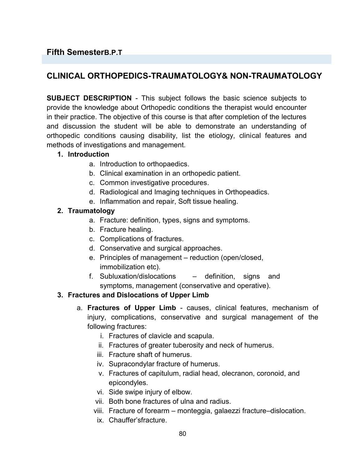# **Fifth SemesterB.P.T**

# **CLINICAL ORTHOPEDICS-TRAUMATOLOGY& NON-TRAUMATOLOGY**

**SUBJECT DESCRIPTION** - This subject follows the basic science subjects to provide the knowledge about Orthopedic conditions the therapist would encounter in their practice. The objective of this course is that after completion of the lectures and discussion the student will be able to demonstrate an understanding of orthopedic conditions causing disability, list the etiology, clinical features and methods of investigations and management.

#### **1. Introduction**

- a. Introduction to orthopaedics.
- b. Clinical examination in an orthopedic patient.
- c. Common investigative procedures.
- d. Radiological and Imaging techniques in Orthopeadics.
- e. Inflammation and repair, Soft tissue healing.

#### **2. Traumatology**

- a. Fracture: definition, types, signs and symptoms.
- b. Fracture healing.
- c. Complications of fractures.
- d. Conservative and surgical approaches.
- e. Principles of management reduction (open/closed, immobilization etc).
- f. Subluxation/dislocations definition, signs and symptoms, management (conservative and operative).

#### **3. Fractures and Dislocations of Upper Limb**

- a. **Fractures of Upper Limb** causes, clinical features, mechanism of injury, complications, conservative and surgical management of the following fractures:
	- i. Fractures of clavicle and scapula.
	- ii. Fractures of greater tuberosity and neck of humerus.
	- iii. Fracture shaft of humerus.
	- iv. Supracondylar fracture of humerus.
	- v. Fractures of capitulum, radial head, olecranon, coronoid, and epicondyles.
	- vi. Side swipe injury of elbow.
	- vii. Both bone fractures of ulna and radius.
	- viii. Fracture of forearm monteggia, galaezzi fracture–dislocation.
	- ix. Chauffer'sfracture.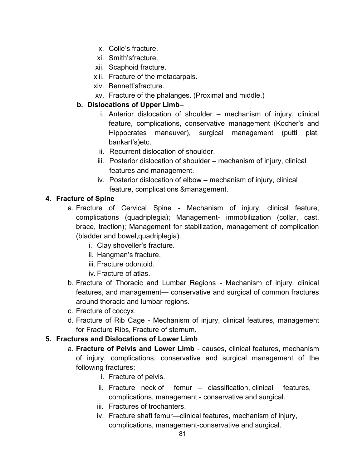- x. Colle's fracture.
- xi. Smith'sfracture.
- xii. Scaphoid fracture.
- xiii. Fracture of the metacarpals.
- xiv. Bennett'sfracture.
- xv. Fracture of the phalanges. (Proximal and middle.)

#### **b. Dislocations of Upper Limb–**

- i. Anterior dislocation of shoulder mechanism of injury, clinical feature, complications, conservative management (Kocher's and Hippocrates maneuver), surgical management (putti plat, bankart's)etc.
- ii. Recurrent dislocation of shoulder.
- iii. Posterior dislocation of shoulder mechanism of injury, clinical features and management.
- iv. Posterior dislocation of elbow mechanism of injury, clinical feature, complications &management.

#### **4. Fracture of Spine**

- a. Fracture of Cervical Spine Mechanism of injury, clinical feature, complications (quadriplegia); Management- immobilization (collar, cast, brace, traction); Management for stabilization, management of complication (bladder and bowel,quadriplegia).
	- i. Clay shoveller's fracture.
	- ii. Hangman's fracture.
	- iii. Fracture odontoid.
	- iv. Fracture of atlas.
- b. Fracture of Thoracic and Lumbar Regions Mechanism of injury, clinical features, and management— conservative and surgical of common fractures around thoracic and lumbar regions.
- c. Fracture of coccyx.
- d. Fracture of Rib Cage Mechanism of injury, clinical features, management for Fracture Ribs, Fracture of sternum.

#### **5. Fractures and Dislocations of Lower Limb**

- a. **Fracture of Pelvis and Lower Limb** causes, clinical features, mechanism of injury, complications, conservative and surgical management of the following fractures:
	- i. Fracture of pelvis.
	- ii. Fracture neck of femur classification, clinical features, complications, management - conservative and surgical.
	- iii. Fractures of trochanters.
	- iv. Fracture shaft femur—clinical features, mechanism of injury, complications, management-conservative and surgical.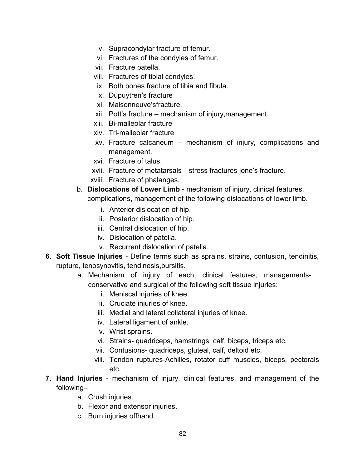- v. Supracondylar fracture of femur.
- vi. Fractures of the condyles of femur.
- vii. Fracture patella.
- viii. Fractures of tibial condyles.
- ix. Both bones fracture of tibia and fibula.
- x. Dupuytren's fracture
- xi. Maisonneuve'sfracture.
- xii. Pott's fracture mechanism of injury,management.
- xiii. Bi-malleolar fracture
- xiv. Tri-malleolar fracture
- xv. Fracture calcaneum mechanism of injury, complications and management.
- xvi. Fracture of talus.
- xvii. Fracture of metatarsals—stress fractures jone's fracture.
- xviii. Fracture of phalanges.
- b. **Dislocations of Lower Limb** mechanism of injury, clinical features, complications, management of the following dislocations of lower limb.
	- i. Anterior dislocation of hip.
	- ii. Posterior dislocation of hip.
	- iii. Central dislocation of hip.
	- iv. Dislocation of patella.
	- v. Recurrent dislocation of patella.
- **6. Soft Tissue Injuries** Define terms such as sprains, strains, contusion, tendinitis, rupture, tenosynovitis, tendinosis,bursitis.
	- a. Mechanism of injury of each, clinical features, managementsconservative and surgical of the following soft tissue injuries:
		- i. Meniscal injuries of knee.
		- ii. Cruciate injuries of knee.
		- iii. Medial and lateral collateral injuries of knee.
		- iv. Lateral ligament of ankle.
		- v. Wrist sprains.
		- vi. Strains- quadriceps, hamstrings, calf, biceps, triceps etc.
		- vii. Contusions- quadriceps, gluteal, calf, deltoid etc.
		- viii. Tendon ruptures-Achilles, rotator cuff muscles, biceps, pectorals etc.
- **7. Hand Injuries** mechanism of injury, clinical features, and management of the following–
	- a. Crush injuries.
	- b. Flexor and extensor injuries.
	- c. Burn injuries offhand.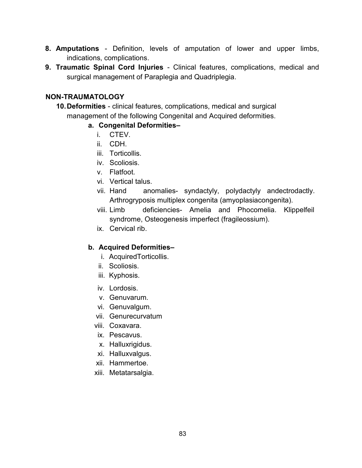- **8. Amputations** Definition, levels of amputation of lower and upper limbs, indications, complications.
- **9. Traumatic Spinal Cord Injuries** Clinical features, complications, medical and surgical management of Paraplegia and Quadriplegia.

#### **NON-TRAUMATOLOGY**

**10.Deformities** - clinical features, complications, medical and surgical management of the following Congenital and Acquired deformities.

#### **a. Congenital Deformities–**

- i CTFV
- ii. CDH.
- iii. Torticollis.
- iv. Scoliosis.
- v. Flatfoot.
- vi. Vertical talus.
- vii. Hand anomalies- syndactyly, polydactyly andectrodactly. Arthrogryposis multiplex congenita (amyoplasiacongenita).
- viii. Limb deficiencies- Amelia and Phocomelia. Klippelfeil syndrome, Osteogenesis imperfect (fragileossium).
- ix. Cervical rib.

#### **b. Acquired Deformities–**

- i. AcquiredTorticollis.
- ii. Scoliosis.
- iii. Kyphosis.
- iv. Lordosis.
- v. Genuvarum.
- vi. Genuvalgum.
- vii. Genurecurvatum
- viii. Coxavara.
- ix. Pescavus.
- x. Halluxrigidus.
- xi. Halluxvalgus.
- xii. Hammertoe.
- xiii. Metatarsalgia.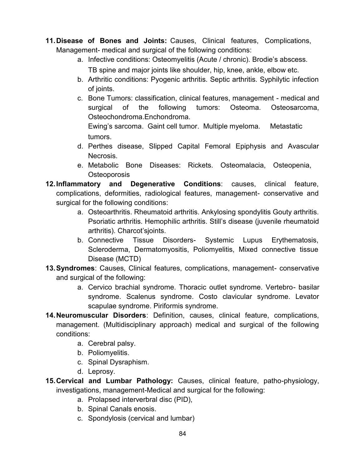- **11.Disease of Bones and Joints:** Causes, Clinical features, Complications, Management- medical and surgical of the following conditions:
	- a. Infective conditions: Osteomyelitis (Acute / chronic). Brodie's abscess. TB spine and major joints like shoulder, hip, knee, ankle, elbow etc.
	- b. Arthritic conditions: Pyogenic arthritis. Septic arthritis. Syphilytic infection of joints.
	- c. Bone Tumors: classification, clinical features, management medical and surgical of the following tumors: Osteoma. Osteosarcoma, Osteochondroma.Enchondroma.

Ewing's sarcoma. Gaint cell tumor. Multiple myeloma. Metastatic tumors.

- d. Perthes disease, Slipped Capital Femoral Epiphysis and Avascular Necrosis.
- e. Metabolic Bone Diseases: Rickets. Osteomalacia, Osteopenia, **Osteoporosis**
- **12.Inflammatory and Degenerative Conditions**: causes, clinical feature, complications, deformities, radiological features, management- conservative and surgical for the following conditions:
	- a. Osteoarthritis. Rheumatoid arthritis. Ankylosing spondylitis Gouty arthritis. Psoriatic arthritis. Hemophilic arthritis. Still's disease (juvenile rheumatoid arthritis). Charcot'sjoints.
	- b. Connective Tissue Disorders- Systemic Lupus Erythematosis, Scleroderma, Dermatomyositis, Poliomyelitis, Mixed connective tissue Disease (MCTD)
- **13.Syndromes**: Causes, Clinical features, complications, management- conservative and surgical of the following:
	- a. Cervico brachial syndrome. Thoracic outlet syndrome. Vertebro- basilar syndrome. Scalenus syndrome. Costo clavicular syndrome. Levator scapulae syndrome. Piriformis syndrome.
- **14.Neuromuscular Disorders**: Definition, causes, clinical feature, complications, management. (Multidisciplinary approach) medical and surgical of the following conditions:
	- a. Cerebral palsy.
	- b. Poliomyelitis.
	- c. Spinal Dysraphism.
	- d. Leprosy.
- **15.Cervical and Lumbar Pathology:** Causes, clinical feature, patho-physiology, investigations, management-Medical and surgical for the following:
	- a. Prolapsed interverbral disc (PID),
	- b. Spinal Canals enosis.
	- c. Spondylosis (cervical and lumbar)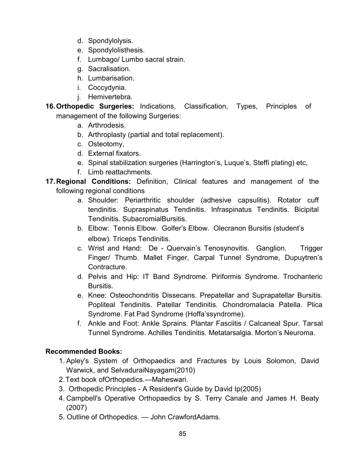- d. Spondylolysis.
- e. Spondylolisthesis.
- f. Lumbago/ Lumbo sacral strain.
- g. Sacralisation.
- h. Lumbarisation.
- i. Coccydynia.
- j. Hemivertebra.
- **16.Orthopedic Surgeries:** Indications, Classification, Types, Principles of management of the following Surgeries:
	- a. Arthrodesis.
	- b. Arthroplasty (partial and total replacement).
	- c. Osteotomy,
	- d. External fixators.
	- e. Spinal stabilization surgeries (Harrington's, Luque's, Steffi plating) etc,
	- f. Limb reattachments.
- **17.Regional Conditions:** Definition, Clinical features and management of the following regional conditions
	- a. Shoulder: Periarthritic shoulder (adhesive capsulitis). Rotator cuff tendinitis. Supraspinatus Tendinitis. Infraspinatus Tendinitis. Bicipital Tendinitis. SubacromialBursitis.
	- b. Elbow: Tennis Elbow. Golfer's Elbow. Olecranon Bursitis (student's elbow). Triceps Tendinitis.
	- c. Wrist and Hand: De Quervain's Tenosynovitis. Ganglion. Trigger Finger/ Thumb. Mallet Finger, Carpal Tunnel Syndrome, Dupuytren's Contracture.
	- d. Pelvis and Hip: IT Band Syndrome. Piriformis Syndrome. Trochanteric Bursitis.
	- e. Knee: Osteochondritis Dissecans. Prepatellar and Suprapatellar Bursitis. Popliteal Tendinitis. Patellar Tendinitis. Chondromalacia Patella. Plica Syndrome. Fat Pad Syndrome (Hoffa'ssyndrome).
	- f. Ankle and Foot: Ankle Sprains. Plantar Fasciitis / Calcaneal Spur. Tarsal Tunnel Syndrome. Achilles Tendinitis. Metatarsalgia. Morton's Neuroma.

#### **Recommended Books:**

- 1. Apley's System of Orthopaedics and Fractures by Louis Solomon, David Warwick, and SelvaduraiNayagam(2010)
- 2.Text book ofOrthopedics.—Maheswari.
- 3. Orthopedic Principles A Resident's Guide by David Ip(2005)
- 4. Campbell's Operative Orthopaedics by S. Terry Canale and James H. Beaty (2007)
- 5. Outline of Orthopedics. John CrawfordAdams.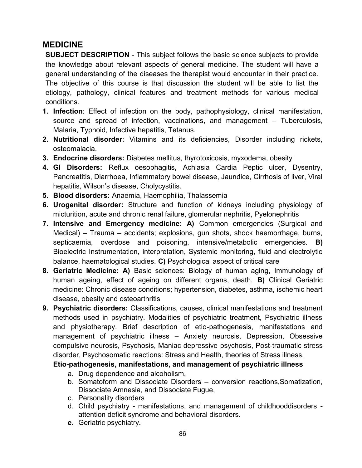# **MEDICINE**

**SUBJECT DESCRIPTION** - This subject follows the basic science subjects to provide the knowledge about relevant aspects of general medicine. The student will have a general understanding of the diseases the therapist would encounter in their practice. The objective of this course is that discussion the student will be able to list the etiology, pathology, clinical features and treatment methods for various medical conditions.

- **1. Infection**: Effect of infection on the body, pathophysiology, clinical manifestation, source and spread of infection, vaccinations, and management – Tuberculosis, Malaria, Typhoid, Infective hepatitis, Tetanus.
- **2. Nutritional disorder**: Vitamins and its deficiencies, Disorder including rickets, osteomalacia.
- **3. Endocrine disorders:** Diabetes mellitus, thyrotoxicosis, myxodema, obesity
- **4. GI Disorders:** Reflux oesophagitis, Achlasia Cardia Peptic ulcer, Dysentry, Pancreatitis, Diarrhoea, Inflammatory bowel disease, Jaundice, Cirrhosis of liver, Viral hepatitis, Wilson's disease, Cholycystitis.
- **5. Blood disorders:** Anaemia, Haemophilia, Thalassemia
- **6. Urogenital disorder:** Structure and function of kidneys including physiology of micturition, acute and chronic renal failure, glomerular nephritis, Pyelonephritis
- **7. Intensive and Emergency medicine: A)** Common emergencies (Surgical and Medical) – Trauma – accidents; explosions, gun shots, shock haemorrhage, burns, septicaemia, overdose and poisoning, intensive/metabolic emergencies. **B)** Bioelectric Instrumentation, interpretation, Systemic monitoring, fluid and electrolytic balance, haematological studies. **C)** Psychological aspect of critical care
- **8. Geriatric Medicine: A)** Basic sciences: Biology of human aging, Immunology of human ageing, effect of ageing on different organs, death. **B)** Clinical Geriatric medicine: Chronic disease conditions; hypertension, diabetes, asthma, ischemic heart disease, obesity and osteoarthritis
- **9. Psychiatric disorders:** Classifications, causes, clinical manifestations and treatment methods used in psychiatry. Modalities of psychiatric treatment, Psychiatric illness and physiotherapy. Brief description of etio-pathogenesis, manifestations and management of psychiatric illness – Anxiety neurosis, Depression, Obsessive compulsive neurosis, Psychosis, Maniac depressive psychosis, Post-traumatic stress disorder, Psychosomatic reactions: Stress and Health, theories of Stress illness.

#### **Etio-pathogenesis, manifestations, and management of psychiatric illness**

- a. Drug dependence and alcoholism,
- b. Somatoform and Dissociate Disorders conversion reactions,Somatization, Dissociate Amnesia, and Dissociate Fugue,
- c. Personality disorders
- d. Child psychiatry manifestations, and management of childhooddisorders attention deficit syndrome and behavioral disorders.
- **e.** Geriatric psychiatry**.**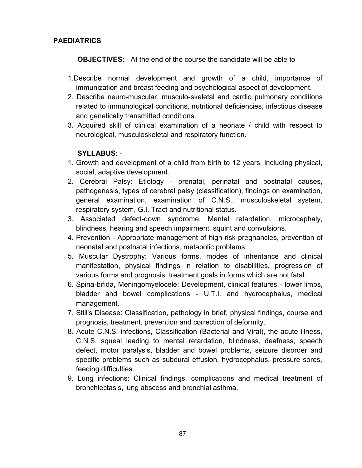#### **PAEDIATRICS**

**OBJECTIVES**: - At the end of the course the candidate will be able to

- 1.Describe normal development and growth of a child, importance of immunization and breast feeding and psychological aspect of development.
- 2. Describe neuro-muscular, musculo-skeletal and cardio pulmonary conditions related to immunological conditions, nutritional deficiencies, infectious disease and genetically transmitted conditions.
- 3. Acquired skill of clinical examination of a neonate / child with respect to neurological, musculoskeletal and respiratory function.

#### **SYLLABUS**: -

- 1. Growth and development of a child from birth to 12 years, including physical, social, adaptive development.
- 2. Cerebral Palsy: Etiology prenatal, perinatal and postnatal causes, pathogenesis, types of cerebral palsy (classification), findings on examination, general examination, examination of C.N.S., musculoskeletal system, respiratory system, G.I. Tract and nutritional status.
- 3. Associated defect-down syndrome, Mental retardation, microcephaly, blindness, hearing and speech impairment, squint and convulsions.
- 4. Prevention Appropriate management of high-risk pregnancies, prevention of neonatal and postnatal infections, metabolic problems.
- 5. Muscular Dystrophy: Various forms, modes of inheritance and clinical manifestation, physical findings in relation to disabilities, progression of various forms and prognosis, treatment goals in forms which are not fatal.
- 6. Spina-bifida, Meningomyelocele: Development, clinical features lower limbs, bladder and bowel complications - U.T.I. and hydrocephalus, medical management.
- 7. Still's Disease: Classification, pathology in brief, physical findings, course and prognosis, treatment, prevention and correction of deformity.
- 8. Acute C.N.S. infections, Classification (Bacterial and Viral), the acute illness, C.N.S. squeal leading to mental retardation, blindness, deafness, speech defect, motor paralysis, bladder and bowel problems, seizure disorder and specific problems such as subdural effusion, hydrocephalus, pressure sores, feeding difficulties.
- 9. Lung infections: Clinical findings, complications and medical treatment of bronchiectasis, lung abscess and bronchial asthma.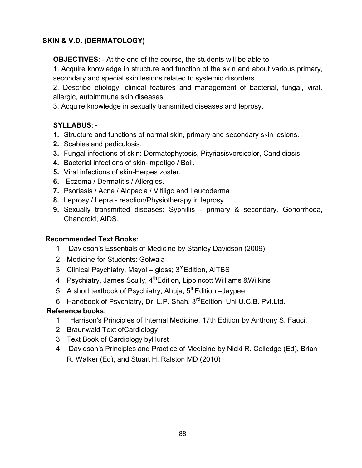# **SKIN & V.D. (DERMATOLOGY)**

**OBJECTIVES**: - At the end of the course, the students will be able to

1. Acquire knowledge in structure and function of the skin and about various primary, secondary and special skin lesions related to systemic disorders.

2. Describe etiology, clinical features and management of bacterial, fungal, viral, allergic, autoimmune skin diseases

3. Acquire knowledge in sexually transmitted diseases and leprosy.

# **SYLLABUS**: -

- **1.** Structure and functions of normal skin, primary and secondary skin lesions.
- **2.** Scabies and pediculosis.
- **3.** Fungal infections of skin: Dermatophytosis, Pityriasisversicolor, Candidiasis.
- **4.** Bacterial infections of skin-lmpetigo / Boil.
- **5.** Viral infections of skin-Herpes zoster.
- **6.** Eczema / Dermatitis / Allergies.
- **7.** Psoriasis / Acne / Alopecia / Vitiligo and Leucoderma.
- **8.** Leprosy / Lepra reaction/Physiotherapy in leprosy.
- **9.** Sexually transmitted diseases: Syphillis primary & secondary, Gonorrhoea, Chancroid, AIDS.

# **Recommended Text Books:**

- 1. Davidson's Essentials of Medicine by Stanley Davidson (2009)
- 2. Medicine for Students: Golwala
- 3. Clinical Psychiatry, Mayol gloss;  $3^{rd}$ Edition, AITBS
- 4. Psychiatry, James Scully, 4<sup>th</sup>Edition, Lippincott Williams & Wilkins
- 5. A short textbook of Psychiatry, Ahuja; 5<sup>th</sup>Edition –Jaypee
- 6. Handbook of Psychiatry, Dr. L.P. Shah, 3rdEdition, Uni U.C.B. Pvt.Ltd.

# **Reference books:**

- 1. Harrison's Principles of Internal Medicine, 17th Edition by Anthony S. Fauci,
- 2. Braunwald Text ofCardiology
- 3. Text Book of Cardiology byHurst
- 4. Davidson's Principles and Practice of Medicine by Nicki R. Colledge (Ed), Brian R. Walker (Ed), and Stuart H. Ralston MD (2010)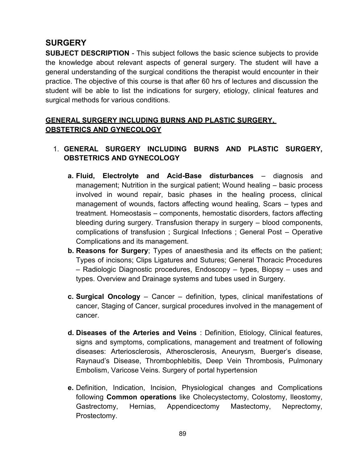# **SURGERY**

**SUBJECT DESCRIPTION** - This subject follows the basic science subjects to provide the knowledge about relevant aspects of general surgery. The student will have a general understanding of the surgical conditions the therapist would encounter in their practice. The objective of this course is that after 60 hrs of lectures and discussion the student will be able to list the indications for surgery, etiology, clinical features and surgical methods for various conditions.

# **GENERAL SURGERY INCLUDING BURNS AND PLASTIC SURGERY, OBSTETRICS AND GYNECOLOGY**

# 1. **GENERAL SURGERY INCLUDING BURNS AND PLASTIC SURGERY, OBSTETRICS AND GYNECOLOGY**

- **a. Fluid, Electrolyte and Acid-Base disturbances** diagnosis and management; Nutrition in the surgical patient; Wound healing – basic process involved in wound repair, basic phases in the healing process, clinical management of wounds, factors affecting wound healing, Scars – types and treatment. Homeostasis – components, hemostatic disorders, factors affecting bleeding during surgery. Transfusion therapy in surgery – blood components, complications of transfusion ; Surgical Infections ; General Post – Operative Complications and its management.
- **b. Reasons for Surgery**; Types of anaesthesia and its effects on the patient; Types of incisons; Clips Ligatures and Sutures; General Thoracic Procedures – Radiologic Diagnostic procedures, Endoscopy – types, Biopsy – uses and types. Overview and Drainage systems and tubes used in Surgery.
- **c. Surgical Oncology** Cancer definition, types, clinical manifestations of cancer, Staging of Cancer, surgical procedures involved in the management of cancer.
- **d. Diseases of the Arteries and Veins** : Definition, Etiology, Clinical features, signs and symptoms, complications, management and treatment of following diseases: Arteriosclerosis, Atherosclerosis, Aneurysm, Buerger's disease, Raynaud's Disease, Thrombophlebitis, Deep Vein Thrombosis, Pulmonary Embolism, Varicose Veins. Surgery of portal hypertension
- **e.** Definition, Indication, Incision, Physiological changes and Complications following **Common operations** like Cholecystectomy, Colostomy, Ileostomy, Gastrectomy, Hernias, Appendicectomy Mastectomy, Neprectomy, Prostectomy.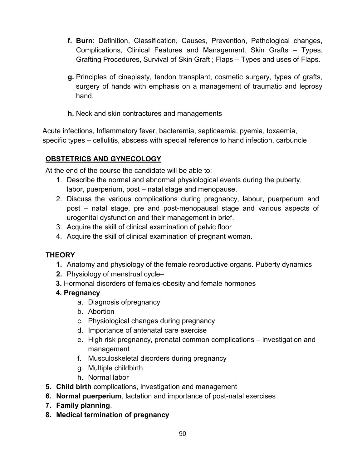- **f. Burn**: Definition, Classification, Causes, Prevention, Pathological changes, Complications, Clinical Features and Management. Skin Grafts – Types, Grafting Procedures, Survival of Skin Graft ; Flaps – Types and uses of Flaps.
- **g.** Principles of cineplasty, tendon transplant, cosmetic surgery, types of grafts, surgery of hands with emphasis on a management of traumatic and leprosy hand.
- **h.** Neck and skin contractures and managements

Acute infections, Inflammatory fever, bacteremia, septicaemia, pyemia, toxaemia, specific types – cellulitis, abscess with special reference to hand infection, carbuncle

# **OBSTETRICS AND GYNECOLOGY**

At the end of the course the candidate will be able to:

- 1. Describe the normal and abnormal physiological events during the puberty, labor, puerperium, post – natal stage and menopause.
- 2. Discuss the various complications during pregnancy, labour, puerperium and post – natal stage, pre and post-menopausal stage and various aspects of urogenital dysfunction and their management in brief.
- 3. Acquire the skill of clinical examination of pelvic floor
- 4. Acquire the skill of clinical examination of pregnant woman.

# **THEORY**

- **1.** Anatomy and physiology of the female reproductive organs. Puberty dynamics
- **2.** Physiology of menstrual cycle–
- **3.** Hormonal disorders of females-obesity and female hormones
- **4. Pregnancy**
	- a. Diagnosis ofpregnancy
	- b. Abortion
	- c. Physiological changes during pregnancy
	- d. Importance of antenatal care exercise
	- e. High risk pregnancy, prenatal common complications investigation and management
	- f. Musculoskeletal disorders during pregnancy
	- g. Multiple childbirth
	- h. Normal labor
- **5. Child birth** complications, investigation and management
- **6. Normal puerperium**, lactation and importance of post-natal exercises
- **7. Family planning**.
- **8. Medical termination of pregnancy**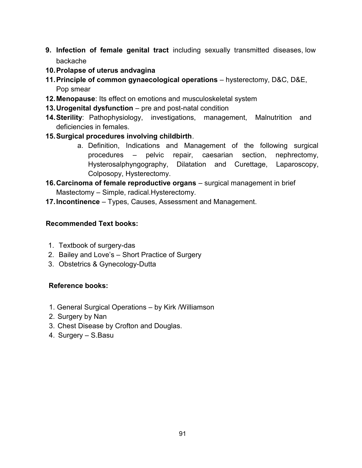- **9. Infection of female genital tract** including sexually transmitted diseases, low backache
- **10.Prolapse of uterus andvagina**
- **11.Principle of common gynaecological operations** hysterectomy, D&C, D&E, Pop smear
- **12.Menopause**: Its effect on emotions and musculoskeletal system
- **13.Urogenital dysfunction** pre and post-natal condition
- **14.Sterility**: Pathophysiology, investigations, management, Malnutrition and deficiencies in females.
- **15.Surgical procedures involving childbirth**.
	- a. Definition, Indications and Management of the following surgical procedures – pelvic repair, caesarian section, nephrectomy, Hysterosalphyngography, Dilatation and Curettage, Laparoscopy, Colposopy, Hysterectomy.
- **16.Carcinoma of female reproductive organs** surgical management in brief Mastectomy – Simple, radical.Hysterectomy.
- **17.Incontinence** Types, Causes, Assessment and Management.

#### **Recommended Text books:**

- 1. Textbook of surgery-das
- 2. Bailey and Love's Short Practice of Surgery
- 3. Obstetrics & Gynecology-Dutta

#### **Reference books:**

- 1. General Surgical Operations by Kirk /Williamson
- 2. Surgery by Nan
- 3. Chest Disease by Crofton and Douglas.
- 4. Surgery S.Basu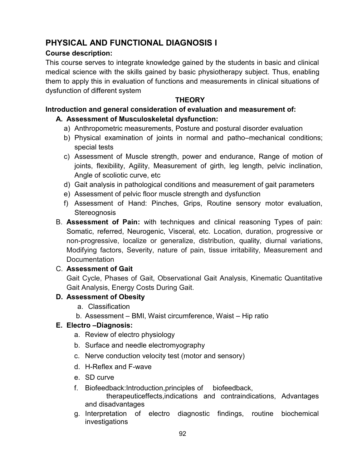# **PHYSICAL AND FUNCTIONAL DIAGNOSIS I**

### **Course description:**

This course serves to integrate knowledge gained by the students in basic and clinical medical science with the skills gained by basic physiotherapy subject. Thus, enabling them to apply this in evaluation of functions and measurements in clinical situations of dysfunction of different system

### **THEORY**

# **Introduction and general consideration of evaluation and measurement of:**

# **A. Assessment of Musculoskeletal dysfunction:**

- a) Anthropometric measurements, Posture and postural disorder evaluation
- b) Physical examination of joints in normal and patho–mechanical conditions; special tests
- c) Assessment of Muscle strength, power and endurance, Range of motion of joints, flexibility, Agility, Measurement of girth, leg length, pelvic inclination, Angle of scoliotic curve, etc
- d) Gait analysis in pathological conditions and measurement of gait parameters
- e) Assessment of pelvic floor muscle strength and dysfunction
- f) Assessment of Hand: Pinches, Grips, Routine sensory motor evaluation, **Stereognosis**
- B. **Assessment of Pain:** with techniques and clinical reasoning Types of pain: Somatic, referred, Neurogenic, Visceral, etc. Location, duration, progressive or non-progressive, localize or generalize, distribution, quality, diurnal variations, Modifying factors, Severity, nature of pain, tissue irritability, Measurement and Documentation

# C. **Assessment of Gait**

Gait Cycle, Phases of Gait, Observational Gait Analysis, Kinematic Quantitative Gait Analysis, Energy Costs During Gait.

# **D. Assessment of Obesity**

- a. Classification
- b. Assessment BMI, Waist circumference, Waist Hip ratio

# **E. Electro –Diagnosis:**

- a. Review of electro physiology
- b. Surface and needle electromyography
- c. Nerve conduction velocity test (motor and sensory)
- d. H-Reflex and F-wave
- e. SD curve
- f. Biofeedback:Introduction,principles of biofeedback, therapeuticeffects,indications and contraindications, Advantages and disadvantages
- g. Interpretation of electro diagnostic findings, routine biochemical investigations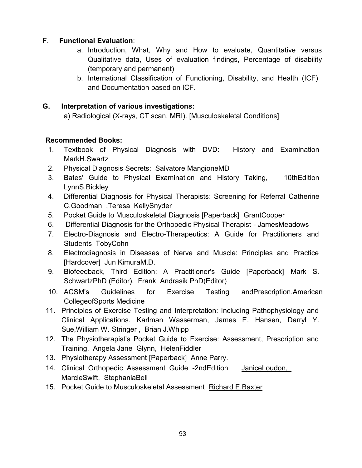# F. **Functional Evaluation**:

- a. Introduction, What, Why and How to evaluate, Quantitative versus Qualitative data, Uses of evaluation findings, Percentage of disability (temporary and permanent)
- b. International Classification of Functioning, Disability, and Health (ICF) and Documentation based on ICF.

#### **G. Interpretation of various investigations:**

a) Radiological (X-rays, CT scan, MRI). [Musculoskeletal Conditions]

#### **Recommended Books:**

- 1. Textbook of Physical Diagnosis with DVD: History and Examination MarkH.Swartz
- 2. Physical Diagnosis Secrets: Salvatore MangioneMD
- 3. Bates' Guide to Physical Examination and History Taking, 10thEdition LynnS.Bickley
- 4. Differential Diagnosis for Physical Therapists: Screening for Referral Catherine C.Goodman ,Teresa KellySnyder
- 5. Pocket Guide to Musculoskeletal Diagnosis [Paperback] GrantCooper
- 6. Differential Diagnosis for the Orthopedic Physical Therapist JamesMeadows
- 7. Electro-Diagnosis and Electro-Therapeutics: A Guide for Practitioners and Students TobyCohn
- 8. Electrodiagnosis in Diseases of Nerve and Muscle: Principles and Practice [Hardcover] Jun KimuraM.D.
- 9. Biofeedback, Third Edition: A Practitioner's Guide [Paperback] Mark S. SchwartzPhD (Editor), Frank Andrasik PhD(Editor)
- 10. ACSM's Guidelines for Exercise Testing andPrescription.American CollegeofSports Medicine
- 11. Principles of Exercise Testing and Interpretation: Including Pathophysiology and Clinical Applications. Karlman Wasserman, James E. Hansen, Darryl Y. Sue,William W. Stringer , Brian J.Whipp
- 12. The Physiotherapist's Pocket Guide to Exercise: Assessment, Prescription and Training. Angela Jane Glynn, HelenFiddler
- 13. Physiotherapy Assessment [Paperback] Anne Parry.
- 14. Clinical Orthopedic Assessment Guide -2ndEdition JaniceLoudon, MarcieSwift, StephaniaBell
- 15. Pocket Guide to Musculoskeletal Assessment Richard E.Baxter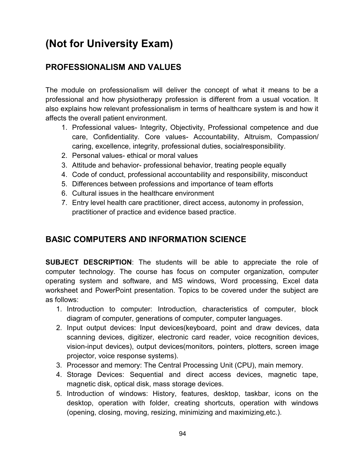# **(Not for University Exam)**

# **PROFESSIONALISM AND VALUES**

The module on professionalism will deliver the concept of what it means to be a professional and how physiotherapy profession is different from a usual vocation. It also explains how relevant professionalism in terms of healthcare system is and how it affects the overall patient environment.

- 1. Professional values- Integrity, Objectivity, Professional competence and due care, Confidentiality. Core values- Accountability, Altruism, Compassion/ caring, excellence, integrity, professional duties, socialresponsibility.
- 2. Personal values- ethical or moral values
- 3. Attitude and behavior- professional behavior, treating people equally
- 4. Code of conduct, professional accountability and responsibility, misconduct
- 5. Differences between professions and importance of team efforts
- 6. Cultural issues in the healthcare environment
- 7. Entry level health care practitioner, direct access, autonomy in profession, practitioner of practice and evidence based practice.

# **BASIC COMPUTERS AND INFORMATION SCIENCE**

**SUBJECT DESCRIPTION**: The students will be able to appreciate the role of computer technology. The course has focus on computer organization, computer operating system and software, and MS windows, Word processing, Excel data worksheet and PowerPoint presentation. Topics to be covered under the subject are as follows:

- 1. Introduction to computer: Introduction, characteristics of computer, block diagram of computer, generations of computer, computer languages.
- 2. Input output devices: Input devices(keyboard, point and draw devices, data scanning devices, digitizer, electronic card reader, voice recognition devices, vision-input devices), output devices(monitors, pointers, plotters, screen image projector, voice response systems).
- 3. Processor and memory: The Central Processing Unit (CPU), main memory.
- 4. Storage Devices: Sequential and direct access devices, magnetic tape, magnetic disk, optical disk, mass storage devices.
- 5. Introduction of windows: History, features, desktop, taskbar, icons on the desktop, operation with folder, creating shortcuts, operation with windows (opening, closing, moving, resizing, minimizing and maximizing,etc.).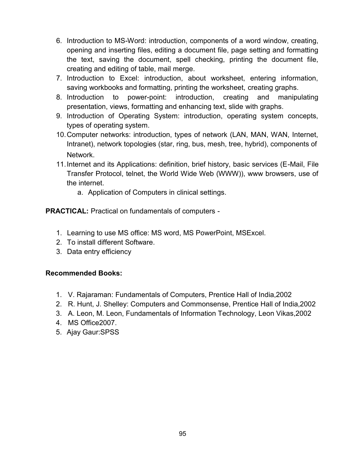- 6. Introduction to MS-Word: introduction, components of a word window, creating, opening and inserting files, editing a document file, page setting and formatting the text, saving the document, spell checking, printing the document file, creating and editing of table, mail merge.
- 7. Introduction to Excel: introduction, about worksheet, entering information, saving workbooks and formatting, printing the worksheet, creating graphs.
- 8. Introduction to power-point: introduction, creating and manipulating presentation, views, formatting and enhancing text, slide with graphs.
- 9. Introduction of Operating System: introduction, operating system concepts, types of operating system.
- 10.Computer networks: introduction, types of network (LAN, MAN, WAN, Internet, Intranet), network topologies (star, ring, bus, mesh, tree, hybrid), components of Network.
- 11.Internet and its Applications: definition, brief history, basic services (E-Mail, File Transfer Protocol, telnet, the World Wide Web (WWW)), www browsers, use of the internet.
	- a. Application of Computers in clinical settings.

**PRACTICAL:** Practical on fundamentals of computers -

- 1. Learning to use MS office: MS word, MS PowerPoint, MSExcel.
- 2. To install different Software.
- 3. Data entry efficiency

#### **Recommended Books:**

- 1. V. Rajaraman: Fundamentals of Computers, Prentice Hall of India,2002
- 2. R. Hunt, J. Shelley: Computers and Commonsense, Prentice Hall of India,2002
- 3. A. Leon, M. Leon, Fundamentals of Information Technology, Leon Vikas,2002
- 4. MS Office2007.
- 5. Ajay Gaur:SPSS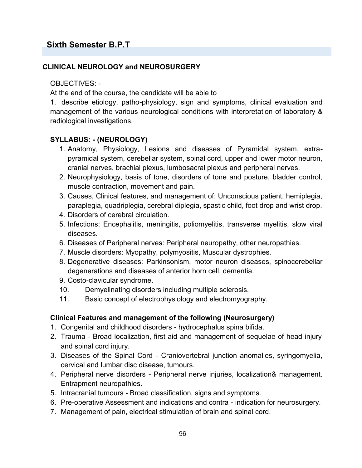# **Sixth Semester B.P.T**

#### **CLINICAL NEUROLOGY and NEUROSURGERY**

#### OBJECTIVES: -

At the end of the course, the candidate will be able to

1. describe etiology, patho-physiology, sign and symptoms, clinical evaluation and management of the various neurological conditions with interpretation of laboratory & radiological investigations.

#### **SYLLABUS: - (NEUROLOGY)**

- 1. Anatomy, Physiology, Lesions and diseases of Pyramidal system, extrapyramidal system, cerebellar system, spinal cord, upper and lower motor neuron, cranial nerves, brachial plexus, lumbosacral plexus and peripheral nerves.
- 2. Neurophysiology, basis of tone, disorders of tone and posture, bladder control, muscle contraction, movement and pain.
- 3. Causes, Clinical features, and management of: Unconscious patient, hemiplegia, paraplegia, quadriplegia, cerebral diplegia, spastic child, foot drop and wrist drop.
- 4. Disorders of cerebral circulation.
- 5. Infections: Encephalitis, meningitis, poliomyelitis, transverse myelitis, slow viral diseases.
- 6. Diseases of Peripheral nerves: Peripheral neuropathy, other neuropathies.
- 7. Muscle disorders: Myopathy, polymyositis, Muscular dystrophies.
- 8. Degenerative diseases: Parkinsonism, motor neuron diseases, spinocerebellar degenerations and diseases of anterior horn cell, dementia.
- 9. Costo-clavicular syndrome.
- 10. Demyelinating disorders including multiple sclerosis.
- 11. Basic concept of electrophysiology and electromyography.

#### **Clinical Features and management of the following (Neurosurgery)**

- 1. Congenital and childhood disorders hydrocephalus spina bifida.
- 2. Trauma Broad localization, first aid and management of sequelae of head injury and spinal cord injury.
- 3. Diseases of the Spinal Cord Craniovertebral junction anomalies, syringomyelia, cervical and lumbar disc disease, tumours.
- 4. Peripheral nerve disorders Peripheral nerve injuries, localization& management. Entrapment neuropathies.
- 5. Intracranial tumours Broad classification, signs and symptoms.
- 6. Pre-operative Assessment and indications and contra indication for neurosurgery.
- 7. Management of pain, electrical stimulation of brain and spinal cord.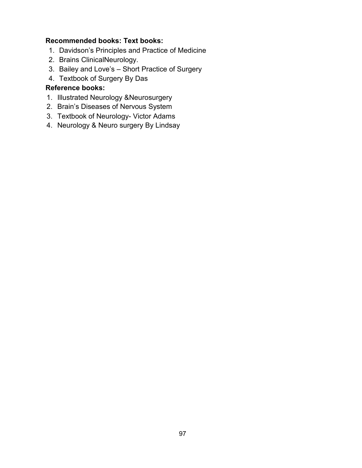#### **Recommended books: Text books:**

- 1. Davidson's Principles and Practice of Medicine
- 2. Brains ClinicalNeurology.
- 3. Bailey and Love's Short Practice of Surgery
- 4. Textbook of Surgery By Das

#### **Reference books:**

- 1. Illustrated Neurology &Neurosurgery
- 2. Brain's Diseases of Nervous System
- 3. Textbook of Neurology- Victor Adams
- 4. Neurology & Neuro surgery By Lindsay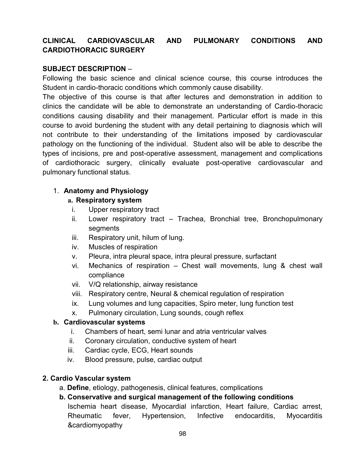#### **CLINICAL CARDIOVASCULAR AND PULMONARY CONDITIONS AND CARDIOTHORACIC SURGERY**

#### **SUBJECT DESCRIPTION** –

Following the basic science and clinical science course, this course introduces the Student in cardio-thoracic conditions which commonly cause disability.

The objective of this course is that after lectures and demonstration in addition to clinics the candidate will be able to demonstrate an understanding of Cardio-thoracic conditions causing disability and their management. Particular effort is made in this course to avoid burdening the student with any detail pertaining to diagnosis which will not contribute to their understanding of the limitations imposed by cardiovascular pathology on the functioning of the individual. Student also will be able to describe the types of incisions, pre and post-operative assessment, management and complications of cardiothoracic surgery, clinically evaluate post-operative cardiovascular and pulmonary functional status.

#### 1. **Anatomy and Physiology**

#### **a. Respiratory system**

- i. Upper respiratory tract
- ii. Lower respiratory tract Trachea, Bronchial tree, Bronchopulmonary segments
- iii. Respiratory unit, hilum of lung.
- iv. Muscles of respiration
- v. Pleura, intra pleural space, intra pleural pressure, surfactant
- vi. Mechanics of respiration Chest wall movements, lung & chest wall compliance
- vii. V/Q relationship, airway resistance
- viii. Respiratory centre, Neural & chemical regulation of respiration
- ix. Lung volumes and lung capacities, Spiro meter, lung function test
- x. Pulmonary circulation, Lung sounds, cough reflex

#### **b. Cardiovascular systems**

- i. Chambers of heart, semi lunar and atria ventricular valves
- ii. Coronary circulation, conductive system of heart
- iii. Cardiac cycle, ECG, Heart sounds
- iv. Blood pressure, pulse, cardiac output

#### **2. Cardio Vascular system**

- a. **Define**, etiology, pathogenesis, clinical features, complications
- **b. Conservative and surgical management of the following conditions** Ischemia heart disease, Myocardial infarction, Heart failure, Cardiac arrest, Rheumatic fever, Hypertension, Infective endocarditis, Myocarditis &cardiomyopathy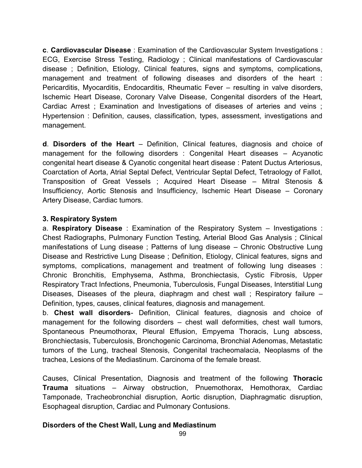**c**. **Cardiovascular Disease** : Examination of the Cardiovascular System Investigations : ECG, Exercise Stress Testing, Radiology ; Clinical manifestations of Cardiovascular disease ; Definition, Etiology, Clinical features, signs and symptoms, complications, management and treatment of following diseases and disorders of the heart : Pericarditis, Myocarditis, Endocarditis, Rheumatic Fever – resulting in valve disorders, Ischemic Heart Disease, Coronary Valve Disease, Congenital disorders of the Heart, Cardiac Arrest ; Examination and Investigations of diseases of arteries and veins ; Hypertension : Definition, causes, classification, types, assessment, investigations and management.

**d**. **Disorders of the Heart** – Definition, Clinical features, diagnosis and choice of management for the following disorders : Congenital Heart diseases – Acyanotic congenital heart disease & Cyanotic congenital heart disease : Patent Ductus Arteriosus, Coarctation of Aorta, Atrial Septal Defect, Ventricular Septal Defect, Tetraology of Fallot, Transposition of Great Vessels ; Acquired Heart Disease – Mitral Stenosis & Insufficiency, Aortic Stenosis and Insufficiency, Ischemic Heart Disease – Coronary Artery Disease, Cardiac tumors.

#### **3. Respiratory System**

a. **Respiratory Disease** : Examination of the Respiratory System – Investigations : Chest Radiographs, Pulmonary Function Testing, Arterial Blood Gas Analysis ; Clinical manifestations of Lung disease ; Patterns of lung disease – Chronic Obstructive Lung Disease and Restrictive Lung Disease ; Definition, Etiology, Clinical features, signs and symptoms, complications, management and treatment of following lung diseases : Chronic Bronchitis, Emphysema, Asthma, Bronchiectasis, Cystic Fibrosis, Upper Respiratory Tract Infections, Pneumonia, Tuberculosis, Fungal Diseases, Interstitial Lung Diseases, Diseases of the pleura, diaphragm and chest wall ; Respiratory failure – Definition, types, causes, clinical features, diagnosis and management.

b. **Chest wall disorders**- Definition, Clinical features, diagnosis and choice of management for the following disorders – chest wall deformities, chest wall tumors, Spontaneous Pneumothorax, Pleural Effusion, Empyema Thoracis, Lung abscess, Bronchiectasis, Tuberculosis, Bronchogenic Carcinoma, Bronchial Adenomas, Metastatic tumors of the Lung, tracheal Stenosis, Congenital tracheomalacia, Neoplasms of the trachea, Lesions of the Mediastinum. Carcinoma of the female breast.

Causes, Clinical Presentation, Diagnosis and treatment of the following **Thoracic Trauma** situations – Airway obstruction, Pnuemothorax, Hemothorax, Cardiac Tamponade, Tracheobronchial disruption, Aortic disruption, Diaphragmatic disruption, Esophageal disruption, Cardiac and Pulmonary Contusions.

#### **Disorders of the Chest Wall, Lung and Mediastinum**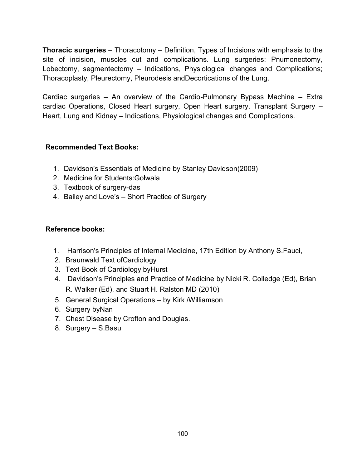**Thoracic surgeries** – Thoracotomy – Definition, Types of Incisions with emphasis to the site of incision, muscles cut and complications. Lung surgeries: Pnumonectomy, Lobectomy, segmentectomy – Indications, Physiological changes and Complications; Thoracoplasty, Pleurectomy, Pleurodesis andDecortications of the Lung.

Cardiac surgeries – An overview of the Cardio-Pulmonary Bypass Machine – Extra cardiac Operations, Closed Heart surgery, Open Heart surgery. Transplant Surgery – Heart, Lung and Kidney – Indications, Physiological changes and Complications.

#### **Recommended Text Books:**

- 1. Davidson's Essentials of Medicine by Stanley Davidson(2009)
- 2. Medicine for Students:Golwala
- 3. Textbook of surgery-das
- 4. Bailey and Love's Short Practice of Surgery

#### **Reference books:**

- 1. Harrison's Principles of Internal Medicine, 17th Edition by Anthony S.Fauci,
- 2. Braunwald Text ofCardiology
- 3. Text Book of Cardiology byHurst
- 4. Davidson's Principles and Practice of Medicine by Nicki R. Colledge (Ed), Brian R. Walker (Ed), and Stuart H. Ralston MD (2010)
- 5. General Surgical Operations by Kirk /Williamson
- 6. Surgery byNan
- 7. Chest Disease by Crofton and Douglas.
- 8. Surgery S.Basu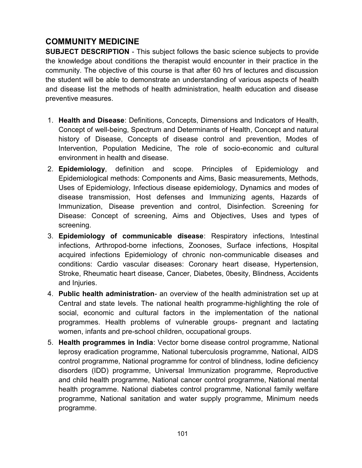# **COMMUNITY MEDICINE**

**SUBJECT DESCRIPTION** - This subject follows the basic science subjects to provide the knowledge about conditions the therapist would encounter in their practice in the community. The objective of this course is that after 60 hrs of lectures and discussion the student will be able to demonstrate an understanding of various aspects of health and disease list the methods of health administration, health education and disease preventive measures.

- 1. **Health and Disease**: Definitions, Concepts, Dimensions and Indicators of Health, Concept of well-being, Spectrum and Determinants of Health, Concept and natural history of Disease, Concepts of disease control and prevention, Modes of Intervention, Population Medicine, The role of socio-economic and cultural environment in health and disease.
- 2. **Epidemiology**, definition and scope. Principles of Epidemiology and Epidemiological methods: Components and Aims, Basic measurements, Methods, Uses of Epidemiology, Infectious disease epidemiology, Dynamics and modes of disease transmission, Host defenses and Immunizing agents, Hazards of Immunization, Disease prevention and control, Disinfection. Screening for Disease: Concept of screening, Aims and Objectives, Uses and types of screening.
- 3. **Epidemiology of communicable disease**: Respiratory infections, Intestinal infections, Arthropod-borne infections, Zoonoses, Surface infections, Hospital acquired infections Epidemiology of chronic non-communicable diseases and conditions: Cardio vascular diseases: Coronary heart disease, Hypertension, Stroke, Rheumatic heart disease, Cancer, Diabetes, 0besity, Blindness, Accidents and Injuries.
- 4. **Public health administration** an overview of the health administration set up at Central and state levels. The national health programme-highlighting the role of social, economic and cultural factors in the implementation of the national programmes. Health problems of vulnerable groups- pregnant and lactating women, infants and pre-school children, occupational groups.
- 5. **Health programmes in India**: Vector borne disease control programme, National leprosy eradication programme, National tuberculosis programme, National, AIDS control programme, National programme for control of blindness, Iodine deficiency disorders (IDD) programme, Universal Immunization programme, Reproductive and child health programme, National cancer control programme, National mental health programme. National diabetes control programme, National family welfare programme, National sanitation and water supply programme, Minimum needs programme.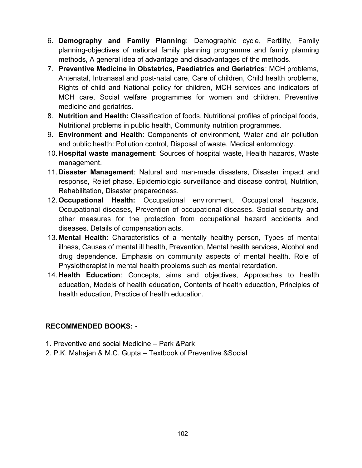- 6. **Demography and Family Planning**: Demographic cycle, Fertility, Family planning-objectives of national family planning programme and family planning methods, A general idea of advantage and disadvantages of the methods.
- 7. **Preventive Medicine in Obstetrics, Paediatrics and Geriatrics**: MCH problems, Antenatal, Intranasal and post-natal care, Care of children, Child health problems, Rights of child and National policy for children, MCH services and indicators of MCH care, Social welfare programmes for women and children, Preventive medicine and geriatrics.
- 8. **Nutrition and Health:** Classification of foods, Nutritional profiles of principal foods, Nutritional problems in public health, Community nutrition programmes.
- 9. **Environment and Health**: Components of environment, Water and air pollution and public health: Pollution control, Disposal of waste, Medical entomology.
- 10.**Hospital waste management**: Sources of hospital waste, Health hazards, Waste management.
- 11.**Disaster Management**: Natural and man-made disasters, Disaster impact and response, Relief phase, Epidemiologic surveillance and disease control, Nutrition, Rehabilitation, Disaster preparedness.
- 12.**Occupational Health:** Occupational environment, Occupational hazards, Occupational diseases, Prevention of occupational diseases. Social security and other measures for the protection from occupational hazard accidents and diseases. Details of compensation acts.
- 13. **Mental Health**: Characteristics of a mentally healthy person, Types of mental illness, Causes of mental ill health, Prevention, Mental health services, Alcohol and drug dependence. Emphasis on community aspects of mental health. Role of Physiotherapist in mental health problems such as mental retardation.
- 14.**Health Education**: Concepts, aims and objectives, Approaches to health education, Models of health education, Contents of health education, Principles of health education, Practice of health education.

# **RECOMMENDED BOOKS: -**

- 1. Preventive and social Medicine Park &Park
- 2. P.K. Mahajan & M.C. Gupta Textbook of Preventive &Social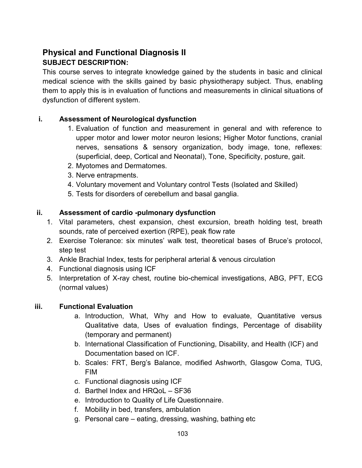# **Physical and Functional Diagnosis II SUBJECT DESCRIPTION:**

This course serves to integrate knowledge gained by the students in basic and clinical medical science with the skills gained by basic physiotherapy subject. Thus, enabling them to apply this is in evaluation of functions and measurements in clinical situations of dysfunction of different system.

#### **i. Assessment of Neurological dysfunction**

- 1. Evaluation of function and measurement in general and with reference to upper motor and lower motor neuron lesions; Higher Motor functions, cranial nerves, sensations & sensory organization, body image, tone, reflexes: (superficial, deep, Cortical and Neonatal), Tone, Specificity, posture, gait.
- 2. Myotomes and Dermatomes.
- 3. Nerve entrapments.
- 4. Voluntary movement and Voluntary control Tests (Isolated and Skilled)
- 5. Tests for disorders of cerebellum and basal ganglia.

#### **ii. Assessment of cardio -pulmonary dysfunction**

- 1. Vital parameters, chest expansion, chest excursion, breath holding test, breath sounds, rate of perceived exertion (RPE), peak flow rate
- 2. Exercise Tolerance: six minutes' walk test, theoretical bases of Bruce's protocol, step test
- 3. Ankle Brachial Index, tests for peripheral arterial & venous circulation
- 4. Functional diagnosis using ICF
- 5. Interpretation of X-ray chest, routine bio-chemical investigations, ABG, PFT, ECG (normal values)

#### **iii. Functional Evaluation**

- a. Introduction, What, Why and How to evaluate, Quantitative versus Qualitative data, Uses of evaluation findings, Percentage of disability (temporary and permanent)
- b. International Classification of Functioning, Disability, and Health (ICF) and Documentation based on ICF.
- b. Scales: FRT, Berg's Balance, modified Ashworth, Glasgow Coma, TUG, FIM
- c. Functional diagnosis using ICF
- d. Barthel Index and HRQoL SF36
- e. Introduction to Quality of Life Questionnaire.
- f. Mobility in bed, transfers, ambulation
- g. Personal care eating, dressing, washing, bathing etc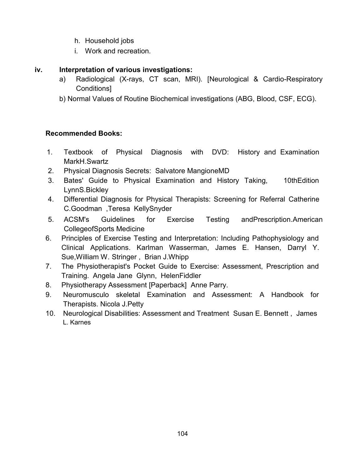- h. Household jobs
- i. Work and recreation.

#### **iv. Interpretation of various investigations:**

- a) Radiological (X-rays, CT scan, MRI). [Neurological & Cardio-Respiratory Conditions]
- b) Normal Values of Routine Biochemical investigations (ABG, Blood, CSF, ECG).

# **Recommended Books:**

- 1. Textbook of Physical Diagnosis with DVD: History and Examination MarkH.Swartz
- 2. Physical Diagnosis Secrets: Salvatore MangioneMD
- 3. Bates' Guide to Physical Examination and History Taking, 10thEdition LynnS.Bickley
- 4. Differential Diagnosis for Physical Therapists: Screening for Referral Catherine C.Goodman ,Teresa KellySnyder
- 5. ACSM's Guidelines for Exercise Testing andPrescription.American CollegeofSports Medicine
- 6. Principles of Exercise Testing and Interpretation: Including Pathophysiology and Clinical Applications. Karlman Wasserman, James E. Hansen, Darryl Y. Sue,William W. Stringer , Brian J.Whipp
- 7. The Physiotherapist's Pocket Guide to Exercise: Assessment, Prescription and Training. Angela Jane Glynn, HelenFiddler
- 8. Physiotherapy Assessment [Paperback] Anne Parry.
- 9. Neuromusculo skeletal Examination and Assessment: A Handbook for Therapists. Nicola J.Petty
- 10. Neurological Disabilities: Assessment and Treatment Susan E. Bennett , James L. Karnes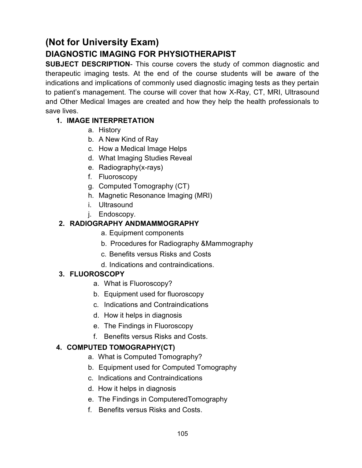# **(Not for University Exam)**

# **DIAGNOSTIC IMAGING FOR PHYSIOTHERAPIST**

**SUBJECT DESCRIPTION**- This course covers the study of common diagnostic and therapeutic imaging tests. At the end of the course students will be aware of the indications and implications of commonly used diagnostic imaging tests as they pertain to patient's management. The course will cover that how X-Ray, CT, MRI, Ultrasound and Other Medical Images are created and how they help the health professionals to save lives.

# **1. IMAGE INTERPRETATION**

- a. History
- b. A New Kind of Ray
- c. How a Medical Image Helps
- d. What Imaging Studies Reveal
- e. Radiography(x-rays)
- f. Fluoroscopy
- g. Computed Tomography (CT)
- h. Magnetic Resonance Imaging (MRI)
- i. Ultrasound
- j. Endoscopy.

# **2. RADIOGRAPHY ANDMAMMOGRAPHY**

- a. Equipment components
- b. Procedures for Radiography &Mammography
- c. Benefits versus Risks and Costs
- d. Indications and contraindications.

# **3. FLUOROSCOPY**

- a. What is Fluoroscopy?
- b. Equipment used for fluoroscopy
- c. Indications and Contraindications
- d. How it helps in diagnosis
- e. The Findings in Fluoroscopy
- f. Benefits versus Risks and Costs.

# **4. COMPUTED TOMOGRAPHY(CT)**

- a. What is Computed Tomography?
- b. Equipment used for Computed Tomography
- c. Indications and Contraindications
- d. How it helps in diagnosis
- e. The Findings in ComputeredTomography
- f. Benefits versus Risks and Costs.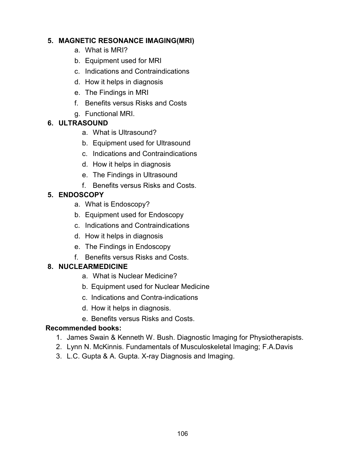#### **5. MAGNETIC RESONANCE IMAGING(MRI)**

- a. What is MRI?
- b. Equipment used for MRI
- c. Indications and Contraindications
- d. How it helps in diagnosis
- e. The Findings in MRI
- f. Benefits versus Risks and Costs
- g. Functional MRI.

# **6. ULTRASOUND**

- a. What is Ultrasound?
- b. Equipment used for Ultrasound
- c. Indications and Contraindications
- d. How it helps in diagnosis
- e. The Findings in Ultrasound
- f. Benefits versus Risks and Costs.

# **5. ENDOSCOPY**

- a. What is Endoscopy?
- b. Equipment used for Endoscopy
- c. Indications and Contraindications
- d. How it helps in diagnosis
- e. The Findings in Endoscopy
- f. Benefits versus Risks and Costs.

# **8. NUCLEARMEDICINE**

- a. What is Nuclear Medicine?
- b. Equipment used for Nuclear Medicine
- c. Indications and Contra-indications
- d. How it helps in diagnosis.
- e. Benefits versus Risks and Costs.

# **Recommended books:**

- 1. James Swain & Kenneth W. Bush. Diagnostic Imaging for Physiotherapists.
- 2. Lynn N. McKinnis. Fundamentals of Musculoskeletal Imaging; F.A.Davis
- 3. L.C. Gupta & A. Gupta. X-ray Diagnosis and Imaging.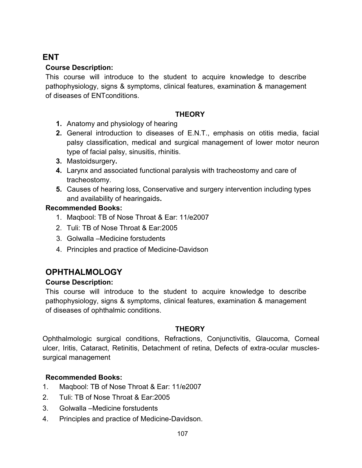# **ENT**

### **Course Description:**

This course will introduce to the student to acquire knowledge to describe pathophysiology, signs & symptoms, clinical features, examination & management of diseases of ENTconditions.

#### **THEORY**

- **1.** Anatomy and physiology of hearing
- **2.** General introduction to diseases of E.N.T., emphasis on otitis media, facial palsy classification, medical and surgical management of lower motor neuron type of facial palsy, sinusitis, rhinitis.
- **3.** Mastoidsurgery**.**
- **4.** Larynx and associated functional paralysis with tracheostomy and care of tracheostomy.
- **5.** Causes of hearing loss, Conservative and surgery intervention including types and availability of hearingaids**.**

#### **Recommended Books:**

- 1. Maqbool: TB of Nose Throat & Ear: 11/e2007
- 2. Tuli: TB of Nose Throat & Ear:2005
- 3. Golwalla –Medicine forstudents
- 4. Principles and practice of Medicine-Davidson

# **OPHTHALMOLOGY**

#### **Course Description:**

This course will introduce to the student to acquire knowledge to describe pathophysiology, signs & symptoms, clinical features, examination & management of diseases of ophthalmic conditions.

#### **THEORY**

Ophthalmologic surgical conditions, Refractions, Conjunctivitis, Glaucoma, Corneal ulcer, Iritis, Cataract, Retinitis, Detachment of retina, Defects of extra-ocular musclessurgical management

# **Recommended Books:**

- 1. Maqbool: TB of Nose Throat & Ear: 11/e2007
- 2. Tuli: TB of Nose Throat & Ear:2005
- 3. Golwalla –Medicine forstudents
- 4. Principles and practice of Medicine-Davidson.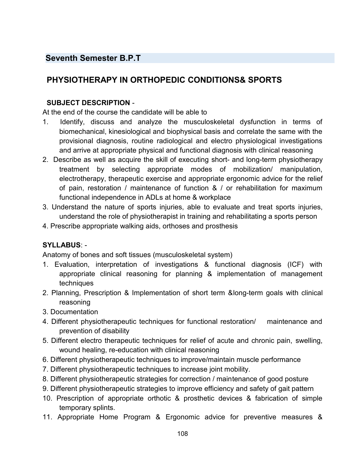# **Seventh Semester B.P.T**

# **PHYSIOTHERAPY IN ORTHOPEDIC CONDITIONS& SPORTS**

#### **SUBJECT DESCRIPTION** -

At the end of the course the candidate will be able to

- 1. Identify, discuss and analyze the musculoskeletal dysfunction in terms of biomechanical, kinesiological and biophysical basis and correlate the same with the provisional diagnosis, routine radiological and electro physiological investigations and arrive at appropriate physical and functional diagnosis with clinical reasoning
- 2. Describe as well as acquire the skill of executing short- and long-term physiotherapy treatment by selecting appropriate modes of mobilization/ manipulation, electrotherapy, therapeutic exercise and appropriate ergonomic advice for the relief of pain, restoration / maintenance of function & / or rehabilitation for maximum functional independence in ADLs at home & workplace
- 3. Understand the nature of sports injuries, able to evaluate and treat sports injuries, understand the role of physiotherapist in training and rehabilitating a sports person
- 4. Prescribe appropriate walking aids, orthoses and prosthesis

#### **SYLLABUS**: -

Anatomy of bones and soft tissues (musculoskeletal system)

- 1. Evaluation, interpretation of investigations & functional diagnosis (ICF) with appropriate clinical reasoning for planning & implementation of management techniques
- 2. Planning, Prescription & Implementation of short term &long-term goals with clinical reasoning
- 3. Documentation
- 4. Different physiotherapeutic techniques for functional restoration/ maintenance and prevention of disability
- 5. Different electro therapeutic techniques for relief of acute and chronic pain, swelling, wound healing, re-education with clinical reasoning
- 6. Different physiotherapeutic techniques to improve/maintain muscle performance
- 7. Different physiotherapeutic techniques to increase joint mobility.
- 8. Different physiotherapeutic strategies for correction / maintenance of good posture
- 9. Different physiotherapeutic strategies to improve efficiency and safety of gait pattern
- 10. Prescription of appropriate orthotic & prosthetic devices & fabrication of simple temporary splints.
- 11. Appropriate Home Program & Ergonomic advice for preventive measures &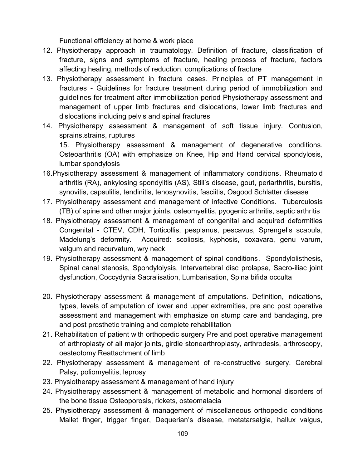Functional efficiency at home & work place

- 12. Physiotherapy approach in traumatology. Definition of fracture, classification of fracture, signs and symptoms of fracture, healing process of fracture, factors affecting healing, methods of reduction, complications of fracture
- 13. Physiotherapy assessment in fracture cases. Principles of PT management in fractures - Guidelines for fracture treatment during period of immobilization and guidelines for treatment after immobilization period Physiotherapy assessment and management of upper limb fractures and dislocations, lower limb fractures and dislocations including pelvis and spinal fractures
- 14. Physiotherapy assessment & management of soft tissue injury. Contusion, sprains,strains, ruptures

15. Physiotherapy assessment & management of degenerative conditions. Osteoarthritis (OA) with emphasize on Knee, Hip and Hand cervical spondylosis, lumbar spondylosis

- 16.Physiotherapy assessment & management of inflammatory conditions. Rheumatoid arthritis (RA), ankylosing spondylitis (AS), Still's disease, gout, periarthritis, bursitis, synovitis, capsulitis, tendinitis, tenosynovitis, fasciitis, Osgood Schlatter disease
- 17. Physiotherapy assessment and management of infective Conditions. Tuberculosis (TB) of spine and other major joints, osteomyelitis, pyogenic arthritis, septic arthritis
- 18. Physiotherapy assessment & management of congenital and acquired deformities Congenital - CTEV, CDH, Torticollis, pesplanus, pescavus, Sprengel's scapula, Madelung's deformity. Acquired: scoliosis, kyphosis, coxavara, genu varum, valgum and recurvatum, wry neck
- 19. Physiotherapy assessment & management of spinal conditions. Spondylolisthesis, Spinal canal stenosis, Spondylolysis, Intervertebral disc prolapse, Sacro-iliac joint dysfunction, Coccydynia Sacralisation, Lumbarisation, Spina bifida occulta
- 20. Physiotherapy assessment & management of amputations. Definition, indications, types, levels of amputation of lower and upper extremities, pre and post operative assessment and management with emphasize on stump care and bandaging, pre and post prosthetic training and complete rehabilitation
- 21. Rehabilitation of patient with orthopedic surgery Pre and post operative management of arthroplasty of all major joints, girdle stonearthroplasty, arthrodesis, arthroscopy, oesteotomy Reattachment of limb
- 22. Physiotherapy assessment & management of re-constructive surgery. Cerebral Palsy, poliomyelitis, leprosy
- 23. Physiotherapy assessment & management of hand injury
- 24. Physiotherapy assessment & management of metabolic and hormonal disorders of the bone tissue Osteoporosis, rickets, osteomalacia
- 25. Physiotherapy assessment & management of miscellaneous orthopedic conditions Mallet finger, trigger finger, Dequerian's disease, metatarsalgia, hallux valgus,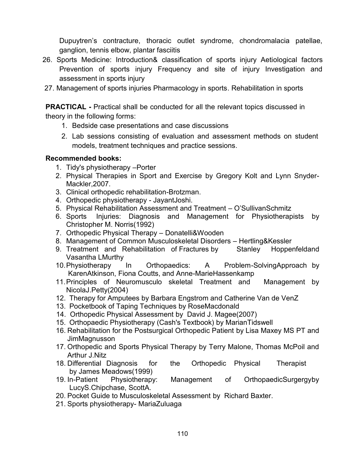Dupuytren's contracture, thoracic outlet syndrome, chondromalacia patellae, ganglion, tennis elbow, plantar fasciitis

- 26. Sports Medicine: Introduction& classification of sports injury Aetiological factors Prevention of sports injury Frequency and site of injury Investigation and assessment in sports injury
- 27. Management of sports injuries Pharmacology in sports. Rehabilitation in sports

**PRACTICAL -** Practical shall be conducted for all the relevant topics discussed in theory in the following forms:

- 1. Bedside case presentations and case discussions
- 2. Lab sessions consisting of evaluation and assessment methods on student models, treatment techniques and practice sessions.

#### **Recommended books:**

- 1. Tidy's physiotherapy –Porter
- 2. Physical Therapies in Sport and Exercise by Gregory Kolt and Lynn Snyder-Mackler, 2007.
- 3. Clinical orthopedic rehabilitation-Brotzman.
- 4. Orthopedic physiotherapy JayantJoshi.
- 5. Physical Rehabilitation Assessment and Treatment O'SullivanSchmitz
- 6. Sports Injuries: Diagnosis and Management for Physiotherapists by Christopher M. Norris(1992)
- 7. Orthopedic Physical Therapy Donatelli&Wooden
- 8. Management of Common Musculoskeletal Disorders Hertling&Kessler
- 9. Treatment and Rehabilitation of Fractures by Stanley Hoppenfeldand Vasantha LMurthy
- 10.Physiotherapy In Orthopaedics: A Problem-SolvingApproach by KarenAtkinson, Fiona Coutts, and Anne-MarieHassenkamp
- 11.Principles of Neuromusculo skeletal Treatment and Management by NicolaJ.Petty(2004)
- 12. Therapy for Amputees by Barbara Engstrom and Catherine Van de VenZ
- 13. Pocketbook of Taping Techniques by RoseMacdonald
- 14. Orthopedic Physical Assessment by David J. Magee(2007)
- 15. Orthopaedic Physiotherapy (Cash's Textbook) by MarianTidswell
- 16. Rehabilitation for the Postsurgical Orthopedic Patient by Lisa Maxey MS PT and **JimMagnusson**
- 17. Orthopedic and Sports Physical Therapy by Terry Malone, Thomas McPoil and Arthur J.Nitz
- 18. Differential Diagnosis for the Orthopedic Physical Therapist by James Meadows(1999)
- 19. In-Patient Physiotherapy: Management of OrthopaedicSurgergyby LucyS.Chipchase, ScottA.
- 20. Pocket Guide to Musculoskeletal Assessment by Richard Baxter.
- 21. Sports physiotherapy- MariaZuluaga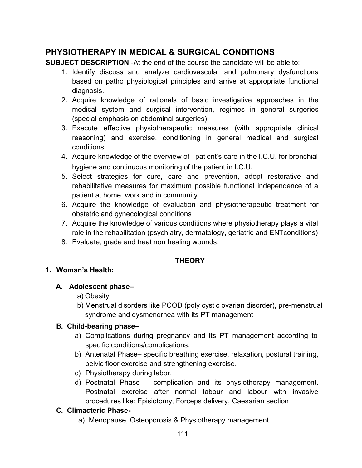## **PHYSIOTHERAPY IN MEDICAL & SURGICAL CONDITIONS**

**SUBJECT DESCRIPTION** -At the end of the course the candidate will be able to:

- 1. Identify discuss and analyze cardiovascular and pulmonary dysfunctions based on patho physiological principles and arrive at appropriate functional diagnosis.
- 2. Acquire knowledge of rationals of basic investigative approaches in the medical system and surgical intervention, regimes in general surgeries (special emphasis on abdominal surgeries)
- 3. Execute effective physiotherapeutic measures (with appropriate clinical reasoning) and exercise, conditioning in general medical and surgical conditions.
- 4. Acquire knowledge of the overview of patient's care in the I.C.U. for bronchial hygiene and continuous monitoring of the patient in I.C.U.
- 5. Select strategies for cure, care and prevention, adopt restorative and rehabilitative measures for maximum possible functional independence of a patient at home, work and in community.
- 6. Acquire the knowledge of evaluation and physiotherapeutic treatment for obstetric and gynecological conditions
- 7. Acquire the knowledge of various conditions where physiotherapy plays a vital role in the rehabilitation (psychiatry, dermatology, geriatric and ENTconditions)
- 8. Evaluate, grade and treat non healing wounds.

## **THEORY**

#### **1. Woman's Health:**

## **A. Adolescent phase–**

- a) Obesity
- b) Menstrual disorders like PCOD (poly cystic ovarian disorder), pre-menstrual syndrome and dysmenorhea with its PT management

## **B. Child-bearing phase–**

- a) Complications during pregnancy and its PT management according to specific conditions/complications.
- b) Antenatal Phase– specific breathing exercise, relaxation, postural training, pelvic floor exercise and strengthening exercise.
- c) Physiotherapy during labor.
- d) Postnatal Phase complication and its physiotherapy management. Postnatal exercise after normal labour and labour with invasive procedures like: Episiotomy, Forceps delivery, Caesarian section

## **C. Climacteric Phase-**

a) Menopause, Osteoporosis & Physiotherapy management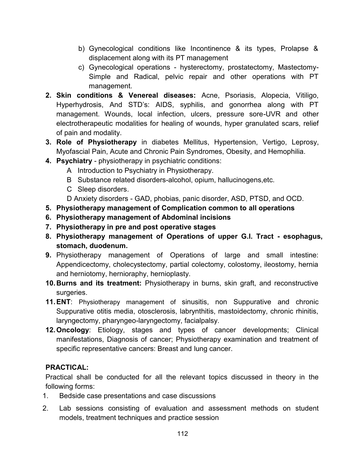- b) Gynecological conditions like Incontinence & its types, Prolapse & displacement along with its PT management
- c) Gynecological operations hysterectomy, prostatectomy, Mastectomy-Simple and Radical, pelvic repair and other operations with PT management.
- **2. Skin conditions & Venereal diseases:** Acne, Psoriasis, Alopecia, Vitiligo, Hyperhydrosis, And STD's: AIDS, syphilis, and gonorrhea along with PT management. Wounds, local infection, ulcers, pressure sore-UVR and other electrotherapeutic modalities for healing of wounds, hyper granulated scars, relief of pain and modality.
- **3. Role of Physiotherapy** in diabetes Mellitus, Hypertension, Vertigo, Leprosy, Myofascial Pain, Acute and Chronic Pain Syndromes, Obesity, and Hemophilia.
- **4. Psychiatry** physiotherapy in psychiatric conditions:
	- A Introduction to Psychiatry in Physiotherapy.
		- B Substance related disorders-alcohol, opium, hallucinogens,etc.
		- C Sleep disorders.
	- D Anxiety disorders GAD, phobias, panic disorder, ASD, PTSD, and OCD.
- **5. Physiotherapy management of Complication common to all operations**
- **6. Physiotherapy management of Abdominal incisions**
- **7. Physiotherapy in pre and post operative stages**
- **8. Physiotherapy management of Operations of upper G.I. Tract - esophagus, stomach, duodenum.**
- **9.** Physiotherapy management of Operations of large and small intestine: Appendicectomy, cholecystectomy, partial colectomy, colostomy, ileostomy, hernia and herniotomy, hernioraphy, hernioplasty.
- **10.Burns and its treatment:** Physiotherapy in burns, skin graft, and reconstructive surgeries.
- **11.ENT**: Physiotherapy management of sinusitis, non Suppurative and chronic Suppurative otitis media, otosclerosis, labrynthitis, mastoidectomy, chronic rhinitis, laryngectomy, pharyngeo-laryngectomy, facialpalsy.
- **12.Oncology**: Etiology, stages and types of cancer developments; Clinical manifestations, Diagnosis of cancer; Physiotherapy examination and treatment of specific representative cancers: Breast and lung cancer.

#### **PRACTICAL:**

Practical shall be conducted for all the relevant topics discussed in theory in the following forms:

- 1. Bedside case presentations and case discussions
- 2. Lab sessions consisting of evaluation and assessment methods on student models, treatment techniques and practice session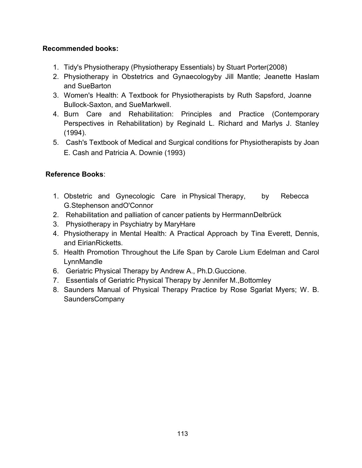## **Recommended books:**

- 1. Tidy's Physiotherapy (Physiotherapy Essentials) by Stuart Porter(2008)
- 2. Physiotherapy in Obstetrics and Gynaecologyby Jill Mantle; Jeanette Haslam and SueBarton
- 3. Women's Health: A Textbook for Physiotherapists by Ruth Sapsford, Joanne Bullock-Saxton, and SueMarkwell.
- 4. Burn Care and Rehabilitation: Principles and Practice (Contemporary Perspectives in Rehabilitation) by Reginald L. Richard and Marlys J. Stanley (1994).
- 5. Cash's Textbook of Medical and Surgical conditions for Physiotherapists by Joan E. Cash and Patricia A. Downie (1993)

### **Reference Books**:

- 1. Obstetric and Gynecologic Care in Physical Therapy, by Rebecca G.Stephenson andO'Connor
- 2. Rehabilitation and palliation of cancer patients by HerrmannDelbrück
- 3. Physiotherapy in Psychiatry by MaryHare
- 4. Physiotherapy in Mental Health: A Practical Approach by Tina Everett, Dennis, and EirianRicketts.
- 5. Health Promotion Throughout the Life Span by Carole Lium Edelman and Carol LynnMandle
- 6. Geriatric Physical Therapy by Andrew A., Ph.D.Guccione.
- 7. Essentials of Geriatric Physical Therapy by Jennifer M.,Bottomley
- 8. Saunders Manual of Physical Therapy Practice by Rose Sgarlat Myers; W. B. SaundersCompany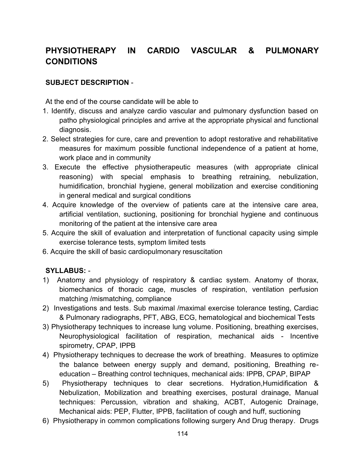# **PHYSIOTHERAPY IN CARDIO VASCULAR & PULMONARY CONDITIONS**

#### **SUBJECT DESCRIPTION** -

At the end of the course candidate will be able to

- 1. Identify, discuss and analyze cardio vascular and pulmonary dysfunction based on patho physiological principles and arrive at the appropriate physical and functional diagnosis.
- 2. Select strategies for cure, care and prevention to adopt restorative and rehabilitative measures for maximum possible functional independence of a patient at home, work place and in community
- 3. Execute the effective physiotherapeutic measures (with appropriate clinical reasoning) with special emphasis to breathing retraining, nebulization, humidification, bronchial hygiene, general mobilization and exercise conditioning in general medical and surgical conditions
- 4. Acquire knowledge of the overview of patients care at the intensive care area, artificial ventilation, suctioning, positioning for bronchial hygiene and continuous monitoring of the patient at the intensive care area
- 5. Acquire the skill of evaluation and interpretation of functional capacity using simple exercise tolerance tests, symptom limited tests
- 6. Acquire the skill of basic cardiopulmonary resuscitation

#### **SYLLABUS:** -

- 1) Anatomy and physiology of respiratory & cardiac system. Anatomy of thorax, biomechanics of thoracic cage, muscles of respiration, ventilation perfusion matching /mismatching, compliance
- 2) Investigations and tests. Sub maximal /maximal exercise tolerance testing, Cardiac & Pulmonary radiographs, PFT, ABG, ECG, hematological and biochemical Tests
- 3) Physiotherapy techniques to increase lung volume. Positioning, breathing exercises, Neurophysiological facilitation of respiration, mechanical aids - Incentive spirometry, CPAP, IPPB
- 4) Physiotherapy techniques to decrease the work of breathing. Measures to optimize the balance between energy supply and demand, positioning, Breathing reeducation – Breathing control techniques, mechanical aids: IPPB, CPAP, BIPAP
- 5) Physiotherapy techniques to clear secretions. Hydration,Humidification & Nebulization, Mobilization and breathing exercises, postural drainage, Manual techniques: Percussion, vibration and shaking, ACBT, Autogenic Drainage, Mechanical aids: PEP, Flutter, IPPB, facilitation of cough and huff, suctioning
- 6) Physiotherapy in common complications following surgery And Drug therapy. Drugs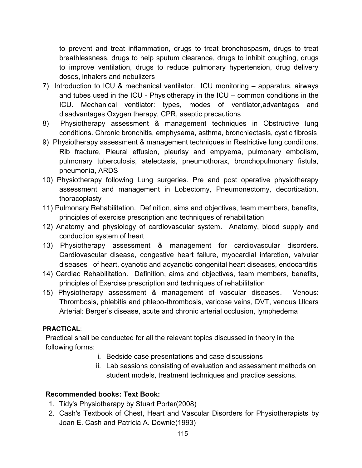to prevent and treat inflammation, drugs to treat bronchospasm, drugs to treat breathlessness, drugs to help sputum clearance, drugs to inhibit coughing, drugs to improve ventilation, drugs to reduce pulmonary hypertension, drug delivery doses, inhalers and nebulizers

- 7) Introduction to ICU & mechanical ventilator. ICU monitoring apparatus, airways and tubes used in the ICU - Physiotherapy in the ICU – common conditions in the ICU. Mechanical ventilator: types, modes of ventilator,advantages and disadvantages Oxygen therapy, CPR, aseptic precautions
- 8) Physiotherapy assessment & management techniques in Obstructive lung conditions. Chronic bronchitis, emphysema, asthma, bronchiectasis, cystic fibrosis
- 9) Physiotherapy assessment & management techniques in Restrictive lung conditions. Rib fracture, Pleural effusion, pleurisy and empyema, pulmonary embolism, pulmonary tuberculosis, atelectasis, pneumothorax, bronchopulmonary fistula, pneumonia, ARDS
- 10) Physiotherapy following Lung surgeries. Pre and post operative physiotherapy assessment and management in Lobectomy, Pneumonectomy, decortication, thoracoplasty
- 11) Pulmonary Rehabilitation. Definition, aims and objectives, team members, benefits, principles of exercise prescription and techniques of rehabilitation
- 12) Anatomy and physiology of cardiovascular system. Anatomy, blood supply and conduction system of heart
- 13) Physiotherapy assessment & management for cardiovascular disorders. Cardiovascular disease, congestive heart failure, myocardial infarction, valvular diseases of heart, cyanotic and acyanotic congenital heart diseases, endocarditis
- 14) Cardiac Rehabilitation. Definition, aims and objectives, team members, benefits, principles of Exercise prescription and techniques of rehabilitation
- 15) Physiotherapy assessment & management of vascular diseases. Venous: Thrombosis, phlebitis and phlebo-thrombosis, varicose veins, DVT, venous Ulcers Arterial: Berger's disease, acute and chronic arterial occlusion, lymphedema

#### **PRACTICAL**:

Practical shall be conducted for all the relevant topics discussed in theory in the following forms:

- i. Bedside case presentations and case discussions
- ii. Lab sessions consisting of evaluation and assessment methods on student models, treatment techniques and practice sessions.

#### **Recommended books: Text Book:**

- 1. Tidy's Physiotherapy by Stuart Porter(2008)
- 2. Cash's Textbook of Chest, Heart and Vascular Disorders for Physiotherapists by Joan E. Cash and Patricia A. Downie(1993)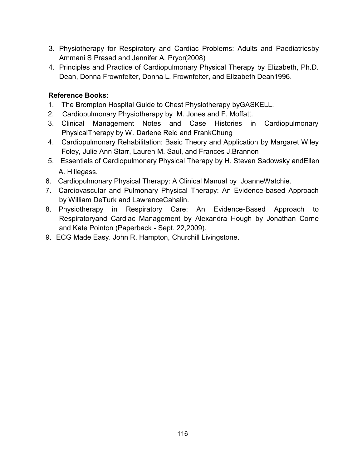- 3. Physiotherapy for Respiratory and Cardiac Problems: Adults and Paediatricsby Ammani S Prasad and Jennifer A. Pryor(2008)
- 4. Principles and Practice of Cardiopulmonary Physical Therapy by Elizabeth, Ph.D. Dean, Donna Frownfelter, Donna L. Frownfelter, and Elizabeth Dean1996.

#### **Reference Books:**

- 1. The Brompton Hospital Guide to Chest Physiotherapy byGASKELL.
- 2. Cardiopulmonary Physiotherapy by M. Jones and F. Moffatt.
- 3. Clinical Management Notes and Case Histories in Cardiopulmonary PhysicalTherapy by W. Darlene Reid and FrankChung
- 4. Cardiopulmonary Rehabilitation: Basic Theory and Application by Margaret Wiley Foley, Julie Ann Starr, Lauren M. Saul, and Frances J.Brannon
- 5. Essentials of Cardiopulmonary Physical Therapy by H. Steven Sadowsky andEllen A. Hillegass.
- 6. Cardiopulmonary Physical Therapy: A Clinical Manual by JoanneWatchie.
- 7. Cardiovascular and Pulmonary Physical Therapy: An Evidence-based Approach by William DeTurk and LawrenceCahalin.
- 8. Physiotherapy in Respiratory Care: An Evidence-Based Approach to Respiratoryand Cardiac Management by Alexandra Hough by Jonathan Corne and Kate Pointon (Paperback - Sept. 22,2009).
- 9. ECG Made Easy. John R. Hampton, Churchill Livingstone.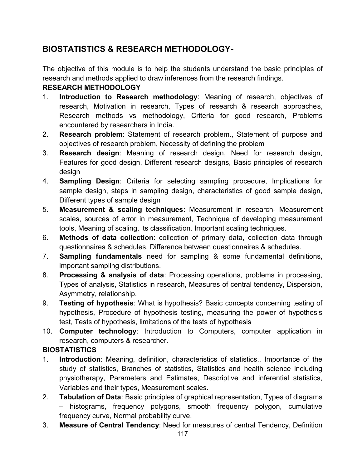## **BIOSTATISTICS & RESEARCH METHODOLOGY-**

The objective of this module is to help the students understand the basic principles of research and methods applied to draw inferences from the research findings.

### **RESEARCH METHODOLOGY**

- 1. **Introduction to Research methodology**: Meaning of research, objectives of research, Motivation in research, Types of research & research approaches, Research methods vs methodology, Criteria for good research, Problems encountered by researchers in India.
- 2. **Research problem**: Statement of research problem., Statement of purpose and objectives of research problem, Necessity of defining the problem
- 3. **Research design**: Meaning of research design, Need for research design, Features for good design, Different research designs, Basic principles of research design
- 4. **Sampling Design**: Criteria for selecting sampling procedure, Implications for sample design, steps in sampling design, characteristics of good sample design, Different types of sample design
- 5. **Measurement & scaling techniques**: Measurement in research- Measurement scales, sources of error in measurement, Technique of developing measurement tools, Meaning of scaling, its classification. Important scaling techniques.
- 6. **Methods of data collection**: collection of primary data, collection data through questionnaires & schedules, Difference between questionnaires & schedules.
- 7. **Sampling fundamentals** need for sampling & some fundamental definitions, important sampling distributions.
- 8. **Processing & analysis of data**: Processing operations, problems in processing, Types of analysis, Statistics in research, Measures of central tendency, Dispersion, Asymmetry, relationship.
- 9. **Testing of hypothesis**: What is hypothesis? Basic concepts concerning testing of hypothesis, Procedure of hypothesis testing, measuring the power of hypothesis test, Tests of hypothesis, limitations of the tests of hypothesis
- 10. **Computer technology**: Introduction to Computers, computer application in research, computers & researcher.

## **BIOSTATISTICS**

- 1. **Introduction**: Meaning, definition, characteristics of statistics., Importance of the study of statistics, Branches of statistics, Statistics and health science including physiotherapy, Parameters and Estimates, Descriptive and inferential statistics, Variables and their types, Measurement scales.
- 2. **Tabulation of Data**: Basic principles of graphical representation, Types of diagrams – histograms, frequency polygons, smooth frequency polygon, cumulative frequency curve, Normal probability curve.
- 3. **Measure of Central Tendency**: Need for measures of central Tendency, Definition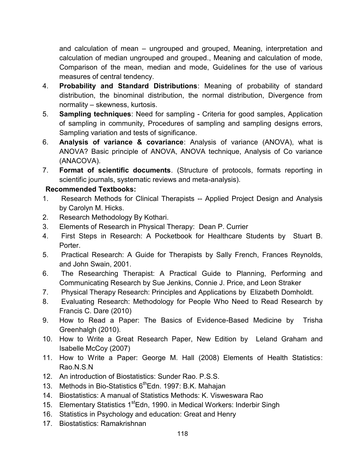and calculation of mean – ungrouped and grouped, Meaning, interpretation and calculation of median ungrouped and grouped., Meaning and calculation of mode, Comparison of the mean, median and mode, Guidelines for the use of various measures of central tendency.

- 4. **Probability and Standard Distributions**: Meaning of probability of standard distribution, the binominal distribution, the normal distribution, Divergence from normality – skewness, kurtosis.
- 5. **Sampling techniques**: Need for sampling Criteria for good samples, Application of sampling in community, Procedures of sampling and sampling designs errors, Sampling variation and tests of significance.
- 6. **Analysis of variance & covariance**: Analysis of variance (ANOVA), what is ANOVA? Basic principle of ANOVA, ANOVA technique, Analysis of Co variance (ANACOVA).
- 7. **Format of scientific documents**. (Structure of protocols, formats reporting in scientific journals, systematic reviews and meta-analysis).

#### **Recommended Textbooks:**

- 1. Research Methods for Clinical Therapists -- Applied Project Design and Analysis by Carolyn M. Hicks.
- 2. Research Methodology By Kothari.
- 3. Elements of Research in Physical Therapy: Dean P. Currier
- 4. First Steps in Research: A Pocketbook for Healthcare Students by Stuart B. Porter.
- 5. Practical Research: A Guide for Therapists by Sally French, Frances Reynolds, and John Swain, 2001.
- 6. The Researching Therapist: A Practical Guide to Planning, Performing and Communicating Research by Sue Jenkins, Connie J. Price, and Leon Straker
- 7. Physical Therapy Research: Principles and Applications by Elizabeth Domholdt.
- 8. Evaluating Research: Methodology for People Who Need to Read Research by Francis C. Dare (2010)
- 9. How to Read a Paper: The Basics of Evidence-Based Medicine by Trisha Greenhalgh (2010).
- 10. How to Write a Great Research Paper, New Edition by Leland Graham and Isabelle McCoy (2007)
- 11. How to Write a Paper: George M. Hall (2008) Elements of Health Statistics: Rao.N.S.N
- 12. An introduction of Biostatistics: Sunder Rao. P.S.S.
- 13. Methods in Bio-Statistics 6<sup>th</sup>Edn. 1997: B.K. Mahajan
- 14. Biostatistics: A manual of Statistics Methods: K. Visweswara Rao
- 15. Elementary Statistics 1<sup>st</sup>Edn, 1990. in Medical Workers: Inderbir Singh
- 16. Statistics in Psychology and education: Great and Henry
- 17. Biostatistics: Ramakrishnan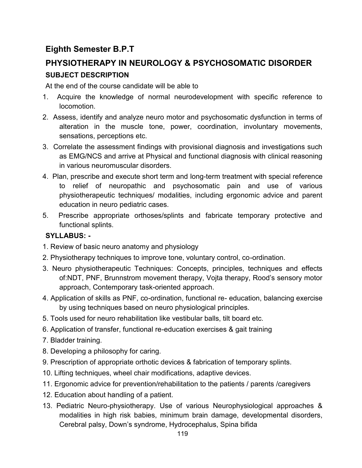## **Eighth Semester B.P.T**

# **PHYSIOTHERAPY IN NEUROLOGY & PSYCHOSOMATIC DISORDER SUBJECT DESCRIPTION**

At the end of the course candidate will be able to

- 1. Acquire the knowledge of normal neurodevelopment with specific reference to locomotion.
- 2. Assess, identify and analyze neuro motor and psychosomatic dysfunction in terms of alteration in the muscle tone, power, coordination, involuntary movements, sensations, perceptions etc.
- 3. Correlate the assessment findings with provisional diagnosis and investigations such as EMG/NCS and arrive at Physical and functional diagnosis with clinical reasoning in various neuromuscular disorders.
- 4. Plan, prescribe and execute short term and long-term treatment with special reference to relief of neuropathic and psychosomatic pain and use of various physiotherapeutic techniques/ modalities, including ergonomic advice and parent education in neuro pediatric cases.
- 5. Prescribe appropriate orthoses/splints and fabricate temporary protective and functional splints.

### **SYLLABUS: -**

- 1. Review of basic neuro anatomy and physiology
- 2. Physiotherapy techniques to improve tone, voluntary control, co-ordination.
- 3. Neuro physiotherapeutic Techniques: Concepts, principles, techniques and effects of:NDT, PNF, Brunnstrom movement therapy, Vojta therapy, Rood's sensory motor approach, Contemporary task-oriented approach.
- 4. Application of skills as PNF, co-ordination, functional re- education, balancing exercise by using techniques based on neuro physiological principles.
- 5. Tools used for neuro rehabilitation like vestibular balls, tilt board etc.
- 6. Application of transfer, functional re-education exercises & gait training
- 7. Bladder training.
- 8. Developing a philosophy for caring.
- 9. Prescription of appropriate orthotic devices & fabrication of temporary splints.
- 10. Lifting techniques, wheel chair modifications, adaptive devices.
- 11. Ergonomic advice for prevention/rehabilitation to the patients / parents /caregivers
- 12. Education about handling of a patient.
- 13. Pediatric Neuro-physiotherapy. Use of various Neurophysiological approaches & modalities in high risk babies, minimum brain damage, developmental disorders, Cerebral palsy, Down's syndrome, Hydrocephalus, Spina bifida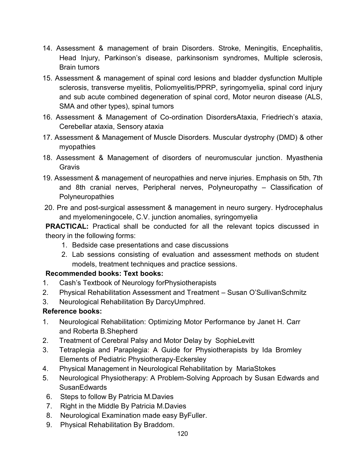- 14. Assessment & management of brain Disorders. Stroke, Meningitis, Encephalitis, Head Injury, Parkinson's disease, parkinsonism syndromes, Multiple sclerosis, Brain tumors
- 15. Assessment & management of spinal cord lesions and bladder dysfunction Multiple sclerosis, transverse myelitis, Poliomyelitis/PPRP, syringomyelia, spinal cord injury and sub acute combined degeneration of spinal cord, Motor neuron disease (ALS, SMA and other types), spinal tumors
- 16. Assessment & Management of Co-ordination DisordersAtaxia, Friedriech's ataxia, Cerebellar ataxia, Sensory ataxia
- 17. Assessment & Management of Muscle Disorders. Muscular dystrophy (DMD) & other myopathies
- 18. Assessment & Management of disorders of neuromuscular junction. Myasthenia Gravis
- 19. Assessment & management of neuropathies and nerve injuries. Emphasis on 5th, 7th and 8th cranial nerves, Peripheral nerves, Polyneuropathy – Classification of **Polyneuropathies**
- 20. Pre and post-surgical assessment & management in neuro surgery. Hydrocephalus and myelomeningocele, C.V. junction anomalies, syringomyelia

**PRACTICAL:** Practical shall be conducted for all the relevant topics discussed in theory in the following forms:

- 1. Bedside case presentations and case discussions
- 2. Lab sessions consisting of evaluation and assessment methods on student models, treatment techniques and practice sessions.

## **Recommended books: Text books:**

- 1. Cash's Textbook of Neurology forPhysiotherapists
- 2. Physical Rehabilitation Assessment and Treatment Susan O'SullivanSchmitz
- 3. Neurological Rehabilitation By DarcyUmphred.

#### **Reference books:**

- 1. Neurological Rehabilitation: Optimizing Motor Performance by Janet H. Carr and Roberta B.Shepherd
- 2. Treatment of Cerebral Palsy and Motor Delay by SophieLevitt
- 3. Tetraplegia and Paraplegia: A Guide for Physiotherapists by Ida Bromley Elements of Pediatric Physiotherapy-Eckersley
- 4. Physical Management in Neurological Rehabilitation by MariaStokes
- 5. Neurological Physiotherapy: A Problem-Solving Approach by Susan Edwards and **SusanEdwards**
- 6. Steps to follow By Patricia M.Davies
- 7. Right in the Middle By Patricia M.Davies
- 8. Neurological Examination made easy ByFuller.
- 9. Physical Rehabilitation By Braddom.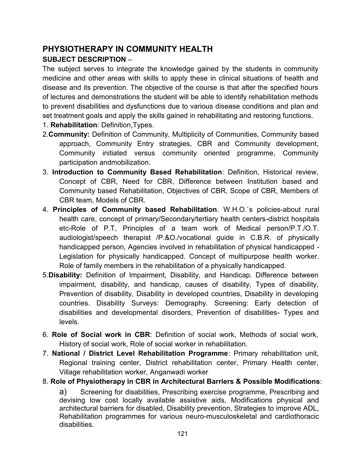## **PHYSIOTHERAPY IN COMMUNITY HEALTH SUBJECT DESCRIPTION** –

The subject serves to integrate the knowledge gained by the students in community medicine and other areas with skills to apply these in clinical situations of health and disease and its prevention. The objective of the course is that after the specified hours of lectures and demonstrations the student will be able to identify rehabilitation methods to prevent disabilities and dysfunctions due to various disease conditions and plan and set treatment goals and apply the skills gained in rehabilitating and restoring functions.

- 1. **Rehabilitation**: Definition,Types.
- 2.**Community:** Definition of Community, Multiplicity of Communities, Community based approach, Community Entry strategies, CBR and Community development, Community initiated versus community oriented programme, Community participation andmobilization.
- 3. **Introduction to Community Based Rehabilitation**: Definition, Historical review, Concept of CBR, Need for CBR, Difference between Institution based and Community based Rehabilitation, Objectives of CBR, Scope of CBR, Members of CBR team, Models of CBR.
- 4. **Principles of Community based Rehabilitation**. W.H.O.`s policies-about rural health care, concept of primary/Secondary/tertiary health centers-district hospitals etc-Role of P.T, Principles of a team work of Medical person/P.T./O.T. audiologist/speech therapist /P.&O./vocational guide in C.B.R. of physically handicapped person, Agencies involved in rehabilitation of physical handicapped - Legislation for physically handicapped. Concept of multipurpose health worker. Role of family members in the rehabilitation of a physically handicapped.
- 5.**Disability:** Definition of Impairment, Disability, and Handicap. Difference between impairment, disability, and handicap, causes of disability, Types of disability, Prevention of disability, Disability in developed countries, Disability in developing countries. Disability Surveys: Demography. Screening: Early detection of disabilities and developmental disorders, Prevention of disabilities- Types and levels.
- 6. **Role of Social work in CBR**: Definition of social work, Methods of social work, History of social work, Role of social worker in rehabilitation.
- 7. **National / District Level Rehabilitation Programme**: Primary rehabilitation unit, Regional training center, District rehabilitation center, Primary Health center, Village rehabilitation worker, Anganwadi worker

#### 8. **Role of Physiotherapy in CBR in Architectural Barriers & Possible Modifications**:

a) Screening for disabilities, Prescribing exercise programme, Prescribing and devising low cost locally available assistive aids, Modifications physical and architectural barriers for disabled, Disability prevention, Strategies to improve ADL, Rehabilitation programmes for various neuro-musculoskeletal and cardiothoracic disabilities.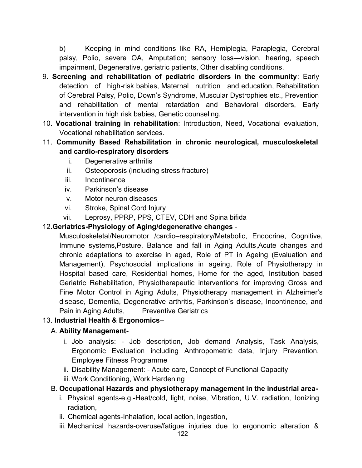b) Keeping in mind conditions like RA, Hemiplegia, Paraplegia, Cerebral palsy, Polio, severe OA, Amputation; sensory loss—vision, hearing, speech impairment, Degenerative, geriatric patients, Other disabling conditions.

- 9. **Screening and rehabilitation of pediatric disorders in the community**: Early detection of high-risk babies, Maternal nutrition and education, Rehabilitation of Cerebral Palsy, Polio, Down's Syndrome, Muscular Dystrophies etc., Prevention and rehabilitation of mental retardation and Behavioral disorders, Early intervention in high risk babies, Genetic counseling.
- 10. **Vocational training in rehabilitation**: Introduction, Need, Vocational evaluation, Vocational rehabilitation services.
- 11. **Community Based Rehabilitation in chronic neurological, musculoskeletal and cardio-respiratory disorders**
	- i. Degenerative arthritis
	- ii. Osteoporosis (including stress fracture)
	- iii. Incontinence
	- iv. Parkinson's disease
	- v. Motor neuron diseases
	- vi. Stroke, Spinal Cord Injury
	- vii. Leprosy, PPRP, PPS, CTEV, CDH and Spina bifida

### 12**.Geriatrics-Physiology of Aging/degenerative changes** -

Musculoskeletal/Neuromotor /cardio–respiratory/Metabolic, Endocrine, Cognitive, Immune systems,Posture, Balance and fall in Aging Adults,Acute changes and chronic adaptations to exercise in aged, Role of PT in Ageing (Evaluation and Management), Psychosocial implications in ageing, Role of Physiotherapy in Hospital based care, Residential homes, Home for the aged, Institution based Geriatric Rehabilitation, Physiotherapeutic interventions for improving Gross and Fine Motor Control in Aging Adults, Physiotherapy management in Alzheimer's disease, Dementia, Degenerative arthritis, Parkinson's disease, Incontinence, and Pain in Aging Adults, Preventive Geriatrics

#### 13. **Industrial Health & Ergonomics**–

#### A. **Ability Management**-

- i. Job analysis: Job description, Job demand Analysis, Task Analysis, Ergonomic Evaluation including Anthropometric data, Injury Prevention, Employee Fitness Programme
- ii. Disability Management: Acute care, Concept of Functional Capacity
- iii. Work Conditioning, Work Hardening

### B. **Occupational Hazards and physiotherapy management in the industrial area-**

- i. Physical agents-e.g.-Heat/cold, light, noise, Vibration, U.V. radiation, Ionizing radiation,
- ii. Chemical agents-Inhalation, local action, ingestion,
- iii. Mechanical hazards-overuse/fatigue injuries due to ergonomic alteration &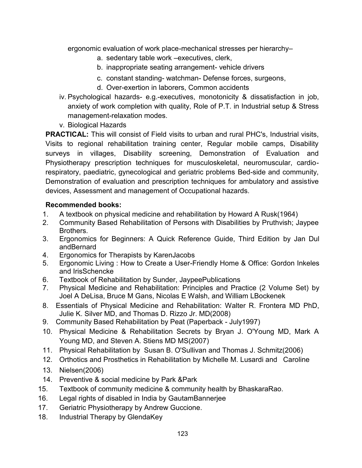ergonomic evaluation of work place-mechanical stresses per hierarchy–

- a. sedentary table work –executives, clerk,
- b. inappropriate seating arrangement- vehicle drivers
- c. constant standing- watchman- Defense forces, surgeons,
- d. Over-exertion in laborers, Common accidents
- iv. Psychological hazards- e.g.-executives, monotonicity & dissatisfaction in job, anxiety of work completion with quality, Role of P.T. in Industrial setup & Stress management-relaxation modes.
- v. Biological Hazards

**PRACTICAL:** This will consist of Field visits to urban and rural PHC's, Industrial visits, Visits to regional rehabilitation training center, Regular mobile camps, Disability surveys in villages, Disability screening, Demonstration of Evaluation and Physiotherapy prescription techniques for musculoskeletal, neuromuscular, cardiorespiratory, paediatric, gynecological and geriatric problems Bed-side and community, Demonstration of evaluation and prescription techniques for ambulatory and assistive devices, Assessment and management of Occupational hazards.

#### **Recommended books:**

- 1. A textbook on physical medicine and rehabilitation by Howard A Rusk(1964)
- 2. Community Based Rehabilitation of Persons with Disabilities by Pruthvish; Jaypee Brothers.
- 3. Ergonomics for Beginners: A Quick Reference Guide, Third Edition by Jan Dul andBernard
- 4. Ergonomics for Therapists by KarenJacobs
- 5. Ergonomic Living : How to Create a User-Friendly Home & Office: Gordon Inkeles and IrisSchencke
- 6. Textbook of Rehabilitation by Sunder, JaypeePublications
- 7. Physical Medicine and Rehabilitation: Principles and Practice (2 Volume Set) by Joel A DeLisa, Bruce M Gans, Nicolas E Walsh, and William LBockenek
- 8. Essentials of Physical Medicine and Rehabilitation: Walter R. Frontera MD PhD, Julie K. Silver MD, and Thomas D. Rizzo Jr. MD(2008)
- 9. Community Based Rehabilitation by Peat (Paperback July1997)
- 10. Physical Medicine & Rehabilitation Secrets by Bryan J. O'Young MD, Mark A Young MD, and Steven A. Stiens MD MS(2007)
- 11. Physical Rehabilitation by Susan B. O'Sullivan and Thomas J. Schmitz(2006)
- 12. Orthotics and Prosthetics in Rehabilitation by Michelle M. Lusardi and Caroline
- 13. Nielsen(2006)
- 14. Preventive & social medicine by Park &Park
- 15. Textbook of community medicine & community health by BhaskaraRao.
- 16. Legal rights of disabled in India by GautamBannerjee
- 17. Geriatric Physiotherapy by Andrew Guccione.
- 18. Industrial Therapy by GlendaKey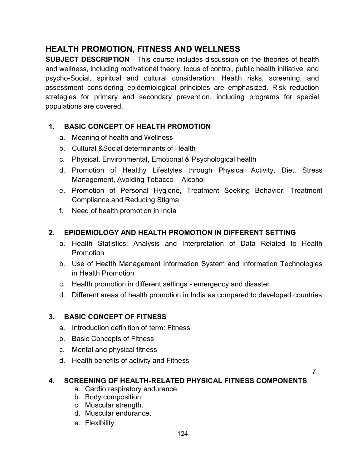## **HEALTH PROMOTION, FITNESS AND WELLNESS**

**SUBJECT DESCRIPTION** - This course includes discussion on the theories of health and wellness, including motivational theory, locus of control, public health initiative, and psycho-Social, spiritual and cultural consideration. Health risks, screening, and assessment considering epidemiological principles are emphasized. Risk reduction strategies for primary and secondary prevention, including programs for special populations are covered.

### **1. BASIC CONCEPT OF HEALTH PROMOTION**

- a. Meaning of health and Wellness
- b. Cultural &Social determinants of Health
- c. Physical, Environmental, Emotional & Psychological health
- d. Promotion of Healthy Lifestyles through Physical Activity, Diet, Stress Management, Avoiding Tobacco – Alcohol
- e. Promotion of Personal Hygiene, Treatment Seeking Behavior, Treatment Compliance and Reducing Stigma
- f. Need of health promotion in India

### **2. EPIDEMIOLOGY AND HEALTH PROMOTION IN DIFFERENT SETTING**

- a. Health Statistics: Analysis and Interpretation of Data Related to Health Promotion
- b. Use of Health Management Information System and Information Technologies in Health Promotion
- c. Health promotion in different settings emergency and disaster
- d. Different areas of health promotion in India as compared to developed countries

#### **3. BASIC CONCEPT OF FITNESS**

- a. Introduction definition of term: Fitness
- b. Basic Concepts of Fitness
- c. Mental and physical fitness
- d. Health benefits of activity and Fitness

7.

#### **4. SCREENING OF HEALTH-RELATED PHYSICAL FITNESS COMPONENTS**

- a. Cardio respiratory endurance:
- b. Body composition.
- c. Muscular strength.
- d. Muscular endurance.
- e. Flexibility.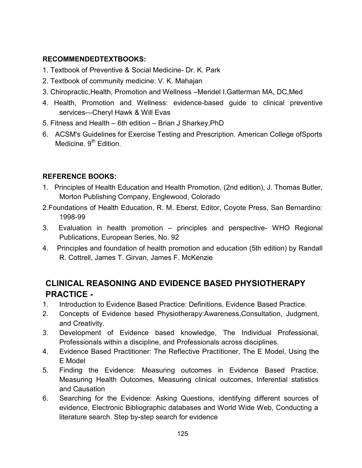### **RECOMMENDEDTEXTBOOKS:**

- 1. Textbook of Preventive & Social Medicine- Dr. K. Park
- 2. Textbook of community medicine: V. K. Mahajan
- 3. Chiropractic,Health, Promotion and Wellness –Meridel I.Gatterman MA, DC,Med
- 4. Health, Promotion and Wellness: evidence-based guide to clinical preventive services—Cheryl Hawk & Will Evas
- 5. Fitness and Health 6th edition Brian J Sharkey,PhD
- 6. ACSM's Guidelines for Exercise Testing and Prescription. American College ofSports Medicine. 9<sup>th</sup> Edition.

## **REFERENCE BOOKS:**

- 1. Principles of Health Education and Health Promotion, (2nd edition), J. Thomas Butler, Morton Publishing Company, Englewood, Colorado
- 2.Foundations of Health Education, R. M. Eberst, Editor, Coyote Press, San Bernardino: 1998-99
- 3. Evaluation in health promotion principles and perspective- WHO Regional Publications, European Series, No. 92
- 4. Principles and foundation of health promotion and education (5th edition) by Randall R. Cottrell, James T. Girvan, James F. McKenzie

## **CLINICAL REASONING AND EVIDENCE BASED PHYSIOTHERAPY PRACTICE -**

- 1. Introduction to Evidence Based Practice: Definitions, Evidence Based Practice.
- 2. Concepts of Evidence based Physiotherapy:Awareness,Consultation, Judgment, and Creativity.
- 3. Development of Evidence based knowledge, The Individual Professional, Professionals within a discipline, and Professionals across disciplines.
- 4. Evidence Based Practitioner: The Reflective Practitioner, The E Model, Using the E Model
- 5. Finding the Evidence: Measuring outcomes in Evidence Based Practice, Measuring Health Outcomes, Measuring clinical outcomes, Inferential statistics and Causation
- 6. Searching for the Evidence: Asking Questions, identifying different sources of evidence, Electronic Bibliographic databases and World Wide Web, Conducting a literature search. Step by-step search for evidence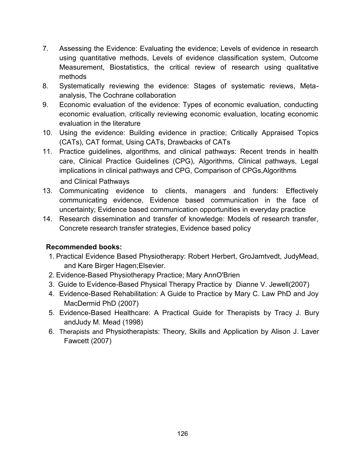- 7. Assessing the Evidence: Evaluating the evidence; Levels of evidence in research using quantitative methods, Levels of evidence classification system, Outcome Measurement, Biostatistics, the critical review of research using qualitative methods
- 8. Systematically reviewing the evidence: Stages of systematic reviews, Metaanalysis, The Cochrane collaboration
- 9. Economic evaluation of the evidence: Types of economic evaluation, conducting economic evaluation, critically reviewing economic evaluation, locating economic evaluation in the literature
- 10. Using the evidence: Building evidence in practice; Critically Appraised Topics (CATs), CAT format, Using CATs, Drawbacks of CATs
- 11. Practice guidelines, algorithms, and clinical pathways: Recent trends in health care, Clinical Practice Guidelines (CPG), Algorithms, Clinical pathways, Legal implications in clinical pathways and CPG, Comparison of CPGs,Algorithms and Clinical Pathways
- 13. Communicating evidence to clients, managers and funders: Effectively communicating evidence, Evidence based communication in the face of uncertainty; Evidence based communication opportunities in everyday practice
- 14. Research dissemination and transfer of knowledge: Models of research transfer, Concrete research transfer strategies, Evidence based policy

#### **Recommended books:**

- 1. Practical Evidence Based Physiotherapy: Robert Herbert, GroJamtvedt, JudyMead, and Kare Birger Hagen;Elsevier.
- 2. Evidence-Based Physiotherapy Practice; Mary AnnO'Brien
- 3. Guide to Evidence-Based Physical Therapy Practice by Dianne V. Jewell(2007)
- 4. Evidence-Based Rehabilitation: A Guide to Practice by Mary C. Law PhD and Joy MacDermid PhD (2007)
- 5. Evidence-Based Healthcare: A Practical Guide for Therapists by Tracy J. Bury andJudy M. Mead (1998)
- 6. Therapists and Physiotherapists: Theory, Skills and Application by Alison J. Laver Fawcett (2007)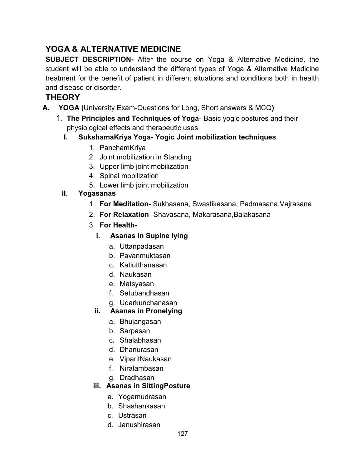## **YOGA & ALTERNATIVE MEDICINE**

**SUBJECT DESCRIPTION-** After the course on Yoga & Alternative Medicine, the student will be able to understand the different types of Yoga & Alternative Medicine treatment for the benefit of patient in different situations and conditions both in health and disease or disorder.

## **THEORY**

- **A. YOGA (**University Exam-Questions for Long, Short answers & MCQ**)**
	- 1. **The Principles and Techniques of Yoga** Basic yogic postures and their physiological effects and therapeutic uses
		- **I. SukshamaKriya Yoga- Yogic Joint mobilization techniques**
			- 1. PanchamKriya
			- 2. Joint mobilization in Standing
			- 3. Upper limb joint mobilization
			- 4. Spinal mobilization
			- 5. Lower limb joint mobilization
		- **II. Yogasanas**
			- 1. **For Meditation** Sukhasana, Swastikasana, Padmasana,Vajrasana
			- 2. **For Relaxation** Shavasana, Makarasana,Balakasana
			- 3. **For Health**
				- **i. Asanas in Supine lying**
					- a. Uttanpadasan
					- b. Pavanmuktasan
					- c. Katiutthanasan
					- d. Naukasan
					- e. Matsyasan
					- f. Setubandhasan
					- g. Udarkunchanasan
				- **ii. Asanas in Pronelying**
					- a. Bhujangasan
					- b. Sarpasan
					- c. Shalabhasan
					- d. Dhanurasan
					- e. ViparitNaukasan
					- f. Niralambasan
					- g. Dradhasan

## **iii. Asanas in SittingPosture**

- a. Yogamudrasan
- b. Shashankasan
- c. Ustrasan
- d. Janushirasan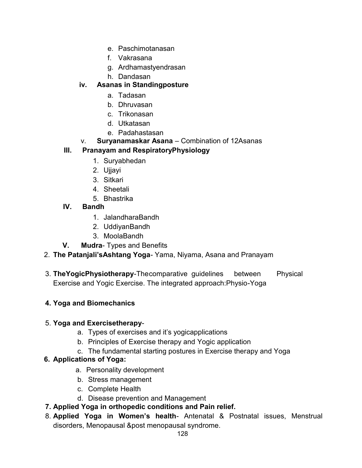- e. Paschimotanasan
- f. Vakrasana
- g. Ardhamastyendrasan
- h. Dandasan

## **iv. Asanas in Standingposture**

- a. Tadasan
- b. Dhruvasan
- c. Trikonasan
- d. Utkatasan
- e. Padahastasan
- v. **Suryanamaskar Asana** Combination of 12Asanas

## **III. Pranayam and RespiratoryPhysiology**

- 1. Suryabhedan
- 2. Ujjayi
- 3. Sitkari
- 4. Sheetali
- 5. Bhastrika
- **IV. Bandh**
	- 1. JalandharaBandh
	- 2. UddiyanBandh
	- 3. MoolaBandh
- **V. Mudra** Types and Benefits
- 2. **The Patanjali'sAshtang Yoga** Yama, Niyama, Asana and Pranayam
- 3. **TheYogicPhysiotherapy**-Thecomparative guidelines between Physical Exercise and Yogic Exercise. The integrated approach:Physio-Yoga

## **4. Yoga and Biomechanics**

#### 5. **Yoga and Exercisetherapy**-

- a. Types of exercises and it's yogicapplications
- b. Principles of Exercise therapy and Yogic application
- c. The fundamental starting postures in Exercise therapy and Yoga

#### **6. Applications of Yoga:**

- a. Personality development
- b. Stress management
- c. Complete Health
- d. Disease prevention and Management
- **7. Applied Yoga in orthopedic conditions and Pain relief.**
- 8. **Applied Yoga in Women's health** Antenatal & Postnatal issues, Menstrual disorders, Menopausal &post menopausal syndrome.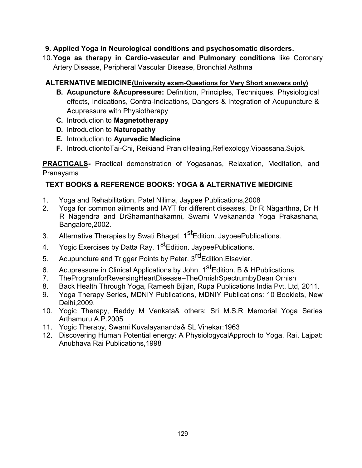### **9. Applied Yoga in Neurological conditions and psychosomatic disorders.**

10.**Yoga as therapy in Cardio-vascular and Pulmonary conditions** like Coronary Artery Disease, Peripheral Vascular Disease, Bronchial Asthma

#### **ALTERNATIVE MEDICINE(University exam-Questions for Very Short answers only)**

- **B. Acupuncture &Acupressure:** Definition, Principles, Techniques, Physiological effects, Indications, Contra-Indications, Dangers & Integration of Acupuncture & Acupressure with Physiotherapy
- **C.** Introduction to **Magnetotherapy**
- **D.** Introduction to **Naturopathy**
- **E.** Introduction to **Ayurvedic Medicine**
- **F.** IntroductiontoTai-Chi, Reikiand PranicHealing,Reflexology,Vipassana,Sujok.

**PRACTICALS-** Practical demonstration of Yogasanas, Relaxation, Meditation, and Pranayama

## **TEXT BOOKS & REFERENCE BOOKS: YOGA & ALTERNATIVE MEDICINE**

- 1. Yoga and Rehabilitation, Patel Nilima, Jaypee Publications, 2008<br>2. Yoga for common ailments and IAYT for different diseases. Dr F
- 2. Yoga for common ailments and IAYT for different diseases, Dr R Nägarthna, Dr H R Nägendra and DrShamanthakamni, Swami Vivekananda Yoga Prakashana, Bangalore,2002.
- 3. Alternative Therapies by Swati Bhagat. 1<sup>st</sup>Edition. JaypeePublications.
- 4. Yogic Exercises by Datta Ray. 1<sup>st</sup>Edition. JaypeePublications.
- 5. Acupuncture and Trigger Points by Peter. 3<sup>rd</sup>Edition.Elsevier.
- 6. Acupressure in Clinical Applications by John. 1<sup>st</sup>Edition. B & HPublications.
- 7. TheProgramforReversingHeartDisease–TheOrnishSpectrumbyDean Ornish
- 8. Back Health Through Yoga, Ramesh Bijlan, Rupa Publications India Pvt. Ltd, 2011.
- 9. Yoga Therapy Series, MDNIY Publications, MDNIY Publications: 10 Booklets, New Delhi,2009.
- 10. Yogic Therapy, Reddy M Venkata& others: Sri M.S.R Memorial Yoga Series Arthamuru A.P.2005
- 11. Yogic Therapy, Swami Kuvalayananda& SL Vinekar:1963
- 12. Discovering Human Potential energy: A PhysiologycalApproch to Yoga, Rai, Lajpat: Anubhava Rai Publications,1998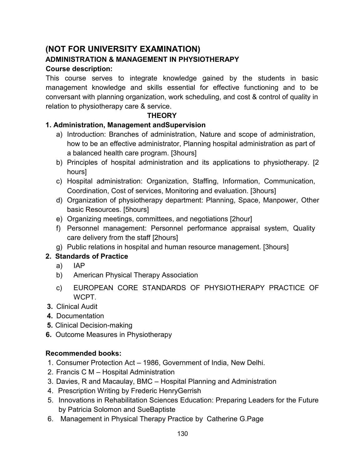## **(NOT FOR UNIVERSITY EXAMINATION)**

## **ADMINISTRATION & MANAGEMENT IN PHYSIOTHERAPY**

### **Course description:**

This course serves to integrate knowledge gained by the students in basic management knowledge and skills essential for effective functioning and to be conversant with planning organization, work scheduling, and cost & control of quality in relation to physiotherapy care & service.

#### **THEORY**

## **1. Administration, Management andSupervision**

- a) Introduction: Branches of administration, Nature and scope of administration, how to be an effective administrator, Planning hospital administration as part of a balanced health care program. [3hours]
- b) Principles of hospital administration and its applications to physiotherapy. [2 hours]
- c) Hospital administration: Organization, Staffing, Information, Communication, Coordination, Cost of services, Monitoring and evaluation. [3hours]
- d) Organization of physiotherapy department: Planning, Space, Manpower, Other basic Resources. [5hours]
- e) Organizing meetings, committees, and negotiations [2hour]
- f) Personnel management: Personnel performance appraisal system, Quality care delivery from the staff [2hours]
- g) Public relations in hospital and human resource management. [3hours]

## **2. Standards of Practice**

- a) IAP
- b) American Physical Therapy Association
- c) EUROPEAN CORE STANDARDS OF PHYSIOTHERAPY PRACTICE OF WCPT.
- **3.** Clinical Audit
- **4.** Documentation
- **5.** Clinical Decision-making
- **6.** Outcome Measures in Physiotherapy

## **Recommended books:**

- 1. Consumer Protection Act 1986, Government of India, New Delhi.
- 2. Francis C M Hospital Administration
- 3. Davies, R and Macaulay, BMC Hospital Planning and Administration
- 4. Prescription Writing by Frederic HenryGerrish
- 5. Innovations in Rehabilitation Sciences Education: Preparing Leaders for the Future by Patricia Solomon and SueBaptiste
- 6. Management in Physical Therapy Practice by Catherine G.Page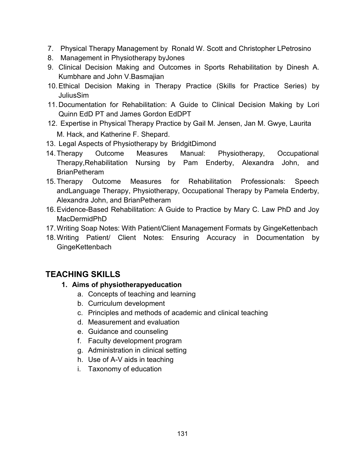- 7. Physical Therapy Management by Ronald W. Scott and Christopher LPetrosino
- 8. Management in Physiotherapy byJones
- 9. Clinical Decision Making and Outcomes in Sports Rehabilitation by Dinesh A. Kumbhare and John V.Basmajian
- 10.Ethical Decision Making in Therapy Practice (Skills for Practice Series) by JuliusSim
- 11.Documentation for Rehabilitation: A Guide to Clinical Decision Making by Lori Quinn EdD PT and James Gordon EdDPT
- 12. Expertise in Physical Therapy Practice by Gail M. Jensen, Jan M. Gwye, Laurita M. Hack, and Katherine F. Shepard.
- 13. Legal Aspects of Physiotherapy by BridgitDimond
- 14.Therapy Outcome Measures Manual: Physiotherapy, Occupational Therapy,Rehabilitation Nursing by Pam Enderby, Alexandra John, and **BrianPetheram**
- 15.Therapy Outcome Measures for Rehabilitation Professionals: Speech andLanguage Therapy, Physiotherapy, Occupational Therapy by Pamela Enderby, Alexandra John, and BrianPetheram
- 16.Evidence-Based Rehabilitation: A Guide to Practice by Mary C. Law PhD and Joy MacDermidPhD
- 17.Writing Soap Notes: With Patient/Client Management Formats by GingeKettenbach
- 18.Writing Patient/ Client Notes: Ensuring Accuracy in Documentation by **GingeKettenbach**

## **TEACHING SKILLS**

- **1. Aims of physiotherapyeducation**
	- a. Concepts of teaching and learning
	- b. Curriculum development
	- c. Principles and methods of academic and clinical teaching
	- d. Measurement and evaluation
	- e. Guidance and counseling
	- f. Faculty development program
	- g. Administration in clinical setting
	- h. Use of A-V aids in teaching
	- i. Taxonomy of education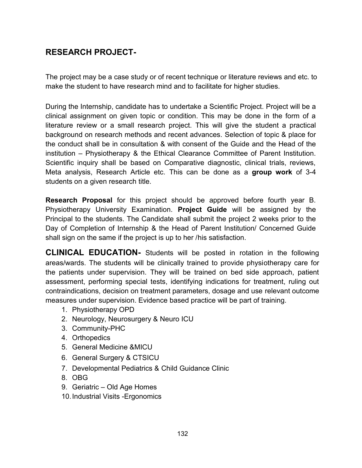## **RESEARCH PROJECT-**

The project may be a case study or of recent technique or literature reviews and etc. to make the student to have research mind and to facilitate for higher studies.

During the Internship, candidate has to undertake a Scientific Project. Project will be a clinical assignment on given topic or condition. This may be done in the form of a literature review or a small research project. This will give the student a practical background on research methods and recent advances. Selection of topic & place for the conduct shall be in consultation & with consent of the Guide and the Head of the institution – Physiotherapy & the Ethical Clearance Committee of Parent Institution. Scientific inquiry shall be based on Comparative diagnostic, clinical trials, reviews, Meta analysis, Research Article etc. This can be done as a **group work** of 3-4 students on a given research title.

**Research Proposal** for this project should be approved before fourth year B. Physiotherapy University Examination. **Project Guide** will be assigned by the Principal to the students. The Candidate shall submit the project 2 weeks prior to the Day of Completion of Internship & the Head of Parent Institution/ Concerned Guide shall sign on the same if the project is up to her /his satisfaction.

**CLINICAL EDUCATION-** Students will be posted in rotation in the following areas/wards. The students will be clinically trained to provide physiotherapy care for the patients under supervision. They will be trained on bed side approach, patient assessment, performing special tests, identifying indications for treatment, ruling out contraindications, decision on treatment parameters, dosage and use relevant outcome measures under supervision. Evidence based practice will be part of training.

- 1. Physiotherapy OPD
- 2. Neurology, Neurosurgery & Neuro ICU
- 3. Community-PHC
- 4. Orthopedics
- 5. General Medicine &MICU
- 6. General Surgery & CTSICU
- 7. Developmental Pediatrics & Child Guidance Clinic
- 8. OBG
- 9. Geriatric Old Age Homes
- 10.Industrial Visits -Ergonomics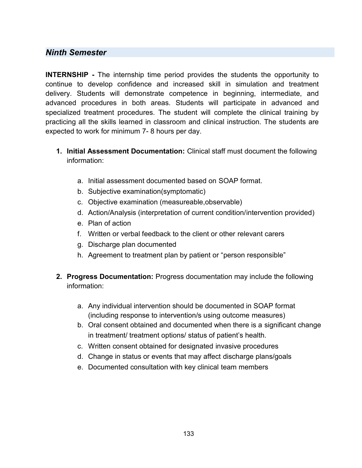### *Ninth Semester*

**INTERNSHIP -** The internship time period provides the students the opportunity to continue to develop confidence and increased skill in simulation and treatment delivery. Students will demonstrate competence in beginning, intermediate, and advanced procedures in both areas. Students will participate in advanced and specialized treatment procedures. The student will complete the clinical training by practicing all the skills learned in classroom and clinical instruction. The students are expected to work for minimum 7- 8 hours per day.

- **1. Initial Assessment Documentation:** Clinical staff must document the following information:
	- a. Initial assessment documented based on SOAP format.
	- b. Subjective examination(symptomatic)
	- c. Objective examination (measureable,observable)
	- d. Action/Analysis (interpretation of current condition/intervention provided)
	- e. Plan of action
	- f. Written or verbal feedback to the client or other relevant carers
	- g. Discharge plan documented
	- h. Agreement to treatment plan by patient or "person responsible"
- **2. Progress Documentation:** Progress documentation may include the following information:
	- a. Any individual intervention should be documented in SOAP format (including response to intervention/s using outcome measures)
	- b. Oral consent obtained and documented when there is a significant change in treatment/ treatment options/ status of patient's health.
	- c. Written consent obtained for designated invasive procedures
	- d. Change in status or events that may affect discharge plans/goals
	- e. Documented consultation with key clinical team members